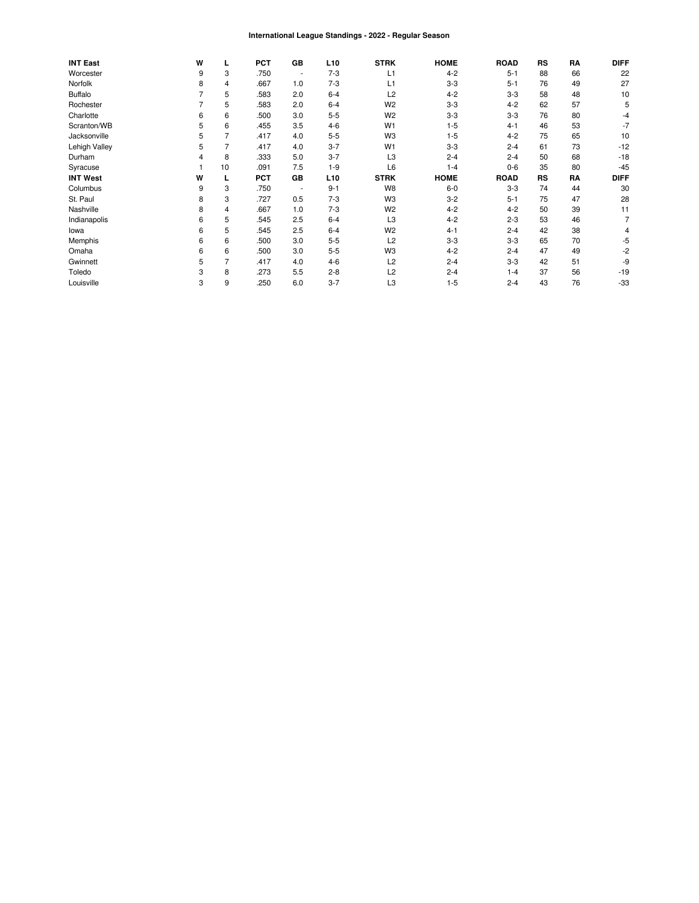#### International League Standings - 2022 - Regular Season

| <b>INT East</b> | W |    | <b>PCT</b> | GB                       | L <sub>10</sub> | <b>STRK</b>    | <b>HOME</b> | <b>ROAD</b> | RS | RA | <b>DIFF</b> |
|-----------------|---|----|------------|--------------------------|-----------------|----------------|-------------|-------------|----|----|-------------|
| Worcester       | 9 | 3  | .750       | ٠                        | $7-3$           | L <sub>1</sub> | $4 - 2$     | $5 - 1$     | 88 | 66 | 22          |
| Norfolk         | 8 | 4  | .667       | 1.0                      | $7-3$           | L1             | $3 - 3$     | $5 - 1$     | 76 | 49 | 27          |
| <b>Buffalo</b>  |   | 5  | .583       | 2.0                      | $6 - 4$         | L2             | $4 - 2$     | $3 - 3$     | 58 | 48 | 10          |
| Rochester       |   | 5  | .583       | 2.0                      | $6 - 4$         | W <sub>2</sub> | $3-3$       | $4 - 2$     | 62 | 57 | 5           |
| Charlotte       | 6 | 6  | .500       | 3.0                      | $5 - 5$         | W <sub>2</sub> | $3 - 3$     | $3 - 3$     | 76 | 80 | $-4$        |
| Scranton/WB     | 5 | 6  | .455       | 3.5                      | $4-6$           | W <sub>1</sub> | $1 - 5$     | $4 - 1$     | 46 | 53 | -7          |
| Jacksonville    | 5 |    | .417       | 4.0                      | $5 - 5$         | W <sub>3</sub> | $1 - 5$     | $4 - 2$     | 75 | 65 | 10          |
| Lehigh Valley   | 5 |    | .417       | 4.0                      | $3 - 7$         | W <sub>1</sub> | $3-3$       | $2 - 4$     | 61 | 73 | $-12$       |
| Durham          |   | 8  | .333       | 5.0                      | $3 - 7$         | L <sub>3</sub> | $2 - 4$     | $2 - 4$     | 50 | 68 | $-18$       |
| Syracuse        |   | 10 | .091       | 7.5                      | $1 - 9$         | L <sub>6</sub> | $1 - 4$     | $0 - 6$     | 35 | 80 | $-45$       |
| <b>INT West</b> | W |    | <b>PCT</b> | GB                       | L <sub>10</sub> | <b>STRK</b>    | <b>HOME</b> | <b>ROAD</b> | RS | RA | <b>DIFF</b> |
| Columbus        | 9 | 3  | .750       | $\overline{\phantom{a}}$ | $9 - 1$         | W8             | $6-0$       | $3-3$       | 74 | 44 | 30          |
| St. Paul        | 8 | 3  | .727       | 0.5                      | $7-3$           | W <sub>3</sub> | $3 - 2$     | $5 - 1$     | 75 | 47 | 28          |
| Nashville       | 8 | 4  | .667       | 1.0                      | $7 - 3$         | W <sub>2</sub> | $4 - 2$     | $4 - 2$     | 50 | 39 | 11          |
| Indianapolis    | 6 | 5  | .545       | 2.5                      | $6 - 4$         | L <sub>3</sub> | $4 - 2$     | $2 - 3$     | 53 | 46 |             |
| lowa            | 6 | 5  | .545       | 2.5                      | $6 - 4$         | W <sub>2</sub> | $4 - 1$     | $2 - 4$     | 42 | 38 |             |
| Memphis         | 6 | 6  | .500       | 3.0                      | $5 - 5$         | L <sub>2</sub> | $3-3$       | $3 - 3$     | 65 | 70 | -5          |
| Omaha           | 6 | 6  | .500       | 3.0                      | $5 - 5$         | W <sub>3</sub> | $4 - 2$     | $2 - 4$     | 47 | 49 | $-2$        |
| Gwinnett        | 5 |    | .417       | 4.0                      | $4-6$           | L2             | $2 - 4$     | $3 - 3$     | 42 | 51 | -9          |
| Toledo          | 3 | 8  | .273       | 5.5                      | $2 - 8$         | L <sub>2</sub> | $2 - 4$     | $1 - 4$     | 37 | 56 | $-19$       |
| Louisville      | 3 | 9  | .250       | 6.0                      | $3 - 7$         | L3             | $1 - 5$     | $2 - 4$     | 43 | 76 | $-33$       |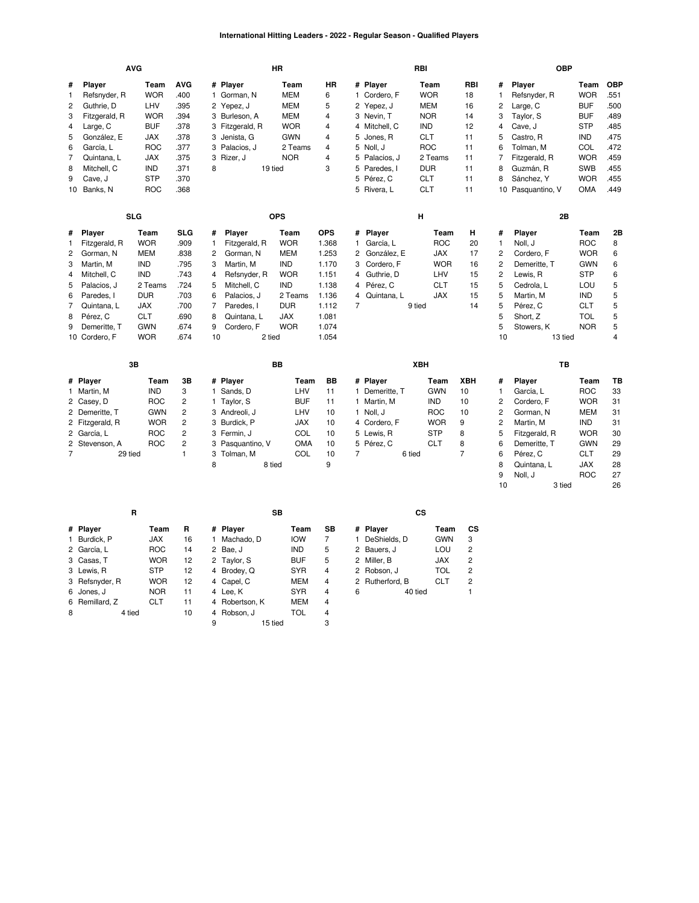# **International Hitting Leaders - 2022 - Regular Season - Qualified Players**

|                |                 | <b>AVG</b> |                |    |                  | HR         |            |                |                | RBI    |            |            |                | <b>OBP</b>        |            |                |
|----------------|-----------------|------------|----------------|----|------------------|------------|------------|----------------|----------------|--------|------------|------------|----------------|-------------------|------------|----------------|
| #              | Player          | Team       | <b>AVG</b>     |    | # Player         | Team       | <b>HR</b>  |                | # Player       |        | Team       | <b>RBI</b> | #              | Player            | Team       | <b>OBP</b>     |
| $\mathbf{1}$   | Refsnyder, R    | <b>WOR</b> | .400           |    | 1 Gorman, N      | <b>MEM</b> | 6          |                | 1 Cordero, F   |        | <b>WOR</b> | 18         | $\mathbf{1}$   | Refsnyder, R      | <b>WOR</b> | .551           |
| $\overline{c}$ | Guthrie, D      | LHV        | .395           |    | 2 Yepez, J       | <b>MEM</b> | 5          |                | 2 Yepez, J     |        | <b>MEM</b> | 16         | 2              | Large, C          | <b>BUF</b> | .500           |
| 3              | Fitzgerald, R   | <b>WOR</b> | .394           | 3  | Burleson, A      | <b>MEM</b> | 4          |                | 3 Nevin, T     |        | <b>NOR</b> | 14         | 3              | Taylor, S         | <b>BUF</b> | .489           |
| 4              | Large, C        | <b>BUF</b> | .378           | 3  | Fitzgerald, R    | <b>WOR</b> | 4          |                | 4 Mitchell, C  |        | <b>IND</b> | 12         | 4              | Cave, J           | <b>STP</b> | .485           |
| 5              | González, E     | <b>JAX</b> | .378           | 3  | Jenista, G       | <b>GWN</b> | 4          | 5              | Jones, R       |        | <b>CLT</b> | 11         | 5              | Castro, R         | <b>IND</b> | .475           |
| 6              | García, L       | <b>ROC</b> | .377           |    | 3 Palacios, J    | 2 Teams    | 4          |                | 5 Noll, J      |        | <b>ROC</b> | 11         | 6              | Tolman, M         | COL        | .472           |
| 7              | Quintana, L     | <b>JAX</b> | .375           |    | 3 Rizer, J       | <b>NOR</b> | 4          |                | 5 Palacios, J  |        | 2 Teams    | 11         | $\overline{7}$ | Fitzgerald, R     | <b>WOR</b> | .459           |
| 8              | Mitchell, C     | <b>IND</b> | .371           | 8  |                  | 19 tied    | 3          |                | 5 Paredes, I   |        | <b>DUR</b> | 11         | 8              | Guzmán, R         | SWB        | .455           |
| 9              | Cave, J         | <b>STP</b> | .370           |    |                  |            |            |                | 5 Pérez, C     |        | <b>CLT</b> | 11         | 8              | Sánchez, Y        | <b>WOR</b> | .455           |
| 10             | Banks, N        | <b>ROC</b> | .368           |    |                  |            |            |                | 5 Rivera, L    |        | <b>CLT</b> | 11         |                | 10 Pasquantino, V | <b>OMA</b> | .449           |
|                |                 | <b>SLG</b> |                |    |                  | <b>OPS</b> |            |                |                | н      |            |            |                | 2B                |            |                |
| #              | Player          | Team       | <b>SLG</b>     | #  | Player           | Team       | <b>OPS</b> |                | # Player       |        | Team       | н          | #              | Player            | Team       | 2B             |
| $\mathbf{1}$   | Fitzgerald, R   | <b>WOR</b> | .909           | 1  | Fitzgerald, R    | <b>WOR</b> | 1.368      | 1.             | García, L      |        | <b>ROC</b> | 20         | $\mathbf{1}$   | Noll, J           | <b>ROC</b> | 8              |
| $\overline{2}$ | Gorman, N       | <b>MEM</b> | .838           | 2  | Gorman, N        | <b>MEM</b> | 1.253      | $\overline{2}$ | González, E    |        | <b>JAX</b> | 17         | $\overline{2}$ | Cordero, F        | <b>WOR</b> | 6              |
| 3              | Martin, M       | <b>IND</b> | .795           | 3  | Martin, M        | <b>IND</b> | 1.170      | 3              | Cordero, F     |        | <b>WOR</b> | 16         | 2              | Demeritte, T      | <b>GWN</b> | 6              |
| 4              | Mitchell, C     | <b>IND</b> | .743           | 4  | Refsnyder, R     | <b>WOR</b> | 1.151      | 4              | Guthrie, D     |        | LHV        | 15         | $\overline{c}$ | Lewis, R          | <b>STP</b> | 6              |
| 5              | Palacios, J     | 2 Teams    | .724           | 5  | Mitchell, C      | <b>IND</b> | 1.138      | 4              | Pérez, C       |        | <b>CLT</b> | 15         | 5              | Cedrola, L        | LOU        | 5              |
| 6              | Paredes, I      | <b>DUR</b> | .703           | 6  | Palacios, J      | 2 Teams    | 1.136      | $\overline{4}$ | Quintana, L    |        | <b>JAX</b> | 15         | 5              | Martin, M         | <b>IND</b> | 5              |
| 7              | Quintana, L     | <b>JAX</b> | .700           | 7  | Paredes, I       | <b>DUR</b> | 1.112      | 7              |                | 9 tied |            | 14         | 5              | Pérez, C          | <b>CLT</b> | 5              |
| 8              | Pérez, C        | <b>CLT</b> | .690           | 8  | Quintana, L      | <b>JAX</b> | 1.081      |                |                |        |            |            | 5              | Short, Z          | <b>TOL</b> | 5              |
| 9              | Demeritte, T    | <b>GWN</b> | .674           | 9  | Cordero, F       | <b>WOR</b> | 1.074      |                |                |        |            |            | 5              | Stowers, K        | <b>NOR</b> | 5              |
|                | 10 Cordero, F   | <b>WOR</b> | .674           | 10 |                  | 2 tied     | 1.054      |                |                |        |            |            | 10             | 13 tied           |            | $\overline{4}$ |
|                |                 | 3B         |                |    |                  | <b>BB</b>  |            |                |                | XBH    |            |            |                | TB                |            |                |
|                | # Player        | Team       | 3B             |    | # Player         | Team       | <b>BB</b>  |                | # Player       |        | Team       | <b>XBH</b> | #              | Player            | Team       | TB             |
|                | 1 Martin, M     | <b>IND</b> | 3              |    | 1 Sands, D       | LHV        | 11         |                | 1 Demeritte. T |        | <b>GWN</b> | 10         | $\mathbf{1}$   | García, L         | <b>ROC</b> | 33             |
|                | 2 Casey, D      | <b>ROC</b> | $\overline{c}$ |    | 1 Taylor, S      | <b>BUF</b> | 11         |                | 1 Martin, M    |        | <b>IND</b> | 10         | $\overline{2}$ | Cordero, F        | <b>WOR</b> | 31             |
|                | 2 Demeritte, T  | <b>GWN</b> | $\overline{c}$ |    | 3 Andreoli, J    | LHV        | 10         |                | 1 Noll, J      |        | <b>ROC</b> | 10         | $\overline{2}$ | Gorman, N         | <b>MEM</b> | 31             |
|                | 2 Fitzgerald, R | <b>WOR</b> | $\overline{c}$ | 3  | Burdick, P       | <b>JAX</b> | 10         |                | 4 Cordero, F   |        | <b>WOR</b> | 9          | $\overline{c}$ | Martin, M         | <b>IND</b> | 31             |
|                | 2 García, L     | <b>ROC</b> | 2              |    | 3 Fermin, J      | COL        | 10         |                | 5 Lewis, R     |        | <b>STP</b> | 8          | 5              | Fitzgerald, R     | <b>WOR</b> | 30             |
|                | 2 Stevenson, A  | <b>ROC</b> | 2              |    | 3 Pasquantino, V | <b>OMA</b> | 10         |                | 5 Pérez, C     |        | <b>CLT</b> | 8          | 6              | Demeritte, T      | <b>GWN</b> | 29             |
| $\overline{7}$ | 29 tied         |            | 1              |    | 3 Tolman, M      | COL        | 10         | 7              |                | 6 tied |            | 7          | 6              | Pérez, C          | <b>CLT</b> | 29             |
|                |                 |            |                | 8  |                  | 8 tied     | 9          |                |                |        |            |            | 8              | Quintana, L       | <b>JAX</b> | 28             |
|                |                 |            |                |    |                  |            |            |                |                |        |            |            | 9              | Noll, J           | <b>ROC</b> | 27             |
|                |                 |            |                |    |                  |            |            |                |                |        |            |            | 10             | 3 tied            |            | 26             |

|   | R              |            |    |   | SB             |            |    |   | СS              |            |    |
|---|----------------|------------|----|---|----------------|------------|----|---|-----------------|------------|----|
|   | # Player       | Team       | R  |   | # Player       | Team       | SВ |   | # Player        | Team       | СS |
|   | 1 Burdick, P   | <b>JAX</b> | 16 |   | Machado. D     | <b>IOW</b> | 7  |   | DeShields, D    | <b>GWN</b> | 3  |
|   | 2 García, L    | <b>ROC</b> | 14 |   | 2 Bae, J       | <b>IND</b> | 5  |   | 2 Bauers, J     | LOU        | 2  |
|   | 3 Casas, T     | <b>WOR</b> | 12 |   | 2 Taylor, S    | <b>BUF</b> | 5  |   | 2 Miller, B     | <b>JAX</b> | 2  |
|   | 3 Lewis, R     | <b>STP</b> | 12 |   | 4 Brodey, Q    | <b>SYR</b> | 4  |   | 2 Robson, J     | TOL        | 2  |
|   | 3 Refsnyder, R | <b>WOR</b> | 12 |   | 4 Capel, C     | <b>MEM</b> | 4  |   | 2 Rutherford, B | <b>CLT</b> | 2  |
|   | 6 Jones, J     | <b>NOR</b> | 11 |   | 4 Lee, K       | <b>SYR</b> | 4  | 6 | 40 tied         |            |    |
|   | 6 Remillard, Z | <b>CLT</b> | 11 |   | 4 Robertson, K | <b>MEM</b> | 4  |   |                 |            |    |
| 8 | 4 tied         |            | 10 |   | 4 Robson, J    | <b>TOL</b> | 4  |   |                 |            |    |
|   |                |            |    | 9 | 15 tied        |            | 3  |   |                 |            |    |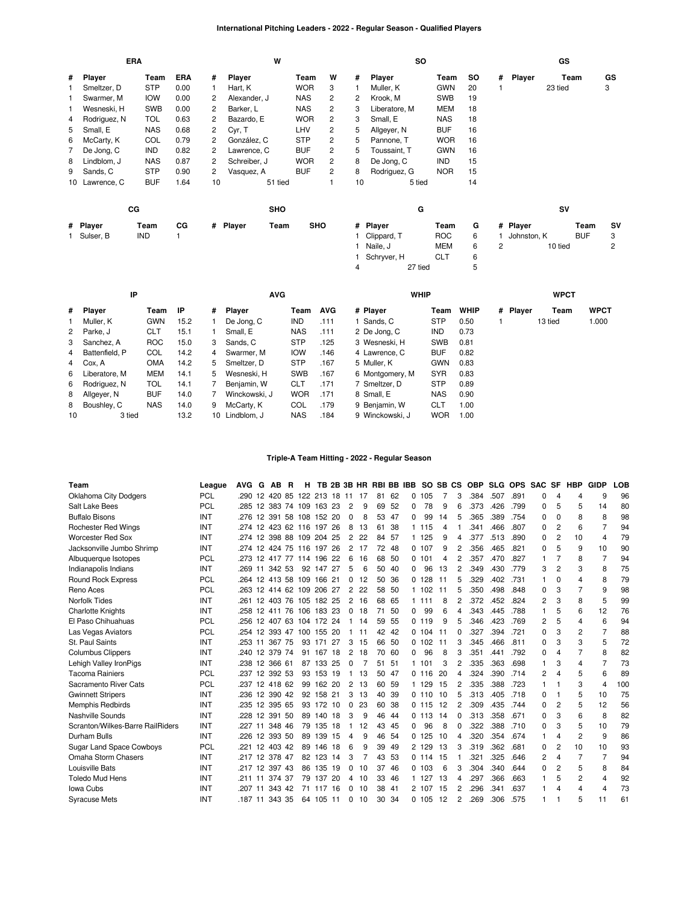# **International Pitching Leaders - 2022 - Regular Season - Qualified Players**

|   |                | <b>ERA</b>  |            |                | W                |            |                |    | <b>SO</b>     |            |     |   |             | GS      |            |                |
|---|----------------|-------------|------------|----------------|------------------|------------|----------------|----|---------------|------------|-----|---|-------------|---------|------------|----------------|
| # | Player         | Team        | <b>ERA</b> | #              | Player           | Team       | W              | #  | Player        | Team       | SO. | # | Player      | Team    |            | GS             |
|   | Smeltzer, D    | <b>STP</b>  | 0.00       |                | Hart, K          | <b>WOR</b> | 3              |    | Muller, K     | <b>GWN</b> | 20  |   |             | 23 tied |            | 3              |
|   | Swarmer, M     | <b>IOW</b>  | 0.00       | 2              | Alexander, J     | <b>NAS</b> | $\overline{c}$ | 2  | Krook, M      | <b>SWB</b> | 19  |   |             |         |            |                |
|   | Wesneski, H    | <b>SWB</b>  | 0.00       | 2              | Barker, L        | <b>NAS</b> | $\overline{c}$ | 3  | Liberatore, M | MEM        | 18  |   |             |         |            |                |
| 4 | Rodriguez, N   | <b>TOL</b>  | 0.63       | 2              | Bazardo, E       | <b>WOR</b> | 2              | 3  | Small, E      | <b>NAS</b> | 18  |   |             |         |            |                |
| 5 | Small, E       | <b>NAS</b>  | 0.68       | $\overline{2}$ | Cyr, T           | LHV        | $\overline{c}$ | 5  | Allgeyer, N   | <b>BUF</b> | 16  |   |             |         |            |                |
| 6 | McCarty, K     | COL         | 0.79       | 2              | González, C      | <b>STP</b> | $\overline{c}$ | 5  | Pannone, T    | <b>WOR</b> | 16  |   |             |         |            |                |
| 7 | De Jong, C     | <b>IND</b>  | 0.82       | $\overline{2}$ | Lawrence, C      | <b>BUF</b> | $\overline{c}$ | 5  | Toussaint, T  | <b>GWN</b> | 16  |   |             |         |            |                |
| 8 | Lindblom, J    | <b>NAS</b>  | 0.87       | 2              | Schreiber, J     | <b>WOR</b> | $\overline{2}$ | 8  | De Jong, C    | <b>IND</b> | 15  |   |             |         |            |                |
| 9 | Sands, C       | <b>STP</b>  | 0.90       | 2              | Vasquez, A       | <b>BUF</b> | 2              | 8  | Rodriguez, G  | <b>NOR</b> | 15  |   |             |         |            |                |
|   | 10 Lawrence, C | <b>BUF</b>  | 1.64       | 10             | 51 tied          |            |                | 10 | 5 tied        |            | 14  |   |             |         |            |                |
|   |                | $_{\rm CG}$ |            |                | <b>SHO</b>       |            |                |    | G             |            |     |   |             | SV      |            |                |
|   | # Player       | Team        | СG         |                | # Player<br>Team | <b>SHO</b> |                | #  | Player        | Team       | G   |   | # Player    |         | Team       | <b>SV</b>      |
|   | Sulser, B      | IND         |            |                |                  |            |                |    | Clippard, T   | <b>ROC</b> | 6   |   | Johnston, K |         | <b>BUF</b> | 3              |
|   |                |             |            |                |                  |            |                |    | Naile, J      | <b>MEM</b> | 6   | 2 |             | 10 tied |            | $\overline{c}$ |
|   |                |             |            |                |                  |            |                |    | Schryver, H   | <b>CLT</b> | 6   |   |             |         |            |                |

|    | IP               |            |      |    | <b>AVG</b>     |            |            | <b>WHIP</b>     |            |             |          | <b>WPCT</b> |             |
|----|------------------|------------|------|----|----------------|------------|------------|-----------------|------------|-------------|----------|-------------|-------------|
|    | # Player         | Team       | -lP  | #  | Player         | Team       | <b>AVG</b> | # Player        | Team       | <b>WHIP</b> | # Player | Team        | <b>WPCT</b> |
|    | 1 Muller, K      | <b>GWN</b> | 15.2 |    | De Jong, C     | <b>IND</b> | .111       | 1 Sands, C      | <b>STP</b> | 0.50        |          | 13 tied     | 1.000       |
|    | 2 Parke, J       | <b>CLT</b> | 15.1 |    | Small, E       | <b>NAS</b> | .111       | 2 De Jong, C    | <b>IND</b> | 0.73        |          |             |             |
|    | 3 Sanchez, A     | <b>ROC</b> | 15.0 | 3  | Sands, C       | <b>STP</b> | .125       | 3 Wesneski, H   | <b>SWB</b> | 0.81        |          |             |             |
|    | 4 Battenfield, P | COL        | 14.2 | 4  | Swarmer, M     | <b>IOW</b> | .146       | 4 Lawrence, C   | <b>BUF</b> | 0.82        |          |             |             |
|    | 4 Cox, A         | <b>OMA</b> | 14.2 | 5  | Smeltzer, D    | <b>STP</b> | .167       | 5 Muller, K     | <b>GWN</b> | 0.83        |          |             |             |
|    | 6 Liberatore, M  | MEM        | 14.1 | 5. | Wesneski, H    | <b>SWB</b> | .167       | 6 Montgomery, M | SYR        | 0.83        |          |             |             |
|    | 6 Rodriguez, N   | TOL        | 14.1 |    | Benjamin, W    | CLT        | .171       | 7 Smeltzer, D   | <b>STP</b> | 0.89        |          |             |             |
|    | 8 Allgever, N    | <b>BUF</b> | 14.0 |    | Winckowski, J  | <b>WOR</b> | .171       | 8 Small, E      | NAS        | 0.90        |          |             |             |
|    | 8 Boushley, C    | <b>NAS</b> | 14.0 | 9  | McCarty, K     | COL        | .179       | 9 Benjamin, W   | <b>CLT</b> | 1.00        |          |             |             |
| 10 | 3 tied           |            | 13.2 |    | 10 Lindblom, J | <b>NAS</b> | .184       | 9 Winckowski, J | <b>WOR</b> | 1.00        |          |             |             |

4 27 tied 5

# **Triple-A Team Hitting - 2022 - Regular Season**

| Team                             | League     | <b>AVG</b> | G  | <b>AB</b>      | <b>B</b> | н.                       |           |    |                |    | TB 2B 3B HR RBI BB IBB |     |   | SO SB CS |     |              | <b>OBP</b> |      | <b>SLG OPS</b> | <b>SAC</b>   | <b>SF</b>      | <b>HBP</b>              | <b>GIDP</b>    | LOB |
|----------------------------------|------------|------------|----|----------------|----------|--------------------------|-----------|----|----------------|----|------------------------|-----|---|----------|-----|--------------|------------|------|----------------|--------------|----------------|-------------------------|----------------|-----|
| Oklahoma City Dodgers            | PCL        |            |    |                |          | 290 12 420 85 122 213 18 |           |    | -11            | 17 | 81                     | -62 | 0 | 105      | 7   | 3            | .384       | .507 | .891           | 0            | 4              | 4                       | 9              | 96  |
| Salt Lake Bees                   | <b>PCL</b> | .285       |    |                |          | 12 383 74 109 163 23     |           |    | 2              | 9  | 69                     | -52 | 0 | 78       | 9   | 6            | .373       | .426 | .799           | 0            | 5              | 5                       | 14             | 80  |
| <b>Buffalo Bisons</b>            | INT        | .276       |    |                |          | 12 391 58 108 152 20     |           |    | 0              | 8  | 53                     | -47 | 0 | 99       | 14  | 5            | .365       | .389 | .754           | 0            | $\Omega$       | 8                       | 8              | 98  |
| <b>Rochester Red Wings</b>       | INT        | .274       |    |                |          | 12 423 62 116 197 26     |           |    | 8              | 13 | 61                     | 38  |   | 1 1 1 5  | 4   |              | .341       | .466 | .807           | 0            | 2              | 6                       |                | 94  |
| <b>Worcester Red Sox</b>         | INT        |            |    |                |          | 274 12 398 88 109 204 25 |           |    | $\overline{2}$ | 22 | 84                     | 57  |   | 1 125    | 9   | 4            | .377       | .513 | .890           | $\Omega$     | $\overline{2}$ | 10                      | 4              | 79  |
| Jacksonville Jumbo Shrimp        | INT        | .274       | 12 |                |          | 424 75 116 197           |           | 26 | 2              | 17 | 72                     | -48 |   | 0.107    | 9   | 2            | .356       | .465 | .821           | 0            | 5              | 9                       | 10             | 90  |
| Albuquerque Isotopes             | <b>PCL</b> | .273       |    |                |          | 12 417 77 114 196 22     |           |    | 6              | 16 | 68                     | 50  |   | 0.101    | 4   | 2            | .357       | .470 | .827           | 1            | $\overline{7}$ | 8                       | $\overline{7}$ | 94  |
| Indianapolis Indians             | INT        |            |    | 269 11 342 53  |          |                          | 92 147 27 |    | 5              | 6  | 50                     | 40  | 0 | 96       | 13  | 2            | .349       | .430 | .779           | 3            | 2              | 3                       | 8              | 75  |
| <b>Round Rock Express</b>        | <b>PCL</b> | .264       |    |                |          | 12 413 58 109 166 21     |           |    | 0              | 12 | 50                     | -36 |   | 0, 128   | -11 | 5            | .329       | .402 | .731           | 1            | $\Omega$       | $\overline{\mathbf{4}}$ | 8              | 79  |
| Reno Aces                        | <b>PCL</b> | .263       |    |                |          | 12 414 62 109 206 27     |           |    | 2              | 22 | 58                     | -50 |   | 1 102    | 11  | 5            | .350       | .498 | .848           | 0            | 3              | 7                       | 9              | 98  |
| Norfolk Tides                    | INT        | .261       | 12 |                |          | 403 76 105 182 25        |           |    | 2              | 16 | 68                     | 65  |   | 1 1 1 1  | 8   | 2            | .372       | .452 | .824           | 2            | 3              | 8                       | 5              | 99  |
| <b>Charlotte Knights</b>         | INT        | .258       |    |                |          | 12 411 76 106 183 23     |           |    | 0              | 18 | 71                     | 50  | 0 | 99       | 6   | 4            | .343       | .445 | .788           | $\mathbf{1}$ | 5              | 6                       | 12             | 76  |
| El Paso Chihuahuas               | PCL        | .256       |    |                |          | 12 407 63 104 172 24     |           |    | -1             | 14 | 59                     | 55  |   | 0.119    | 9   | 5            | .346       | .423 | .769           | 2            | 5              | 4                       | 6              | 94  |
| Las Vegas Aviators               | <b>PCL</b> | .254       |    |                |          | 12 393 47 100 155 20     |           |    | -1             | 11 | 42                     | 42  |   | 0.104    | 11  | <sup>0</sup> | .327       | .394 | .721           | $\Omega$     | 3              | 2                       | 7              | 88  |
| St. Paul Saints                  | INT        | .253       | 11 | 367 75         |          | 93                       | 171       | 27 | 3              | 15 | 66                     | -50 |   | 0.102    | -11 | 3            | .345       | .466 | .811           | $\Omega$     | 3              | 3                       | 5              | 72  |
| <b>Columbus Clippers</b>         | INT        | .240       |    | 12 379 74      |          | 91                       | 167       | 18 | 2              | 18 | 70                     | -60 | 0 | 96       | 8   | 3            | .351       | .441 | .792           | 0            | $\overline{4}$ | 7                       | 8              | 82  |
| Lehigh Valley IronPigs           | INT        | .238       |    | 12 366 61      |          |                          | 87 133 25 |    | 0              |    | 51                     | -51 |   | 1 101    | 3   | 2            | .335       | .363 | .698           |              | 3              | 4                       | 7              | 73  |
| <b>Tacoma Rainiers</b>           | <b>PCL</b> | .237       |    | 12 392 53      |          | 93                       | 153 19    |    | -1             | 13 | 50                     | 47  |   | 0.116    | 20  | 4            | .324       | .390 | .714           | 2            | $\overline{4}$ | 5                       | 6              | 89  |
| Sacramento River Cats            | <b>PCL</b> |            |    | 237 12 418 62  |          |                          | 99 162 20 |    | 2              | 13 | 60                     | 59  |   | 1 129    | 15  | 2            | .335       | .388 | .723           |              |                | 3                       | 4              | 100 |
| <b>Gwinnett Stripers</b>         | INT        | .236       |    | 12 390 42      |          | 92                       | 158       | 21 | 3              | 13 | 40                     | 39  |   | 0,110    | 10  | 5            | .313       | .405 | .718           | 0            |                | 5                       | 10             | 75  |
| <b>Memphis Redbirds</b>          | INT        |            |    | .235 12 395 65 |          |                          | 93 172 10 |    | 0              | 23 | 60                     | -38 |   | 0.115    | -12 | 2            | .309       | .435 | .744           | $\Omega$     | 2              | 5                       | 12             | 56  |
| <b>Nashville Sounds</b>          | INT        | .228       |    | 12 391 50      |          | 89                       | 140 18    |    | 3              | 9  | 46                     | 44  |   | 0, 113   | 14  | 0            | .313       | .358 | .671           | 0            | 3              | 6                       | 8              | 82  |
| Scranton/Wilkes-Barre RailRiders | INT        | .227       |    | 11 348 46      |          |                          | 79 135 18 |    | -1             | 12 | 43                     | 45  | 0 | 96       | 8   | 0            | .322       | .388 | .710           | 0            | 3              | 5                       | 10             | 79  |
| Durham Bulls                     | INT        | .226       |    | 12 393 50      |          | 89                       | 139       | 15 | 4              | 9  | 46                     | 54  |   | 0.125    | 10  | 4            | .320       | .354 | .674           |              | $\overline{4}$ | 2                       | 9              | 86  |
| <b>Sugar Land Space Cowboys</b>  | <b>PCL</b> | .221       |    | 12 403 42      |          | 89                       | 146       | 18 | 6              | 9  | 39                     | 49  |   | 2 129    | 13  | 3            | .319       | .362 | .681           | $\Omega$     | 2              | 10                      | 10             | 93  |
| Omaha Storm Chasers              | INT        |            |    | .217 12 378 47 |          |                          | 82 123 14 |    | 3              |    | 43                     | 53  |   | 0.114    | -15 |              | .321       | .325 | .646           | 2            | $\overline{4}$ | 7                       | 7              | 94  |
| Louisville Bats                  | INT        |            |    | .217 12 397 43 |          | 86                       | 135 19    |    | 0              | 10 | 37                     | 46  |   | 0,103    | 6   | 3            | .304       | .340 | .644           | $\Omega$     | $\overline{2}$ | 5                       | 8              | 84  |
| <b>Toledo Mud Hens</b>           | INT        | .211       | 11 | 374 37         |          | 79                       | 137       | 20 | 4              | 10 | 33                     | -46 |   | 1 127    | -13 | Δ            | .297       | .366 | .663           |              | 5              | 2                       | 4              | 92  |
| Iowa Cubs                        | INT        | .207       | 11 | 343 42         |          |                          | 71 117    | 16 | 0              | 10 | 38                     | 41  |   | 2 107    | 15  | 2            | .296       | .341 | .637           |              | $\Delta$       | 4                       | 4              | 73  |
| <b>Syracuse Mets</b>             | <b>INT</b> | .187       | 11 | 343 35         |          |                          | 64 105 11 |    | 0              | 10 | 30                     | 34  |   | 0.105    | 12  | 2            | .269       | .306 | .575           |              |                | 5                       | 11             | 61  |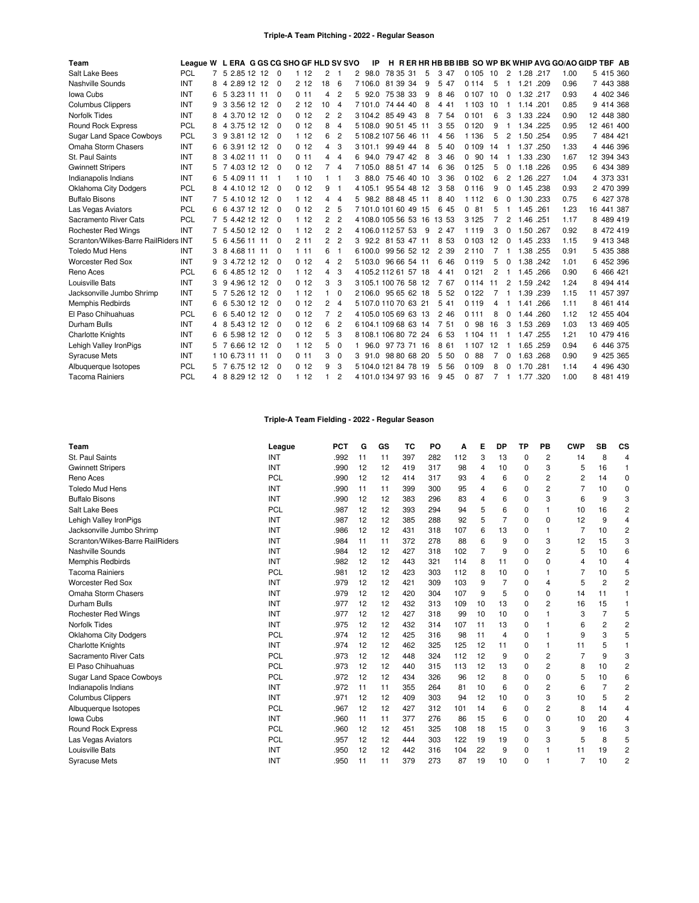### **Triple-A Team Pitching - 2022 - Regular Season**

| Team                                 | League W L ERA G GS CG SHO GF HLD SV SVO |   |                  |  |                |                 |                |                | ΙP                   |             |     |   |         |                |                |          |           |      | H RERHRHBBBIBB SO WP BK WHIP AVG GO/AO GIDP TBF AB |            |            |
|--------------------------------------|------------------------------------------|---|------------------|--|----------------|-----------------|----------------|----------------|----------------------|-------------|-----|---|---------|----------------|----------------|----------|-----------|------|----------------------------------------------------|------------|------------|
| Salt Lake Bees                       | <b>PCL</b>                               |   | 5 2.85 12 12 0   |  |                | 112             | 2              | -1             | 98.0<br>2            | 78 35 31    |     | 5 | 3 47    | 0 105 10       |                | 2        | 1.28 .217 |      | 1.00                                               |            | 5 415 360  |
| Nashville Sounds                     | INT                                      | 8 | 2.89 12 12<br>4  |  | $\Omega$       | 212             | 18             | 6              | 7106.0               | 81 39 34    |     | 9 | 5 47    | 0 1 1 4        | 5              |          | 1.21      | .209 | 0.96                                               | 7 443 388  |            |
| Iowa Cubs                            | INT                                      | 6 | 3.23 11 11<br>-5 |  | $\Omega$       | 0.11            | 4              | $\overline{c}$ | 5 92.0               | 75 38 33    |     | 9 | 8<br>46 | 0 1 0 7        | 10             | $\Omega$ | 1.32      | .217 | 0.93                                               | 4 402 346  |            |
| <b>Columbus Clippers</b>             | INT                                      | 9 | 3 3.56 12 12     |  | $\Omega$       | 212             | 10             | $\overline{4}$ | 7 101.0              | 74 44 40    |     | 8 | 4 4 1   | 1 1 0 3        | 10             |          | 1.14 .201 |      | 0.85                                               | 9 414 368  |            |
| <b>Norfolk Tides</b>                 | INT                                      | 8 | 3.70 12 12<br>4  |  | $\Omega$       | 0 <sub>12</sub> | 2              | $\overline{c}$ | 3 104.2              | 8549        | 43  | 8 | 7 54    | 0101           | 6              | 3        | 1.33      | .224 | 0.90                                               |            | 12 448 380 |
| Round Rock Express                   | PCL                                      | 8 | 4 3.75 12 12     |  | $\Omega$       | 0, 12           | 8              | $\overline{4}$ | 5 108.0              | 90 51 45 11 |     |   | 3 5 5   | 0 1 2 0        | 9              |          | 1.34      | .225 | 0.95                                               | 12 461 400 |            |
| Sugar Land Space Cowboys             | PCL                                      | 3 | 9 3.81 12 12     |  | 0              | 112             | 6              | $\overline{2}$ | 5 108.2 107 56 46    |             | -11 |   | 4 5 6   | 1 1 3 6        | 5              | 2        | 1.50      | .254 | 0.95                                               | 7 484 421  |            |
| Omaha Storm Chasers                  | INT                                      | 6 | 3.91 12 12<br>6  |  | $\overline{0}$ | 0 <sub>12</sub> | 4              | 3              | 3 101.1              | 99 49 44    |     | 8 | 5 40    | 0 1 0 9        | 14             | -1       | 1.37      | .250 | 1.33                                               | 4 446 396  |            |
| St. Paul Saints                      | INT                                      | 8 | 3 4.02 11 11     |  | $\Omega$       | 011             | 4              | $\overline{4}$ | 94.0<br>6            | 79 47 42    |     | 8 | 3 4 6   | 0.90           | 14             |          | 1.33      | .230 | 1.67                                               | 12 394 343 |            |
| <b>Gwinnett Stripers</b>             | INT                                      | 5 | 7 4.03 12 12     |  | $\Omega$       | 0 <sub>12</sub> | 7              | $\overline{4}$ | 7105.0               | 88 51 47 14 |     |   | 36<br>6 | 0125           | 5              | 0        | 1.18      | .226 | 0.95                                               |            | 6 434 389  |
| Indianapolis Indians                 | INT                                      | 6 | -5<br>4.09 11 11 |  | -1             | 110             |                | -1             | 88.0<br>3            | 75 46 40 10 |     |   | 3<br>36 | 0102           | 6              | 2        | 1.26      | .227 | 1.04                                               | 4 373 331  |            |
| Oklahoma City Dodgers                | PCL                                      | 8 | 4 4 10 12 12     |  | $\Omega$       | 0 <sub>12</sub> | 9              | -1             | 4 105.1              | 95 54 48 12 |     |   | 3 58    | 0116           | 9              | 0        | 1.45      | .238 | 0.93                                               |            | 2 470 399  |
| <b>Buffalo Bisons</b>                | INT                                      |   | 5 4.10 12 12     |  | $\Omega$       | 112             | 4              | $\overline{4}$ | 98.2<br>5.           | 88 48 45    | 11  |   | 8 4 0   | 1 1 1 2        | 6              | $\Omega$ | 1.30      | .233 | 0.75                                               | 6 427 378  |            |
| Las Vegas Aviators                   | PCL                                      | 6 | 6 4.37 12 12     |  | $\Omega$       | 0, 12           | 2              | 5              | 7101.0101604915      |             |     |   | 6 45    | $\Omega$<br>81 | 5              |          | 1.45 .261 |      | 1.23                                               | 16 441 387 |            |
| Sacramento River Cats                | PCL                                      | 7 | 5 4.42 12 12     |  | $\Omega$       | 112             | 2              | $\overline{2}$ | 4 108 0 105 56 53 16 |             |     |   | 13 53   | 3 1 2 5        |                | 2        | 1.46      | .251 | 1.17                                               | 8 489 419  |            |
| <b>Rochester Red Wings</b>           | INT                                      |   | 5 4.50 12 12     |  | $\Omega$       | 112             | $\overline{c}$ | $\overline{2}$ | 4 106.0 112 57 53    |             |     | 9 | 2 47    | 1 1 1 9        | 3              | 0        | 1.50      | .267 | 0.92                                               | 8 472 419  |            |
| Scranton/Wilkes-Barre RailRiders INT |                                          | 5 | 6 4.56 11 11     |  | $\Omega$       | 211             | 2              | $\overline{2}$ | 3 92.2               | 81 53 47 11 |     |   | 8 5 3   | 0.103          | 12             | 0        | 1.45 .233 |      | 1.15                                               | 9 413 348  |            |
| <b>Toledo Mud Hens</b>               | INT                                      | 3 | 4.68 11 11<br>8  |  | $\Omega$       | 111             | 6              | $\mathbf{1}$   | 6 100.0              | 99 56 52 12 |     |   | 2 3 9   | 2 1 1 0        | 7              | -1       | 1.38      | .255 | 0.91                                               | 5 435 388  |            |
| <b>Worcester Red Sox</b>             | INT                                      | 9 | 3 4.72 12 12     |  | $\Omega$       | 012             | 4              | $\overline{2}$ | 51030                | 96 66 54 11 |     |   | 6 4 6   | 0119           | 5              | 0        | 1.38      | .242 | 1.01                                               | 6 452 396  |            |
| Reno Aces                            | PCL                                      | 6 | 6 4.85 12 12     |  | $\Omega$       | 112             | 4              | 3              | 4 105.2 112 61 57 18 |             |     |   | 4 4 1   | 0 1 2 1        | $\overline{2}$ |          | 1.45 .266 |      | 0.90                                               | 6 466 421  |            |
| Louisville Bats                      | INT                                      | 3 | 4.96 12 12<br>9  |  | $\Omega$       | 0 <sub>12</sub> | 3              | 3              | 3 105 1 100 76 58 12 |             |     |   | 7 67    | 0 1 1 4        | 11             | 2        | 1.59      | .242 | 1.24                                               | 8 494 414  |            |
| Jacksonville Jumbo Shrimp            | INT                                      | 5 | 7 5.26 12 12     |  | $\Omega$       | 112             |                | $\mathbf 0$    | 2 106.0 95 65 62 18  |             |     |   | 5 5 2   | 0 1 2 2        |                |          | 1.39      | .239 | 1.15                                               | 11 457 397 |            |
| <b>Memphis Redbirds</b>              | INT                                      | 6 | 5.30 12 12<br>6  |  | $\Omega$       | 0 <sub>12</sub> | 2              | $\overline{4}$ | 5 107.0 110 70 63 21 |             |     |   | 5 4 1   | 0119           | 4              | -1       | 1.41      | .266 | 1.11                                               | 8 461 414  |            |
| El Paso Chihuahuas                   | PCL                                      | 6 | 5.40 12 12<br>-6 |  | $\Omega$       | 0 <sub>12</sub> | 7              | $\overline{2}$ | 4 105.0 105 69 63 13 |             |     |   | 246     | 0 1 1 1        | 8              | $\Omega$ | 1.44      | .260 | 1.12                                               | 12 455 404 |            |
| Durham Bulls                         | INT                                      | 4 | 5.43 12 12<br>8  |  | $\Omega$       | 0 <sub>12</sub> | 6              | $\overline{2}$ | 6 104.1 109 68 63 14 |             |     |   | 7 51    | $\Omega$<br>98 | 16             | 3        | 1.53 .269 |      | 1.03                                               | 13 469 405 |            |
| <b>Charlotte Knights</b>             | INT                                      | 6 | 5.98 12 12<br>6  |  | $\Omega$       | 0 <sub>12</sub> | 5              | 3              | 8 108 1 106 80 72 24 |             |     |   | 6 53    | 1 1 0 4        | 11             |          | 1.47      | .255 | 1.21                                               | 10 479 416 |            |
| Lehigh Valley IronPigs               | INT                                      |   | 7 6.66 12 12     |  | $\Omega$       | 112             | 5              | 0              | 96.0                 | 97 73 71 16 |     |   | 8 61    | 1 1 0 7        | 12             | -1       | 1.65      | .259 | 0.94                                               | 6 446 375  |            |
| <b>Syracuse Mets</b>                 | INT                                      |   | 1 10 6.73 11 11  |  | $\Omega$       | 0.11            | 3              | 0              | 91.0<br>з            | 98 80 68 20 |     |   | 5 50    | 0<br>88        | 7              | 0        | 1.63      | .268 | 0.90                                               | 9 425 365  |            |
| Albuquerque Isotopes                 | PCL                                      | 5 | 7 6.75 12 12     |  | $\Omega$       | 0, 12           | 9              | 3              | 5 104 0 121 84 78 19 |             |     |   | 5 5 6   | 0.109          | 8              | $\Omega$ | 1.70      | .281 | 1.14                                               |            | 4 496 430  |
| <b>Tacoma Rainiers</b>               | <b>PCL</b>                               |   | 4 8 8.29 12 12   |  | $\Omega$       | 112             |                | $\overline{2}$ | 4 101.0 134 97 93 16 |             |     |   | 9 45    | 0.87           | $\overline{7}$ | -1       | 1.77 .320 |      | 1.00                                               | 8 481 419  |            |

# **Triple-A Team Fielding - 2022 - Regular Season**

| Team                             | League     | <b>PCT</b> | G  | GS | тс  | PO  | Α   | Е              | <b>DP</b>      | <b>TP</b>   | PB       | <b>CWP</b>     | <b>SB</b>      | CS             |
|----------------------------------|------------|------------|----|----|-----|-----|-----|----------------|----------------|-------------|----------|----------------|----------------|----------------|
| St. Paul Saints                  | <b>INT</b> | .992       | 11 | 11 | 397 | 282 | 112 | 3              | 13             | 0           | 2        | 14             | 8              | 4              |
| <b>Gwinnett Stripers</b>         | <b>INT</b> | .990       | 12 | 12 | 419 | 317 | 98  | $\overline{4}$ | 10             | $\mathbf 0$ | 3        | 5              | 16             | 1              |
| Reno Aces                        | PCL        | .990       | 12 | 12 | 414 | 317 | 93  | 4              | 6              | 0           | 2        | 2              | 14             | 0              |
| <b>Toledo Mud Hens</b>           | <b>INT</b> | .990       | 11 | 11 | 399 | 300 | 95  | 4              | 6              | 0           | 2        | 7              | 10             | $\Omega$       |
| <b>Buffalo Bisons</b>            | <b>INT</b> | .990       | 12 | 12 | 383 | 296 | 83  | 4              | 6              | 0           | 3        | 6              | 9              | 3              |
| Salt Lake Bees                   | <b>PCL</b> | .987       | 12 | 12 | 393 | 294 | 94  | 5              | 6              | 0           |          | 10             | 16             | $\overline{c}$ |
| Lehigh Valley IronPigs           | <b>INT</b> | .987       | 12 | 12 | 385 | 288 | 92  | 5              | $\overline{7}$ | $\Omega$    | 0        | 12             | 9              | 4              |
| Jacksonville Jumbo Shrimp        | <b>INT</b> | .986       | 12 | 12 | 431 | 318 | 107 | 6              | 13             | 0           |          | $\overline{7}$ | 10             | $\overline{2}$ |
| Scranton/Wilkes-Barre RailRiders | INT        | .984       | 11 | 11 | 372 | 278 | 88  | 6              | 9              | 0           | 3        | 12             | 15             | 3              |
| Nashville Sounds                 | INT        | .984       | 12 | 12 | 427 | 318 | 102 | $\overline{7}$ | 9              | 0           | 2        | 5              | 10             | 6              |
| Memphis Redbirds                 | <b>INT</b> | .982       | 12 | 12 | 443 | 321 | 114 | 8              | 11             | 0           | $\Omega$ | 4              | 10             | 4              |
| <b>Tacoma Rainiers</b>           | PCL        | .981       | 12 | 12 | 423 | 303 | 112 | 8              | 10             | $\Omega$    |          | 7              | 10             | 5              |
| <b>Worcester Red Sox</b>         | INT        | .979       | 12 | 12 | 421 | 309 | 103 | 9              | 7              | 0           | 4        | 5              | $\overline{2}$ | $\overline{2}$ |
| Omaha Storm Chasers              | <b>INT</b> | .979       | 12 | 12 | 420 | 304 | 107 | 9              | 5              | 0           | $\Omega$ | 14             | 11             |                |
| Durham Bulls                     | <b>INT</b> | .977       | 12 | 12 | 432 | 313 | 109 | 10             | 13             | 0           | 2        | 16             | 15             |                |
| <b>Rochester Red Wings</b>       | <b>INT</b> | .977       | 12 | 12 | 427 | 318 | 99  | 10             | 10             | 0           |          | 3              | 7              | 5              |
| <b>Norfolk Tides</b>             | INT        | .975       | 12 | 12 | 432 | 314 | 107 | 11             | 13             | $\Omega$    |          | 6              | 2              | 2              |
| <b>Oklahoma City Dodgers</b>     | <b>PCL</b> | .974       | 12 | 12 | 425 | 316 | 98  | 11             | 4              | $\mathbf 0$ |          | 9              | 3              | 5              |
| <b>Charlotte Knights</b>         | <b>INT</b> | .974       | 12 | 12 | 462 | 325 | 125 | 12             | 11             | 0           |          | 11             | 5              |                |
| Sacramento River Cats            | PCL        | .973       | 12 | 12 | 448 | 324 | 112 | 12             | 9              | 0           | 2        | 7              | 9              | 3              |
| El Paso Chihuahuas               | PCL        | .973       | 12 | 12 | 440 | 315 | 113 | 12             | 13             | 0           | 2        | 8              | 10             | 2              |
| <b>Sugar Land Space Cowboys</b>  | <b>PCL</b> | .972       | 12 | 12 | 434 | 326 | 96  | 12             | 8              | 0           | $\Omega$ | 5              | 10             | 6              |
| Indianapolis Indians             | <b>INT</b> | .972       | 11 | 11 | 355 | 264 | 81  | 10             | 6              | 0           | 2        | 6              | 7              | $\overline{c}$ |
| <b>Columbus Clippers</b>         | <b>INT</b> | .971       | 12 | 12 | 409 | 303 | 94  | 12             | 10             | 0           | 3        | 10             | 5              | 2              |
| Albuquerque Isotopes             | <b>PCL</b> | .967       | 12 | 12 | 427 | 312 | 101 | 14             | 6              | 0           | 2        | 8              | 14             | 4              |
| Iowa Cubs                        | INT        | .960       | 11 | 11 | 377 | 276 | 86  | 15             | 6              | 0           | 0        | 10             | 20             | 4              |
| <b>Round Rock Express</b>        | PCL        | .960       | 12 | 12 | 451 | 325 | 108 | 18             | 15             | 0           | 3        | 9              | 16             | 3              |
| Las Vegas Aviators               | <b>PCL</b> | .957       | 12 | 12 | 444 | 303 | 122 | 19             | 19             | $\mathbf 0$ | 3        | 5              | 8              | 5              |
| Louisville Bats                  | <b>INT</b> | .950       | 12 | 12 | 442 | 316 | 104 | 22             | 9              | 0           |          | 11             | 19             | 2              |
| <b>Syracuse Mets</b>             | INT        | .950       | 11 | 11 | 379 | 273 | 87  | 19             | 10             | 0           |          | 7              | 10             | 2              |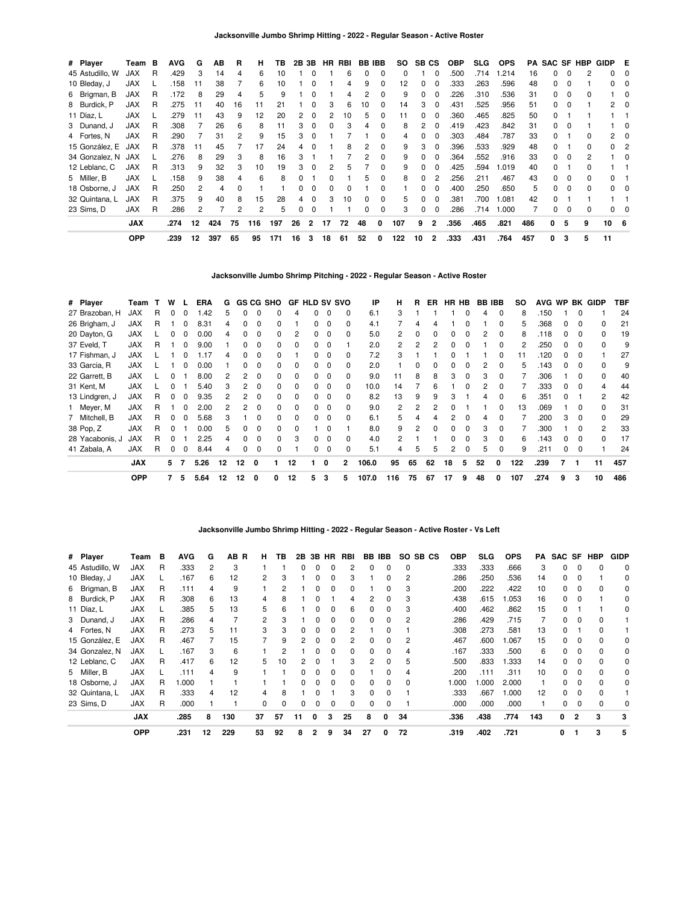| # Player        | Team       | в | <b>AVG</b> | G  | AВ  | R              | н              | ΤВ  | 2B | 3Β             | HR | RBI | BB.      | IBB      | SO.               | SB CS    |                | <b>OBP</b> | <b>SLG</b> | <b>OPS</b> | PA  |              |          | <b>SAC SF HBP</b> | GIDP E |          |
|-----------------|------------|---|------------|----|-----|----------------|----------------|-----|----|----------------|----|-----|----------|----------|-------------------|----------|----------------|------------|------------|------------|-----|--------------|----------|-------------------|--------|----------|
| 45 Astudillo, W | <b>JAX</b> | R | .429       | 3  | 14  | 4              | 6              | 10  |    | $\Omega$       |    | 6   | 0        | 0        | 0                 |          | 0              | .500       | .714       | .214       | 16  | 0            | $\Omega$ | 2                 | 0      | $\Omega$ |
| 10 Bleday, J    | <b>JAX</b> |   | .158       | 11 | 38  |                | 6              | 10  |    |                |    |     | 9        |          | $12 \overline{ }$ | 0        | 0              | .333       | .263       | .596       | 48  | 0            | $\Omega$ |                   |        |          |
| 6 Brigman, B    | JAX        | R | .172       | 8  | 29  |                | 5              | 9   |    |                |    |     |          |          | 9                 | 0        | 0              | .226       | .310       | .536       | 31  | 0            | $\Omega$ | <sup>0</sup>      |        |          |
| 8 Burdick, P    | <b>JAX</b> | R | .275       | 11 | 40  | 16             | 11             | 21  |    | <sup>0</sup>   | 3  | 6   | 10       |          | 14                | 3        | 0              | .431       | .525       | .956       | 51  | 0            | $\Omega$ |                   | 2      |          |
| 11 Díaz, L      | <b>JAX</b> |   | .279       | 11 | 43  | 9              | 12             | 20  | 2  | 0              | 2  | 10  | 5        |          | 11                | 0        | 0              | .360       | .465       | .825       | 50  | 0            |          |                   |        |          |
| 3 Dunand, J     | <b>JAX</b> | R | .308       |    | 26  | 6              | 8              | 11  | 3  | 0              | 0  | з   |          | 0        | 8                 | 2        | 0              | .419       | .423       | .842       | 31  | 0            | $\Omega$ |                   |        | 0        |
| 4 Fortes, N     | <b>JAX</b> | R | .290       |    | 31  |                | 9              | 15  | 3  | $\Omega$       |    |     |          |          |                   | 0        | 0              | .303       | .484       | .787       | 33  | 0            |          | 0                 | 2      |          |
| 15 González, E  | JAX        | R | .378       | 11 | 45  |                | 17             | 24  | 4  | $\Omega$       |    | 8   | 2        | 0        | 9                 | 3        | 0              | .396       | .533       | .929       | 48  | 0            |          | 0                 | 0      | 2        |
| 34 Gonzalez, N  | JAX        |   | 276        | 8  | 29  | 3              | 8              | 16  | 3  |                |    |     | 2        | $\Omega$ | 9                 | 0        | 0              | .364       | .552       | .916       | 33  | 0            | $\Omega$ | 2                 |        | $\Omega$ |
| 12 Leblanc, C   | <b>JAX</b> | R | .313       | 9  | 32  | 3              | 10             | 19  | 3  | 0              |    | 'n. |          | $\Omega$ | 9                 | 0        | 0              | .425       | .594       | 1.019      | 40  | 0            |          | 0                 |        |          |
| 5 Miller, B     | <b>JAX</b> |   | 158        | 9  | 38  | 4              | 6              | 8   | O. |                | n  |     | 5        | $\Omega$ | 8                 | $\Omega$ | 2              | .256       | .211       | .467       | 43  | 0            | $\Omega$ | <sup>0</sup>      | 0      |          |
| 18 Osborne, J   | JAX        | R | .250       | 2  | 4   |                |                |     | O. | $\Omega$       | 0  |     |          |          |                   | 0        | 0              | .400       | .250       | .650       | 5   | $\Omega$     | $\Omega$ | <sup>0</sup>      | 0      |          |
| 32 Quintana, L  | <b>JAX</b> | R | .375       | 9  | 40  | 8              | 15             | 28  | 4  | $\Omega$       | 3  | 10  | $\Omega$ | - 0      | 5                 | 0        | 0              | .381       | .700       | 1.081      | 42  | <sup>0</sup> |          |                   |        |          |
| 23 Sims, D      | <b>JAX</b> | R | .286       | 2  |     | $\overline{2}$ | $\overline{2}$ | 5   | 0  | 0              |    |     | 0        | - 0      | 3                 | 0        | 0              | .286       | .714       | 1.000      |     | <sup>0</sup> | $\Omega$ | 0                 |        |          |
|                 | <b>JAX</b> |   | .274       | 12 | 424 | 75             | 116            | 197 | 26 | $\overline{2}$ | 17 | 72  | 48       | 0        | 107               | 9        | $\overline{2}$ | .356       | .465       | .821       | 486 | 0            | 5        | 9                 | 10 6   |          |
|                 | <b>OPP</b> |   | .239       | 12 | 397 | 65             | 95             | 171 | 16 | 3              | 18 | 61  | 52       | 0        | 122               | 10       | $\overline{2}$ | .333       | .431       | .764       | 457 | 0            | 3        | 5                 | 11     |          |

**Jacksonville Jumbo Shrimp Pitching - 2022 - Regular Season - Active Roster**

| # Player        | Team       |    | w |              | ERA  | G  |              |              | <b>GS CG SHO</b> |              | <b>GF HLD SV SVO</b> |             |                | ΙP    | н              | R  | ER.          |              | HR HB        |    | <b>BB IBB</b> | so  |      |              |              | AVG WP BK GIDP | TBF |
|-----------------|------------|----|---|--------------|------|----|--------------|--------------|------------------|--------------|----------------------|-------------|----------------|-------|----------------|----|--------------|--------------|--------------|----|---------------|-----|------|--------------|--------------|----------------|-----|
| 27 Brazoban, H  | <b>JAX</b> | R  | 0 | 0            | .42  | 5. | 0            | 0            | 0                | 4            | 0                    | 0           | 0              | 6.1   | 3              |    |              |              | 0            | 4  | $\Omega$      | 8   | .150 |              | 0            |                | 24  |
| 26 Brigham, J   | <b>JAX</b> | R  |   | $\Omega$     | 8.31 | 4  | 0            | 0            | 0                |              | 0                    | $\Omega$    | $\Omega$       | 4.1   |                | 4  |              |              |              |    | <sup>0</sup>  | 5   | .368 | 0            | 0            | 0              | 21  |
| 20 Dayton, G    | <b>JAX</b> |    | 0 | n            | 0.00 | 4  | <sup>0</sup> | <sup>0</sup> | 0                | 2            | 0                    | $\Omega$    | 0              | 5.0   | $\overline{2}$ | 0  |              | 0            | O            | 2  | $\Omega$      | 8   | .118 | 0            | <sup>0</sup> | <sup>0</sup>   | 19  |
| 37 Eveld, T     | <b>JAX</b> | R  |   | <sup>0</sup> | 9.00 |    |              | <sup>0</sup> | 0                | <sup>0</sup> | n.                   | $\Omega$    |                | 2.0   | $\overline{2}$ | 2  |              |              |              |    | $\Omega$      | 2   | 250  | <sup>0</sup> | <sup>0</sup> | <sup>0</sup>   | 9   |
| 17 Fishman, J   | <b>JAX</b> |    |   |              | .17  |    |              |              | 0                |              | O.                   | $\Omega$    | <sup>0</sup>   | 7.2   | 3              |    |              |              |              |    |               | 11  | 120  | <sup>0</sup> | <sup>0</sup> |                | 27  |
| 33 Garcia, R    | <b>JAX</b> |    |   |              | 0.00 |    |              |              | 0                | $\Omega$     | O.                   | $\Omega$    | 0              | 2.0   |                | 0  |              |              |              | 2  |               | 5   | .143 | 0            | <sup>0</sup> | <sup>0</sup>   | 9   |
| 22 Garrett, B   | <b>JAX</b> |    | 0 |              | 8.00 |    |              |              | 0                | 0            | 0                    | 0           |                | 9.0   | 11             | 8  | 8            | 3            | 0            | 3  |               |     | .306 |              | O            | 0              | 40  |
| 31 Kent, M      | <b>JAX</b> |    | 0 |              | 5.40 |    |              |              | 0                | 0            | 0                    | 0           | 0              | 10.0  | 14             |    |              |              |              |    |               |     | .333 | 0            | 0            |                | 44  |
| 13 Lindgren, J  | <b>JAX</b> | R  | 0 | $\Omega$     | 9.35 | 2  | 2            | 0            | 0                | 0            | 0                    | 0           | 0              | 8.2   | 13             | 9  | 9            | 3            |              | 4  | 0             | 6   | .351 | 0            |              | 2              | 42  |
| 1 Meyer, M      | <b>JAX</b> | R  |   | $\Omega$     | 2.00 |    | 2            | 0            | 0                | $\Omega$     | 0                    | 0           | 0              | 9.0   | 2              |    |              |              |              |    | <sup>0</sup>  | 13  | .069 |              | 0            | 0              | 31  |
| 7 Mitchell, B   | <b>JAX</b> | R. | 0 | $\Omega$     | 5.68 | 3  |              | O            | 0                | $\Omega$     | 0                    | $\Omega$    | $\Omega$       | 6.1   | 5              | 4  | 4            | 2            | <sup>0</sup> | 4  | n             |     | .200 | 3            | $\Omega$     | $\Omega$       | 29  |
| 38 Pop, Z       | <b>JAX</b> | R  | 0 |              | 0.00 | 5. | <sup>0</sup> | $\Omega$     | 0                | $\Omega$     |                      | $\Omega$    |                | 8.0   | 9              | 2  | <sup>0</sup> | <sup>0</sup> | $\Omega$     | 3  | $\Omega$      |     | .300 |              | <sup>0</sup> | 2              | 33  |
| 28 Yacabonis, J | <b>JAX</b> | R  | ŋ |              | 2.25 | 4  | $\Omega$     | $\Omega$     | 0                | 3            | O.                   | $\Omega$    | $\Omega$       | 4.0   | $\mathcal{P}$  |    |              | ŋ            | $\Omega$     | 3  | $\Omega$      | 6   | .143 | 0            | <sup>0</sup> | $\Omega$       | 17  |
| 41 Zabala, A    | <b>JAX</b> | R  | 0 | $\Omega$     | 8.44 | 4  | $\Omega$     | 0            | 0                |              | O.                   | $\Omega$    | $\Omega$       | 5.1   | 4              | 5  | 5            | 2            | $\Omega$     | 5  | $\Omega$      | 9   | .211 | 0            | $\Omega$     |                | 24  |
|                 | <b>JAX</b> |    | 5 |              | 5.26 | 12 | 12           | 0            |                  | 12           |                      | $\mathbf 0$ | $\overline{2}$ | 106.0 | 95             | 65 | 62           | 18           | 5            | 52 | 0             | 122 | .239 |              |              | 11             | 457 |
|                 | <b>OPP</b> |    |   | 5            | 5.64 | 12 | 12           | 0            | 0                | 12           | 5                    | 3           | 5              | 107.0 | 116            | 75 | 67           | 17           | 9            | 48 | 0             | 107 | .274 | 9            | 3            | 10             | 486 |

### **Jacksonville Jumbo Shrimp Hitting - 2022 - Regular Season - Active Roster - Vs Left**

| # Player        | Team       | в | <b>AVG</b> | G  | AB R | н              | ΤВ | 2B |          | 3B HR        | RBI | BB           | IBB          |              | SO SB CS | <b>OBP</b> | SLG  | <b>OPS</b> | PA  | SAC SF |              | HBP | <b>GIDP</b> |
|-----------------|------------|---|------------|----|------|----------------|----|----|----------|--------------|-----|--------------|--------------|--------------|----------|------------|------|------------|-----|--------|--------------|-----|-------------|
| 45 Astudillo, W | JAX        | R | .333       | 2  | 3    |                |    | O. | $\Omega$ | 0            |     |              | <sup>0</sup> | $\Omega$     |          | .333       | .333 | .666       | 3   | 0      | 0            |     | 0           |
| 10 Bleday, J    | <b>JAX</b> |   | .167       | 6  | 12   | 2              | з  |    |          |              | 3   |              | <sup>0</sup> | 2            |          | 286        | .250 | .536       | 14  | 0      |              |     | 0           |
| 6 Brigman, B    | <b>JAX</b> | R | .111       | 4  | 9    |                |    |    |          |              |     |              |              |              |          | .200       | .222 | .422       | 10  | 0      |              |     | 0           |
| 8 Burdick, P    | JAX        | R | .308       | 6  | 13   | 4              | 8  |    |          |              |     |              |              | з            |          | .438       | .615 | 0.053      | 16  | 0      |              |     | 0           |
| 11 Díaz, L      | <b>JAX</b> | L | .385       | 5  | 13   | 5              | 6  |    |          |              | 6   |              |              | 3            |          | .400       | .462 | .862       | 15  | 0      |              |     | 0           |
| 3 Dunand, J     | <b>JAX</b> | R | .286       | 4  |      | $\overline{2}$ | 3  |    |          |              |     | 0            | 0            | 2            |          | 286        | .429 | .715       |     | 0      |              |     |             |
| 4 Fortes, N     | <b>JAX</b> | R | .273       | 5  | 11   | 3              | 3  | 0  | 0        | $\Omega$     |     |              | $\Omega$     |              |          | .308       | .273 | .581       | 13  | 0      |              |     |             |
| 15 González, E  | <b>JAX</b> | R | .467       |    | 15   |                | 9  | 2  | n        | <sup>0</sup> |     | 0            | <sup>0</sup> | 2            |          | .467       | .600 | 1.067      | 15  | 0      | <sup>0</sup> |     | 0           |
| 34 Gonzalez, N  | <b>JAX</b> |   | .167       | з  | 6    |                |    |    |          |              | 0   | <sup>0</sup> | $\Omega$     |              |          | .167       | .333 | .500       | 6   | 0      | <sup>0</sup> |     | 0           |
| 12 Leblanc, C   | <b>JAX</b> | R | .417       | 6  | 12   | 5              | 10 |    |          |              |     |              | <sup>0</sup> | 5            |          | .500       | .833 | .333       | 14  | O.     |              |     | 0           |
| 5 Miller, B     | <b>JAX</b> |   | .111       |    | 9    |                |    |    |          |              |     |              |              |              |          | .200       | .111 | .311       | 10  | O.     |              |     | 0           |
| 18 Osborne, J   | <b>JAX</b> | R | 1.000      |    |      |                |    | O. |          |              |     |              |              | <sup>0</sup> |          | 000.1      | .000 | 2.000      |     | O.     |              |     | 0           |
| 32 Quintana, L  | <b>JAX</b> | R | .333       | 4  | 12   | 4              | 8  |    |          |              | з   |              |              |              |          | .333       | .667 | 1.000      | 12  | O.     |              |     |             |
| 23 Sims, D      | <b>JAX</b> | R | .000       |    |      | 0              | 0  | 0  | 0        | 0            | 0   | 0            |              |              |          | .000       | .000 | .000       |     | 0      | 0            |     | 0           |
|                 | <b>JAX</b> |   | .285       | 8  | 130  | 37             | 57 | 11 | 0        | 3            | 25  | 8            | 0            | 34           |          | .336       | .438 | .774       | 143 | 0      | 2            | 3   | 3           |
|                 | OPP        |   | .231       | 12 | 229  | 53             | 92 |    | 2        | 9            | 34  | 27           | 0            | 72           |          | .319       | .402 | .721       |     | 0      |              | 3   | 5           |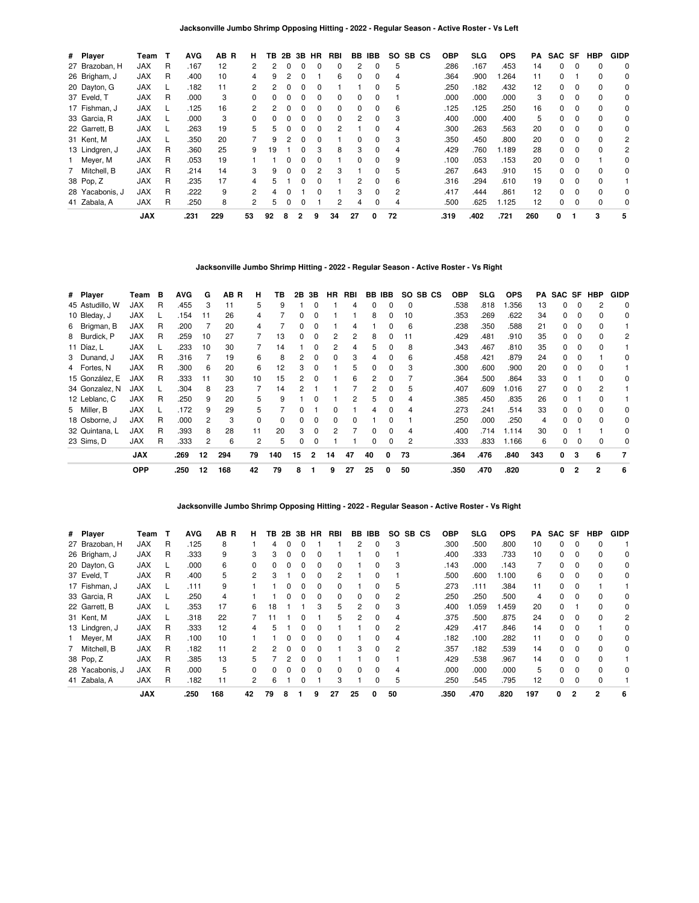| # Player        | Team       | т | <b>AVG</b> | AB R | н.             | ΤВ | 2B           | 3В           | HR | RBI | BB       | IBB          | SO. | SB CS | <b>OBP</b> | SLG  | <b>OPS</b> | PA  | SAC SF |          | <b>HBP</b> | <b>GIDP</b> |
|-----------------|------------|---|------------|------|----------------|----|--------------|--------------|----|-----|----------|--------------|-----|-------|------------|------|------------|-----|--------|----------|------------|-------------|
| 27 Brazoban, H  | <b>JAX</b> | R | .167       | 12   | 2              | 2  |              |              |    | 0   | 2        | $\Omega$     | 5   |       | .286       | .167 | .453       | 14  | 0      |          | 0          | 0           |
| 26 Brigham, J   | <b>JAX</b> | R | .400       | 10   | 4              | 9  |              |              |    | 6   | 0        | 0            | 4   |       | .364       | .900 | .264       | 11  | 0      |          | 0          | 0           |
| 20 Dayton, G    | <b>JAX</b> |   | .182       | 11   | $\mathbf{2}$   | 2  |              | 0            |    |     |          | 0            | 5   |       | .250       | .182 | .432       | 12  | 0      | $\Omega$ | 0          | 0           |
| 37 Eveld, T     | <b>JAX</b> | R | .000       | 3    | <sup>0</sup>   |    |              |              |    | 0   | $\Omega$ | <sup>0</sup> |     |       | .000       | .000 | .000       | 3   | 0      | $\Omega$ | $\Omega$   | 0           |
| 17 Fishman, J   | <b>JAX</b> |   | .125       | 16   | 2              | 2  |              |              |    | 0   | 0        | 0            | 6   |       | .125       | .125 | .250       | 16  | 0      |          | 0          | 0           |
| 33 Garcia, R    | <b>JAX</b> |   | .000       | 3    | $\Omega$       | O. |              | 0            | 0  | 0   | 2        | 0            | 3   |       | .400       | .000 | .400       | 5   | 0      | $\Omega$ | $\Omega$   | 0           |
| 22 Garrett, B   | <b>JAX</b> |   | .263       | 19   | 5              | 5  | <sup>n</sup> | <sup>0</sup> | U  | 2   |          | ŋ            | 4   |       | .300       | .263 | .563       | 20  | 0      | $\Omega$ | $\Omega$   | 0           |
| 31 Kent, M      | <b>JAX</b> |   | .350       | 20   |                | 9  |              |              |    |     | $\Omega$ |              | 3   |       | .350       | .450 | .800       | 20  | 0      |          | $\Omega$   | 2           |
| 13 Lindgren, J  | JAX        | R | .360       | 25   | 9              | 19 |              | 0            | 3  | 8   | 3        | 0            | 4   |       | .429       | .760 | 1.189      | 28  | 0      | $\Omega$ | 0          | 2           |
| 1 Meyer, M      | <b>JAX</b> | R | .053       | 19   |                |    |              | <sup>0</sup> | O  |     | $\Omega$ | $\Omega$     | 9   |       | .100       | .053 | .153       | 20  | 0      | $\Omega$ |            | $\Omega$    |
| 7 Mitchell, B   | <b>JAX</b> | R | .214       | 14   | 3              | 9  |              |              | 2  | 3   |          |              | 5   |       | .267       | .643 | .910       | 15  | 0      | $\Omega$ | $\Omega$   | 0           |
| 38 Pop, Z       | <b>JAX</b> | R | .235       | 17   | 4              | 5  |              |              |    |     | 2        | $\Omega$     | 6   |       | .316       | .294 | .610       | 19  | 0      | $\Omega$ | $\Omega$   |             |
| 28 Yacabonis, J | <b>JAX</b> | R | .222       | 9    | $\overline{2}$ | 4  |              |              | ŋ  |     | 3        | $\Omega$     | 2   |       | .417       | .444 | .861       | 12  | 0      | $\Omega$ | $\Omega$   | 0           |
| 41 Zabala, A    | <b>JAX</b> | R | .250       | 8    | 2              | 5  |              |              |    | 2   | 4        | 0            | 4   |       | .500       | .625 | 1.125      | 12  | 0      | 0        | 0          | 0           |
|                 | <b>JAX</b> |   | .231       | 229  | 53             | 92 | 8            | 2            | 9  | 34  | 27       | 0            | 72  |       | .319       | .402 | .721       | 260 | 0      |          | 3          | 5           |

# **Jacksonville Jumbo Shrimp Hitting - 2022 - Regular Season - Active Roster - Vs Right**

| # Player        | Геаm       | в | <b>AVG</b> | G  | AB R | н            | ΤВ  | 2В | 3B           | HR | RBI |    | BB IBB       |    | SO SB CS | <b>OBP</b> | <b>SLG</b> | <b>OPS</b> | PA  |   |              | SAC SF HBP | <b>GIDP</b> |
|-----------------|------------|---|------------|----|------|--------------|-----|----|--------------|----|-----|----|--------------|----|----------|------------|------------|------------|-----|---|--------------|------------|-------------|
| 45 Astudillo, W | JAX        | R | .455       | 3  | 11   | 5            | 9   |    | $\Omega$     |    | 4   | 0  | 0            | 0  |          | .538       | .818       | 1.356      | 13  | 0 | 0            |            | 0           |
| 10 Bleday, J    | <b>JAX</b> |   | .154       | 11 | 26   | 4            |     | 0  | 0            |    |     | 8  | 0            | 10 |          | .353       | .269       | .622       | 34  | 0 | 0            | 0          | 0           |
| 6 Brigman, B    | <b>JAX</b> | R | .200       |    | 20   | 4            |     | 0  | 0            |    | 4   |    |              | 6  |          | .238       | .350       | .588       | 21  | 0 | 0            |            |             |
| 8 Burdick, P    | <b>JAX</b> | R | .259       | 10 | 27   |              | 13  | 0  | 0            | 2  | 2   | 8  | 0            | 11 |          | .429       | .481       | .910       | 35  | 0 | 0            | $\Omega$   | 2           |
| 11 Díaz, L      | <b>JAX</b> |   | .233       | 10 | 30   |              | 14  |    | $\Omega$     | 2  | 4   | 5  |              | 8  |          | .343       | .467       | .810       | 35  | 0 |              |            |             |
| 3 Dunand, J     | <b>JAX</b> | R | .316       |    | 19   | 6            | 8   | 2  | $\Omega$     | 0  | 3   |    |              | 6  |          | .458       | .421       | .879       | 24  | 0 |              |            | 0           |
| 4 Fortes, N     | <b>JAX</b> | R | .300       | 6  | 20   | 6            | 12  | 3  |              |    | 5   |    |              | 3  |          | .300       | .600       | .900       | 20  | 0 |              |            |             |
| 15 González, E  | <b>JAX</b> | R | .333       | 11 | 30   | 10           | 15  | 2  | 0            |    | 6   | 2  |              |    |          | .364       | .500       | .864       | 33  | 0 |              |            | 0           |
| 34 Gonzalez, N  | <b>JAX</b> |   | .304       | 8  | 23   |              | 14  |    |              |    |     | 2  | 0            | 5  |          | .407       | .609       | 1.016      | 27  | 0 | 0            |            |             |
| 12 Leblanc, C   | <b>JAX</b> | R | .250       | 9  | 20   | 5            | 9   |    | $\Omega$     |    | 2   | 5  | 0            | 4  |          | .385       | .450       | .835       | 26  | 0 |              | 0          |             |
| 5 Miller, B     | <b>JAX</b> |   | .172       | 9  | 29   | 5            |     | 0  |              | 0  |     | 4  | <sup>0</sup> | 4  |          | .273       | .241       | .514       | 33  | 0 | <sup>0</sup> | $\Omega$   | 0           |
| 18 Osborne, J   | <b>JAX</b> | R | .000       | 2  | 3    | <sup>0</sup> | 0   | 0  | 0            | 0  | 0   |    |              |    |          | .250       | .000       | .250       | 4   | 0 |              | $\Omega$   | 0           |
| 32 Quintana, L  | <b>JAX</b> | R | .393       | 8  | 28   | 11           | 20  | 3  | 0            | 2  |     |    |              | 4  |          | .400       | .714       | 1.114      | 30  | 0 |              |            | 0           |
| 23 Sims, D      | <b>JAX</b> | R | .333       | 2  | 6    | 2            | 5   | 0  | 0            |    |     | 0  | 0            | 2  |          | .333       | .833       | 1.166      | 6   | 0 |              | $\Omega$   | 0           |
|                 | <b>JAX</b> |   | .269       | 12 | 294  | 79           | 140 | 15 | $\mathbf{2}$ | 14 | 47  | 40 | 0            | 73 |          | .364       | .476       | .840       | 343 | 0 | 3            | 6          |             |
|                 | <b>OPP</b> |   | .250       | 12 | 168  | 42           | 79  | 8  |              | 9  | 27  | 25 | 0            | 50 |          | .350       | .470       | .820       |     | 0 | 2            | 2          | 6           |

### **Jacksonville Jumbo Shrimp Opposing Hitting - 2022 - Regular Season - Active Roster - Vs Right**

| # Player        | Team       | т | <b>AVG</b> | AB<br>R | н.           | ΤВ | 2Β | 3В | HR           | RBI | BB.          | IBB      | SO. | SB.<br>CS | <b>OBP</b> | <b>SLG</b> | <b>OPS</b> | PA  | SAC SF   |              | <b>HBP</b>     | <b>GIDP</b> |
|-----------------|------------|---|------------|---------|--------------|----|----|----|--------------|-----|--------------|----------|-----|-----------|------------|------------|------------|-----|----------|--------------|----------------|-------------|
| 27 Brazoban, H  | <b>JAX</b> | R | .125       | 8       |              | 4  |    |    |              |     |              | 0        | 3   |           | .300       | .500       | .800       | 10  | 0        | $\Omega$     | $\Omega$       |             |
| 26 Brigham, J   | <b>JAX</b> | R | .333       | 9       | 3            | 3  | ი  |    | 0            |     |              | 0        |     |           | .400       | .333       | .733       | 10  | 0        | $\Omega$     | $\Omega$       | 0           |
| 20 Dayton, G    | <b>JAX</b> |   | .000       | 6       | 0            | 0  | ŋ  | n  | 0            | 0   |              | 0        | 3   |           | .143       | .000       | .143       | 7   | $\Omega$ | $\Omega$     | $\Omega$       | 0           |
| 37 Eveld, T     | <b>JAX</b> | R | .400       | 5       | 2            | з  |    |    | 0            | 2   |              | 0        |     |           | .500       | .600       | 1.100      | 6   | 0        | $\Omega$     | $\Omega$       | 0           |
| 17 Fishman, J   | <b>JAX</b> |   | .111       | 9       |              |    |    |    | 0            | 0   |              | 0        | 5   |           | .273       | .111       | .384       | 11  | 0        | 0            |                |             |
| 33 Garcia, R    | <b>JAX</b> |   | .250       | 4       |              |    | n  |    | 0            | 0   | <sup>0</sup> | $\Omega$ | 2   |           | .250       | .250       | .500       | 4   | $\Omega$ | $\Omega$     | $\Omega$       | $\Omega$    |
| 22 Garrett, B   | <b>JAX</b> |   | .353       | 17      | 6            | 18 |    |    | 3            | 5   |              | 0        | 3   |           | .400       | .059       | 1.459      | 20  | 0        |              | $\Omega$       | 0           |
| 31 Kent, M      | <b>JAX</b> |   | .318       | 22      |              | 11 |    |    |              | 5   |              | 0        | 4   |           | .375       | .500       | .875       | 24  | 0        | 0            | $\Omega$       | 2           |
| 13 Lindgren, J  | <b>JAX</b> | R | .333       | 12      | 4            | 5  |    |    | 0            |     |              | $\Omega$ | 2   |           | .429       | .417       | .846       | 14  | $\Omega$ | $\Omega$     |                | $\Omega$    |
| 1 Meyer, M      | <b>JAX</b> | R | .100       | 10      |              |    |    |    | 0            | 0   |              | 0        | 4   |           | .182       | .100       | .282       | 11  | 0        | $\Omega$     | $\Omega$       | 0           |
| 7 Mitchell, B   | <b>JAX</b> | R | .182       | 11      | 2            | 2  |    |    | 0            |     | 3            | $\Omega$ | 2   |           | .357       | .182       | .539       | 14  | 0        | $\Omega$     | $\Omega$       | $\Omega$    |
| 38 Pop, Z       | <b>JAX</b> | R | .385       | 13      | 5.           |    | 2  |    | 0            |     |              | 0        |     |           | .429       | .538       | .967       | 14  | 0        | $\Omega$     | $\Omega$       |             |
| 28 Yacabonis, J | <b>JAX</b> | R | .000       | 5       | <sup>0</sup> | 0  |    |    | <sup>0</sup> | 0   | <sup>0</sup> | 0        | 4   |           | .000       | .000       | .000       | 5   | 0        | $\Omega$     | $\Omega$       | 0           |
| 41 Zabala, A    | <b>JAX</b> | R | .182       | 11      | 2            | 6  |    |    |              | 3   |              | 0        | 5   |           | .250       | .545       | .795       | 12  | 0        | $\Omega$     | $\Omega$       |             |
|                 | <b>JAX</b> |   | .250       | 168     | 42           | 79 | 8  |    | 9            | 27  | 25           | 0        | 50  |           | .350       | .470       | .820       | 197 | 0        | $\mathbf{2}$ | $\overline{2}$ | 6           |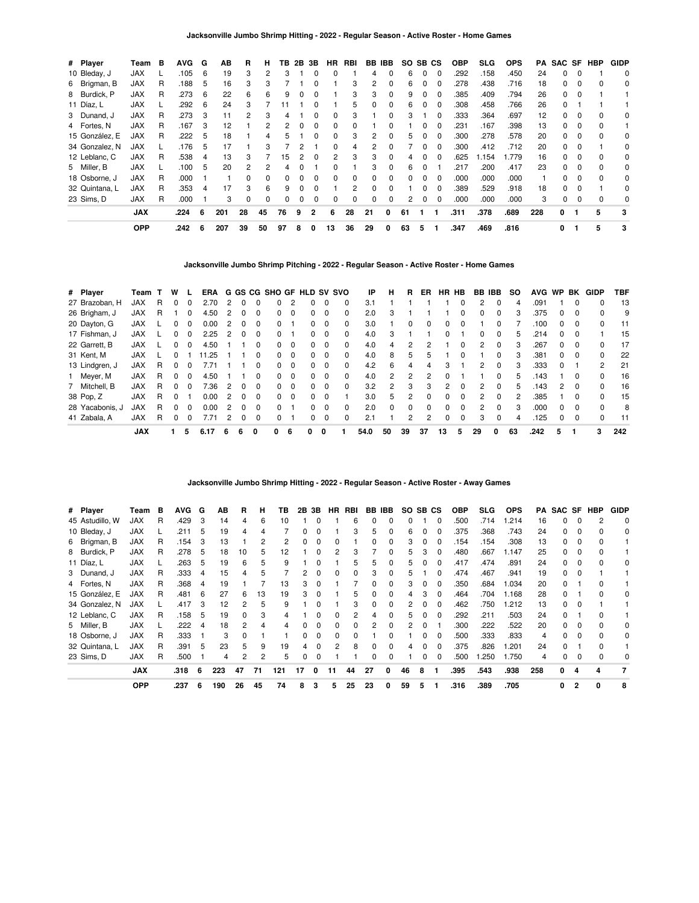| # Player       | Team       | в | AVG. | G  | AВ  | R  | н        | ΤВ | 2B | 3B           | HR | RBI | BB IBB       |              | SO. | SB CS        |          | <b>OBP</b> | SLG.  | <b>OPS</b> | PA  |    |              | SAC SF HBP | <b>GIDP</b> |
|----------------|------------|---|------|----|-----|----|----------|----|----|--------------|----|-----|--------------|--------------|-----|--------------|----------|------------|-------|------------|-----|----|--------------|------------|-------------|
| 10 Bleday, J   | <b>JAX</b> |   | .105 | 6  | 19  | 3  |          | з  |    |              | 0  |     |              |              | 6   |              | $\Omega$ | .292       | .158  | .450       | 24  | 0  |              |            | 0           |
| 6 Brigman, B   | JAX        | R | .188 | 5  | 16  | з  | 3        |    |    |              |    | 3   | 2            | 0            | 6   |              |          | .278       | .438  | .716       | 18  | 0  |              |            | 0           |
| 8 Burdick, P   | JAX        | R | .273 | 6  | 22  | 6  | 6        | 9  | 0  |              |    | 3   | 3            | 0            | 9   |              |          | .385       | .409  | .794       | 26  | 0  | 0            |            |             |
| 11 Díaz, L     | <b>JAX</b> |   | .292 | 6  | 24  | 3  |          |    |    |              |    | 5   | 0            | $\Omega$     | 6   | <sup>0</sup> | $\Omega$ | .308       | .458  | .766       | 26  | 0  |              |            |             |
| 3 Dunand, J    | JAX        | R | .273 | 3  | 11  | 2  | 3        | 4  |    | 0            | 0  | 3   |              | 0            | 3   |              | $\Omega$ | .333       | .364  | .697       | 12  | 0  | $\Omega$     | $\Omega$   | 0           |
| 4 Fortes, N    | <b>JAX</b> | R | .167 | 3  | 12  |    | 2        |    | 0  | 0            | 0  | 0   |              |              |     |              |          | .231       | .167  | .398       | 13  | 0  | <sup>0</sup> | $\Omega$   |             |
| 15 González, E | <b>JAX</b> | R | .222 | 5  | 18  |    | 4        | h  |    |              | ŋ  | 3   | 2            |              | 5   |              |          | .300       | .278  | .578       | 20  | 0  |              | $\Omega$   | 0           |
| 34 Gonzalez, N | JAX        |   | .176 | 5  | 17  |    | 3        |    | 2  |              | 0  | 4   | 2            | 0            |     | 0            | 0        | .300       | .412  | .712       | 20  | 0  |              |            | 0           |
| 12 Leblanc, C  | <b>JAX</b> | R | .538 | 4  | 13  | 3  |          | 15 | 2  | $\Omega$     | 2  | 3   | 3            | 0            | 4   | 0            | $\Omega$ | .625       | 1.154 | 1.779      | 16  | 0  | $\Omega$     | $\Omega$   | 0           |
| 5 Miller, B    | <b>JAX</b> |   | .100 | 5  | 20  | 2  | 2        | 4  | o  |              | ŋ  |     | 3            | <sup>0</sup> | 6   | <sup>0</sup> |          | .217       | .200  | .417       | 23  | 0  | <sup>0</sup> | $\Omega$   | 0           |
| 18 Osborne, J  | <b>JAX</b> | R | .000 |    |     | n  | 0        |    | 0  | <sup>0</sup> | ŋ  | 0   | <sup>0</sup> | 0            | 0   |              |          | .000       | .000  | .000       |     | O. |              | $\Omega$   | 0           |
| 32 Quintana, L | JAX        | R | .353 | 4  |     | з  | 6        | 9  | 0  |              |    |     |              |              |     |              |          | .389       | .529  | .918       | 18  | 0  |              |            | 0           |
| 23 Sims. D     | <b>JAX</b> | R | .000 |    | 3   | 0  | $\Omega$ | 0  | 0  | 0            | 0  | 0   | 0            | $\Omega$     | 2   | 0            | 0        | .000       | .000  | .000       | 3   | 0  |              |            | 0           |
|                | <b>JAX</b> |   | .224 | 6  | 201 | 28 | 45       | 76 | 9  | 2            | 6  | 28  | 21           | 0            | 61  |              |          | .311       | .378  | .689       | 228 | 0  |              | 5          | 3           |
|                | <b>OPP</b> |   | .242 | -6 | 207 | 39 | 50       | 97 | 8  | 0            | 13 | 36  | 29           | 0            | 63  | 5            |          | .347       | .469  | .816       |     | 0  |              | 5          | 3           |

**Jacksonville Jumbo Shrimp Pitching - 2022 - Regular Season - Active Roster - Home Games**

| # Player        | Team       |   | w            |              |       |   |          |          | ERA G GS CG SHO GF HLD SV SVO |          |   |          |   | ΙP   | н  | R        | ER. | <b>HR</b> | HB           | BB IBB |          | <b>SO</b> | <b>AVG</b> | WP BK        |          | GIDP           | TBF |
|-----------------|------------|---|--------------|--------------|-------|---|----------|----------|-------------------------------|----------|---|----------|---|------|----|----------|-----|-----------|--------------|--------|----------|-----------|------------|--------------|----------|----------------|-----|
| 27 Brazoban, H  | JAX        | R |              | 0            | 2.70  | 2 |          |          | 0                             |          | 0 |          | 0 | 3.1  |    |          |     |           |              | 2      | 0        | 4         | .091       |              | 0        |                | 13  |
| 26 Brigham, J   | <b>JAX</b> | R |              | 0            | 4.50  |   |          |          | 0                             |          | 0 |          | 0 | 2.0  | 3  |          |     |           |              | 0      | 0        |           | .375       |              |          | 0              | 9   |
| 20 Dayton, G    | <b>JAX</b> |   |              | 0            | 0.00  | 2 |          | $\Omega$ | 0                             |          | 0 | $\Omega$ | 0 | 3.0  |    | 0        | 0   | 0         | 0            |        | 0        |           | .100       | <sup>0</sup> | $\Omega$ | 0              | 11  |
| 17 Fishman, J   | <b>JAX</b> |   |              | 0            | 2.25  | 2 |          | 0        | 0                             |          | 0 | $\Omega$ | 0 | 4.0  | 3  |          |     |           |              | 0      | $\Omega$ | 5         | .214       | 0            | $\Omega$ |                | 15  |
| 22 Garrett, B   | <b>JAX</b> |   |              | 0            | 4.50  |   |          | $\Omega$ | 0                             | $\Omega$ | 0 | $\Omega$ | 0 | 4.0  | 4  | 2        | 2   |           | 0            | 2      | $\Omega$ |           | .267       | 0            | $\Omega$ | 0              | 17  |
| 31 Kent, M      | <b>JAX</b> |   |              |              | 11.25 |   |          | $\Omega$ | <sup>o</sup>                  | $\Omega$ | 0 | $\Omega$ | 0 | 4.0  | 8  | 5        | 5   |           | $\Omega$     |        | $\Omega$ | 3         | .381       | <sup>0</sup> | $\Omega$ | $\Omega$       | 22  |
| 13 Lindgren, J  | <b>JAX</b> | R |              | 0            | 7.71  |   |          |          | 0                             | $\Omega$ | 0 |          | 0 | 4.2  | 6  | 4        | 4   | 3         |              | 2      | $\Omega$ |           | .333       | <sup>0</sup> |          | $\overline{2}$ | 21  |
| 1 Meyer, M      | <b>JAX</b> | R | <sup>n</sup> | <sup>0</sup> | 4.50  |   |          | $\Omega$ | <sup>o</sup>                  | $\Omega$ | 0 | $\Omega$ | 0 | 4.0  | 2  | 2        | 2   | $\Omega$  |              |        | 0        | 5         | .143       |              | $\Omega$ | <sup>0</sup>   | 16  |
| Mitchell, B     | <b>JAX</b> | R |              | 0            | 7.36  | 2 | $\Omega$ | $\Omega$ | 0                             | $\Omega$ | 0 | $\Omega$ | 0 | 3.2  | 2  | 3        | 3   | 2         | 0            | 2      | 0        | 5         | .143       | 2            | $\Omega$ | 0              | 16  |
| 38 Pop, Z       | <b>JAX</b> | R |              |              | 0.00  | 2 |          | $\Omega$ | 0                             | $\Omega$ | 0 | $\Omega$ |   | 3.0  | 5  | 2        | 0   | $\Omega$  | <sup>0</sup> | 2      | $\Omega$ | 2         | .385       |              | $\Omega$ | $\Omega$       | 15  |
| 28 Yacabonis, J | JAX        | R |              | 0            | 0.00  | 2 |          | $\Omega$ | 0                             |          | 0 | $\Omega$ | 0 | 2.0  | 0  | $\Omega$ | 0   | ŋ         | $\Omega$     | 2      | 0        | 3         | .000       | <sup>0</sup> | $\Omega$ | $\Omega$       | 8   |
| 41 Zabala, A    | <b>JAX</b> | R |              | 0            | 7.71  | 2 |          |          | 0                             |          | 0 |          | 0 | 2.1  |    | 2        | 2   |           |              | 3      | $\Omega$ | 4         | .125       |              |          |                | 11  |
|                 | <b>JAX</b> |   |              | 5            | 6.17  | 6 | 6        | 0        | 0                             | 6        | 0 | 0        |   | 54.0 | 50 | 39       | 37  | 13        | 5            | 29     | 0        | 63        | .242       | 5            |          | 3              | 242 |

**Jacksonville Jumbo Shrimp Hitting - 2022 - Regular Season - Active Roster - Away Games**

| # Player        | Team       | в | <b>AVG</b> | G | АB  | R        | н  | ΤВ  | 2B | 3В | <b>HR</b>    | RBI      |              | BB IBB | SO. | SB <sub>CS</sub> |          | <b>OBP</b> | <b>SLG</b> | <b>OPS</b> | PA  | SAC SF |                | HBP | <b>GIDP</b> |
|-----------------|------------|---|------------|---|-----|----------|----|-----|----|----|--------------|----------|--------------|--------|-----|------------------|----------|------------|------------|------------|-----|--------|----------------|-----|-------------|
| 45 Astudillo, W | <b>JAX</b> | R | .429       | 3 | 14  | 4        | 6  | 10  |    |    |              | 6        |              | 0      | ŋ   |                  | 0        | .500       | .714       | .214       | 16  | 0      | <sup>0</sup>   |     | $\Omega$    |
| 10 Bleday, J    | <b>JAX</b> |   | .211       | 5 | 19  | 4        |    |     | 0  |    |              | 3        | 5            | 0      | 6   |                  |          | .375       | .368       | .743       | 24  | 0      |                |     | 0           |
| 6 Brigman, B    | <b>JAX</b> | R | .154       | 3 | 13  |          |    |     |    |    |              |          | $\Omega$     | 0      |     |                  |          | .154       | .154       | .308       | 13  | 0      |                |     |             |
| 8 Burdick, P    | <b>JAX</b> | R | .278       | 5 | 18  | 10       | 5. | 12  |    |    |              | з        |              | 0      | 5   |                  |          | .480       | .667       | 1.147      | 25  | 0      |                |     |             |
| 11 Díaz, L      | <b>JAX</b> |   | .263       | 5 | 19  | 6        | 5  | 9   |    |    |              | 5        | 5            | 0      | 5   |                  |          | .417       | .474       | .891       | 24  | 0      |                |     | 0           |
| 3 Dunand, J     | JAX        | R | .333       | 4 | 15  |          | 5  |     |    |    |              | 0        | 3            | 0      | 5   |                  |          | .474       | .467       | .941       | 19  | 0      |                |     |             |
| 4 Fortes, N     | JAX        | R | .368       | 4 | 19  |          |    | 13  | 3  |    |              |          | 0            | 0      | 3   | 0                |          | .350       | .684       | 1.034      | 20  | 0      |                |     |             |
| 15 González, E  | <b>JAX</b> | R | .481       | 6 | 27  | 6        | 13 | 19  | 3  |    |              | 5        | 0            | 0      | 4   | 3                | $\Omega$ | .464       | .704       | 1.168      | 28  | 0      |                |     | 0           |
| 34 Gonzalez, N  | <b>JAX</b> |   | .417       | 3 | 12  | 2        | 5  | 9   |    |    |              | 3        | $\Omega$     | 0      | 2   | 0                | $\Omega$ | .462       | .750       | 1.212      | 13  | 0      | 0              |     |             |
| 12 Leblanc, C   | <b>JAX</b> | R | .158       | 5 | 19  | 0        | 3  | 4   |    |    | <sup>n</sup> | 2        | 4            | 0      | 5   | 0                | $\Omega$ | .292       | .211       | .503       | 24  | 0      |                |     |             |
| 5 Miller, B     | <b>JAX</b> |   | .222       | 4 | 18  | 2        | 4  | 4   | U  |    | n.           | $\Omega$ | 2            | 0      | 2   | <sup>0</sup>     |          | .300       | .222       | .522       | 20  | 0      | n              |     | 0           |
| 18 Osborne, J   | <b>JAX</b> | R | .333       |   | 3   | $\Omega$ |    |     | O. |    | <sup>0</sup> | $\Omega$ |              |        |     | 0                |          | 500        | .333       | .833       | 4   | O.     | n              |     | 0           |
| 32 Quintana, L  | <b>JAX</b> | R | .391       | 5 | 23  | 5        | 9  | 19  | 4  |    |              | 8        | <sup>0</sup> | 0      | 4   | n                |          | .375       | .826       | .201       | 24  | O.     |                |     |             |
| 23 Sims, D      | <b>JAX</b> | R | .500       |   | 4   | 2        | 2  | 5   | 0  | 0  |              |          | 0            | 0      |     | 0                |          | .500       | .250       | 1.750      | 4   | 0      |                |     | 0           |
|                 | <b>JAX</b> |   | .318       | 6 | 223 | 47       | 71 | 121 | 17 | 0  | 11           | 44       | 27           | 0      | 46  | 8                | -1       | .395       | .543       | .938       | 258 | 0      | 4              | 4   | 7           |
|                 | <b>OPP</b> |   | .237       | 6 | 190 | 26       | 45 | 74  | 8  | 3  | 5            | 25       | 23           | 0      | 59  | 5                |          | .316       | .389       | .705       |     | 0      | $\overline{2}$ | 0   | 8           |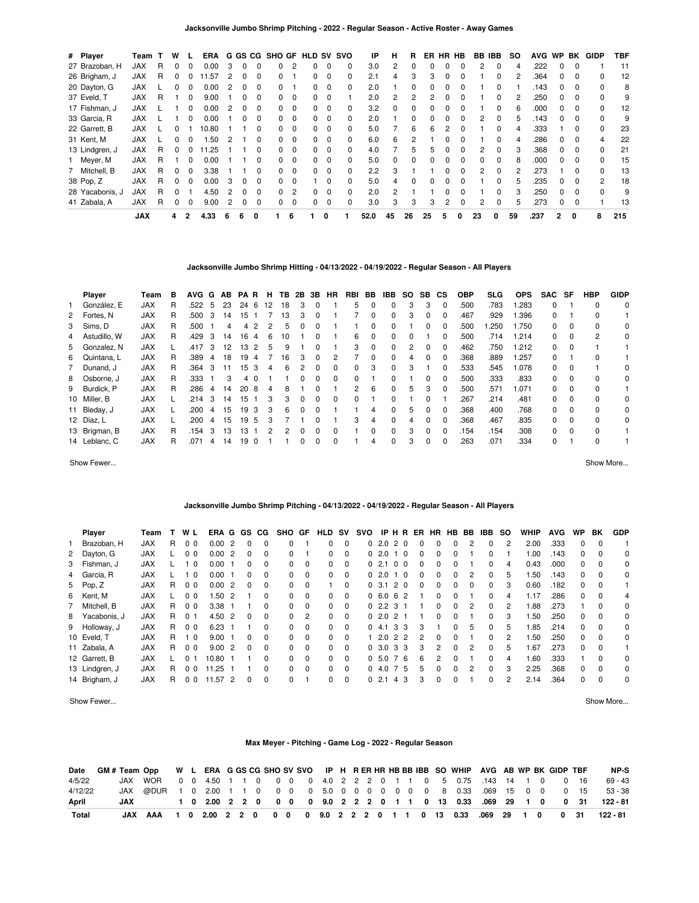| # Player        | Team       |   | w |              | ERA   |   | G GS CG      |              | <b>SHO GF HLD</b> |          |    |                         | SV SVO   | IP   | н        | R  | ER | HR | HB           | BB IBB       |              | <b>SO</b> | <b>AVG</b> | <b>WP</b>    | BK       | GIDP         | TBF |
|-----------------|------------|---|---|--------------|-------|---|--------------|--------------|-------------------|----------|----|-------------------------|----------|------|----------|----|----|----|--------------|--------------|--------------|-----------|------------|--------------|----------|--------------|-----|
| 27 Brazoban, H  | <b>JAX</b> | R |   |              | 0.00  | З | 0            |              | 0                 |          |    | 0                       | 0        | 3.0  | 2        |    |    |    |              | 2            |              |           | .222       |              |          |              | 11  |
| 26 Brigham, J   | <b>JAX</b> | R | 0 |              | .57   |   |              |              | 0.                |          |    | 0                       | 0        | 2.1  | 4        | 3  |    |    |              |              | 0            |           | .364       |              |          |              | 12  |
| 20 Dayton, G    | JAX        |   | 0 | $\Omega$     | 0.00  | 2 |              |              | 0                 |          | 0  | 0                       | $\Omega$ | 2.0  |          | 0  |    |    |              |              | 0            |           | .143       | 0            | 0        |              | 8   |
| 37 Eveld, T     | <b>JAX</b> | R |   |              | 9.00  |   |              |              | O.                | $\Omega$ | O. | - 0                     |          | 2.0  | 2        | 2  |    |    |              |              | 0            |           | .250       | <sup>0</sup> | $\Omega$ |              | 9   |
| 17 Fishman, J   | <b>JAX</b> |   |   |              | 0.00  | 2 |              |              | O.                | $\Omega$ | 0  | 0                       | 0        | 3.2  | 0        |    |    |    |              |              | <sup>0</sup> |           | .000       |              |          |              | 12  |
| 33 Garcia, R    | <b>JAX</b> |   |   | 0            | 0.00  |   | 0            | <sup>0</sup> | 0                 | $\Omega$ | 0  | $\overline{\mathbf{0}}$ | $\Omega$ | 2.0  |          | 0  |    |    |              | 2            | $\Omega$     | 5         | .143       | 0            | $\Omega$ | <sup>0</sup> | 9   |
| 22 Garrett, B   | <b>JAX</b> |   | o |              | 10.80 |   |              |              | O.                | $\Omega$ | 0  | $\overline{\mathbf{0}}$ | $\Omega$ | 5.0  |          | 6  | 6  |    | 0            |              | <sup>0</sup> |           | .333       |              | $\Omega$ | <sup>0</sup> | 23  |
| 31 Kent, M      | <b>JAX</b> |   |   |              | .50   | 2 |              |              | O.                |          | O. | 0                       | 0        | 6.0  | 6        |    |    |    |              |              | <sup>0</sup> |           | .286       |              |          |              | 22  |
| 13 Lindgren, J  | JAX        | R | 0 |              | .25   |   |              |              | 0                 | $\Omega$ | O. | - 0                     | $\Omega$ | 4.0  |          | 5  | h  |    |              | 2            | 0            |           | .368       | 0            | $\Omega$ | 0            | 21  |
| 1 Meyer, M      | <b>JAX</b> | R |   | <sup>0</sup> | 0.00  |   |              |              | $\Omega$          | $\Omega$ | 0  | 0                       | $\Omega$ | 5.0  | $\Omega$ | 0  |    |    | <sup>0</sup> | <sup>0</sup> | <sup>0</sup> | 8         | .000       | $\Omega$     | $\Omega$ | <sup>0</sup> | 15  |
| 7 Mitchell, B   | <b>JAX</b> | R |   |              | 3.38  |   |              |              | 0                 | $\Omega$ | n  | $\Omega$                | 0        | 2.2  | 3        |    |    |    | U            | 2            | <sup>0</sup> |           | .273       |              |          |              | 13  |
| 38 Pop, Z       | <b>JAX</b> | R |   | $\Omega$     | 0.00  | 3 | 0            |              | 0                 | $\Omega$ |    | 0                       | 0        | 5.0  | 4        |    |    |    |              |              | <sup>0</sup> |           | .235       | 0            |          | 2            | 18  |
| 28 Yacabonis, J | <b>JAX</b> | R | o |              | 4.50  | 2 | <sup>0</sup> | <sup>0</sup> | $\Omega$          | 2        | 0  | $\Omega$                | $\Omega$ | 2.0  | 2        |    |    |    | <sup>0</sup> |              | <sup>0</sup> | з         | .250       | <sup>0</sup> | $\Omega$ | <sup>0</sup> | 9   |
| 41 Zabala, A    | <b>JAX</b> | R | 0 | $\Omega$     | 9.00  | 2 | 0            | 0            | 0                 | 0        | 0  | 0                       | 0        | 3.0  | 3        | 3  | 3  | 2  | 0            | 2            | 0            |           | .273       | 0            | $\Omega$ |              | 13  |
|                 | <b>JAX</b> |   | 4 | $\mathbf{2}$ | 4.33  | 6 | 6            | 0            |                   | 6        |    | 0                       |          | 52.0 | 45       | 26 | 25 | 5  | 0            | 23           | 0            | 59        | .237       | 2            | 0        | 8            | 215 |

# **Jacksonville Jumbo Shrimp Hitting - 04/13/2022 - 04/19/2022 - Regular Season - All Players**

| <b>Player</b>  | Team       | в | <b>AVG</b> | G              | AB | <b>PAR</b>      |          | H. | TB. | 2B       | 3В       | HR       | RBI      | BB       | IBB          | SO.      | SB.          | СS           | <b>OBP</b> | SLG. | <b>OPS</b> | <b>SAC</b> | SF       | <b>HBP</b> | <b>GIDP</b> |
|----------------|------------|---|------------|----------------|----|-----------------|----------|----|-----|----------|----------|----------|----------|----------|--------------|----------|--------------|--------------|------------|------|------------|------------|----------|------------|-------------|
| González. E    | <b>JAX</b> | R | .522       | 5              | 23 | 246             |          | 12 | 18  | 3        | $\Omega$ |          | 5        | 0        | $\Omega$     | 3        | 3            | 0            | .500       | .783 | .283       | $\Omega$   |          | $\Omega$   | 0           |
| 2 Fortes, N    | <b>JAX</b> | R | .500       | 3              | 14 | 15              |          |    | 13  | 3        | 0        |          |          | $\Omega$ | $\Omega$     | 3        | <sup>0</sup> | <sup>0</sup> | .467       | .929 | .396       | $\Omega$   |          | $\Omega$   |             |
| 3 Sims, D      | <b>JAX</b> | R | .500       |                | 4  | 4               | 2        | 2  | 5   | 0        | 0        |          |          | $\Omega$ | $\Omega$     |          | 0            | 0            | .500       | .250 | 1.750      | $\Omega$   | - 0      | $\Omega$   | 0           |
| 4 Astudillo, W | <b>JAX</b> | R | .429       | 3              | 14 | 16              | 4        | 6  | 10  |          | $\Omega$ |          | 6        | $\Omega$ | $\Omega$     | $\Omega$ |              | 0            | .500       | .714 | 1.214      | $\Omega$   | $\Omega$ | 2          | 0           |
| 5 Gonzalez, N  | <b>JAX</b> |   | .417       | 3              | 12 | 13              | -2       | 5  | 9   |          | $\Omega$ |          | 3        | $\Omega$ | $\Omega$     | 2        | $\Omega$     | 0            | .462       | .750 | 1.212      | $\Omega$   | $\Omega$ |            |             |
| 6 Quintana, L  | <b>JAX</b> | R | .389       | 4              | 18 | 19              | 4        |    | 16  | 3        | $\Omega$ | 2        |          | $\Omega$ | $\Omega$     | 4        | $\Omega$     | 0            | .368       | .889 | 1.257      | $\Omega$   |          | $\Omega$   |             |
| 7 Dunand, J    | <b>JAX</b> | R | .364       | 3              | 11 | 15 <sub>3</sub> |          | 4  | 6   | 2        | $\Omega$ | 0        | $\Omega$ | 3        | $\Omega$     | 3        |              | 0            | .533       | .545 | 1.078      | $\Omega$   | $\Omega$ |            | 0           |
| 8 Osborne, J   | <b>JAX</b> | R | .333       |                | 3  | 4               | $\Omega$ |    |     | $\Omega$ | 0        | $\Omega$ | $\Omega$ |          | $\Omega$     |          | <sup>0</sup> | $\Omega$     | .500       | .333 | .833       | $\Omega$   | $\Omega$ | $\Omega$   | 0           |
| 9 Burdick, P   | <b>JAX</b> | R | .286       | 4              | 14 | 20              | 8        | 4  | 8   |          | $\Omega$ |          | 2        | 6        | 0            | 5        | 3            | 0            | .500       | .571 | 1.071      | $\Omega$   | - 0      | 0          |             |
| 10 Miller, B   | <b>JAX</b> |   | .214       | 3              | 14 | 15              |          | 3  | 3   | 0        | $\Omega$ | 0        | 0        |          | <sup>0</sup> |          |              |              | .267       | .214 | .481       | $\Omega$   | $\Omega$ | $\Omega$   | 0           |
| 11 Bleday, J   | <b>JAX</b> |   | .200       | $\overline{4}$ | 15 | 19              | 3        | 3  | 6   | $\Omega$ | $\Omega$ |          |          | 4        | $\Omega$     | 5        | <sup>0</sup> | 0            | .368       | .400 | .768       | $\Omega$   | - 0      | $\Omega$   | 0           |
| 12 Díaz, L     | <b>JAX</b> |   | .200       | 4              | 15 | 19              | 5        | 3  |     |          | 0        |          | 3        | 4        | $\Omega$     | 4        | $\Omega$     | $\Omega$     | .368       | .467 | .835       | $\Omega$   | $\Omega$ | $\Omega$   | 0           |
| 13 Brigman, B  | <b>JAX</b> | R | .154       | 3              | 13 | 13              |          | 2  | 2   | 0        | 0        | 0        |          | 0        | $\Omega$     | 3        | <sup>0</sup> | 0            | .154       | .154 | .308       | $\Omega$   | - 0      | $\Omega$   |             |
| 14 Leblanc, C  | <b>JAX</b> | R | .071       | 4              | 14 | 19              |          |    |     | 0        | 0        | 0        |          | 4        | $\Omega$     | 3        |              | <sup>0</sup> | .263       | .071 | .334       | $\Omega$   |          | $\Omega$   |             |

Show Fewer... Show More...

### **Jacksonville Jumbo Shrimp Pitching - 04/13/2022 - 04/19/2022 - Regular Season - All Players**

| Player         | Team       |    | W L            | ERA     | G | GS.      | CG.      | SHO      | GF       | <b>HLD</b> | sv       | <b>SVO</b> |               | IP H R         | ER.      | HR.            | HB. | BB | IBB      | so | <b>WHIP</b> | <b>AVG</b> | <b>WP</b> | BK       | <b>GDP</b> |
|----------------|------------|----|----------------|---------|---|----------|----------|----------|----------|------------|----------|------------|---------------|----------------|----------|----------------|-----|----|----------|----|-------------|------------|-----------|----------|------------|
| Brazoban, H    | <b>JAX</b> | R  | 0 <sub>0</sub> | 0.002   |   | 0        | $\Omega$ | 0        |          | 0          | $\Omega$ |            | 02.020        |                | 0        | 0              | 0   | 2  | $\Omega$ | 2  | 2.00        | .333       | 0         | $\Omega$ |            |
| 2 Dayton, G    | <b>JAX</b> |    | 0 <sub>0</sub> | 0.002   |   | 0        | $\Omega$ | 0        |          | 0          | $\Omega$ |            | 02.010        |                | 0        | 0              | 0   |    | 0        |    | 1.00        | .143       | 0         | $\Omega$ | $\Omega$   |
| 3 Fishman, J   | <b>JAX</b> |    | 10             | 0.00    |   | 0        | $\Omega$ | 0        | $\Omega$ | 0          | $\Omega$ |            | 02.1          | 0 <sub>0</sub> | 0        | $\Omega$       | 0   |    | 0        | 4  | 0.43        | .000       | 0         | $\Omega$ | 0          |
| 4 Garcia, R    | <b>JAX</b> |    | 1 <sub>0</sub> | 0.00    |   | $\Omega$ | $\Omega$ | 0        | $\Omega$ | $\Omega$   | $\Omega$ |            | 02.010        |                | 0        | $\Omega$       | 0   | 2  | $\Omega$ | 5  | 1.50        | .143       | $\Omega$  | $\Omega$ | $\Omega$   |
| 5 Pop, Z       | <b>JAX</b> | R. | 0 <sub>0</sub> | 0.002   |   | 0        | $\Omega$ | $\Omega$ | $\Omega$ |            | $\Omega$ |            | 0, 3.1        | 20             | $\Omega$ | $\Omega$       | 0   | 0  | $\Omega$ | 3  | 0.60        | .182       | 0         | $\Omega$ |            |
| 6 Kent, M      | <b>JAX</b> |    | 0 <sub>0</sub> | 1.502   |   |          | $\Omega$ | 0        | $\Omega$ | $\Omega$   | $\Omega$ |            | 06.062        |                |          | $\Omega$       | 0   |    | $\Omega$ | 4  | 1.17        | .286       | 0         | $\Omega$ | 4          |
| 7 Mitchell, B  | <b>JAX</b> | R. | 0 <sub>0</sub> | 3.38    |   |          | $\Omega$ | 0        | $\Omega$ | 0          | $\Omega$ |            | 0, 2, 2, 3, 1 |                |          | 0              | 0   | 2  | $\Omega$ | 2  | 1.88        | .273       |           | $\Omega$ | $\Omega$   |
| 8 Yacabonis, J | <b>JAX</b> | R. | 0 <sub>1</sub> | 4.50 2  |   | 0        | $\Omega$ | $\Omega$ | 2        | 0          | $\Omega$ |            | 02.021        |                |          | $\Omega$       | 0   |    | 0        | 3  | 1.50        | .250       | 0         | $\Omega$ | $\Omega$   |
| 9 Holloway, J  | <b>JAX</b> | R. | 0 <sub>0</sub> | 6.23    |   |          | $\Omega$ | 0        | $\Omega$ | $\Omega$   | $\Omega$ |            | 04.1          | 33             | 3        |                | 0   | 5  | $\Omega$ | 5  | 1.85        | .214       | 0         | $\Omega$ | $\Omega$   |
| 10 Eveld, T    | <b>JAX</b> | R. | 1 <sub>0</sub> | 9.00    |   | 0        | $\Omega$ | $\Omega$ | $\Omega$ | 0          | $\Omega$ |            | 1 2.0 2 2     |                | 2        | <sup>0</sup>   | 0   |    | 0        | 2  | 1.50        | .250       | 0         | $\Omega$ | $\Omega$   |
| 11 Zabala, A   | <b>JAX</b> | R. | 0 <sub>0</sub> | 9.002   |   | 0        | $\Omega$ | 0        | $\Omega$ | $\Omega$   | $\Omega$ |            | 0, 3.0, 3, 3  |                | 3        | 2              | 0   | 2  | $\Omega$ | 5  | 1.67        | .273       | 0         | $\Omega$ |            |
| 12 Garrett, B  | <b>JAX</b> |    | 0 <sub>1</sub> | 10.80   |   |          | $\Omega$ | $\Omega$ | $\Omega$ | 0          | $\Omega$ |            | 05.076        |                | 6        | $\overline{2}$ | 0   |    | $\Omega$ | 4  | 1.60        | .333       |           | $\Omega$ | $\Omega$   |
| 13 Lindgren, J | <b>JAX</b> | R  | 0 <sub>0</sub> | 11.25   |   |          | $\Omega$ | 0        | $\Omega$ | 0          | $\Omega$ |            | 04.075        |                | 5        | $\Omega$       | 0   | 2  | 0        | 3  | 2.25        | .368       | 0         | $\Omega$ | $\Omega$   |
| 14 Brigham, J  | <b>JAX</b> | R  | 0 <sub>0</sub> | 11.57 2 |   | $\Omega$ | $\Omega$ | 0        |          | 0          | $\Omega$ |            | 02.1          | 4 3            | 3        | $\Omega$       | 0   |    | $\Omega$ | 2  | 2.14        | .364       | 0         | $\Omega$ | $\Omega$   |

Show Fewer... Show More...

### **Max Meyer - Pitching - Game Log - 2022 - Regular Season**

|         | Date GM # Team Opp W L ERA G GS CG SHO SV SVO IP H R ER HR HB BB IBB SO WHIP AVG AB WP BK GIDP TBF |                                                                                                                              |  |  |  |  |  |  |  |  |  |                                                                 |  |  |  | NP-S                                                                           |
|---------|----------------------------------------------------------------------------------------------------|------------------------------------------------------------------------------------------------------------------------------|--|--|--|--|--|--|--|--|--|-----------------------------------------------------------------|--|--|--|--------------------------------------------------------------------------------|
| 4/5/22  |                                                                                                    | JAX WOR        0   0   4.50   1   1   0   0   0   0   4.0   2   2   2   0   1   1   0   5   0.75   143   14   1   0   0   16 |  |  |  |  |  |  |  |  |  |                                                                 |  |  |  | $69 - 43$                                                                      |
| 4/12/22 |                                                                                                    | JAX @DUR 1 0 2.00 1 1 0 0 0 0 5.0 0 0 0 0 0 0 0 8 0.33 .069 15 0 0 0 15                                                      |  |  |  |  |  |  |  |  |  |                                                                 |  |  |  | 53 - 38                                                                        |
| April   | JAX                                                                                                |                                                                                                                              |  |  |  |  |  |  |  |  |  | 1 0 2.00 2 2 0 0 0 0 9.0 2 2 2 0 1 1 0 13 0.33 .069 29 1 0 0 31 |  |  |  | 122 - 81                                                                       |
| Total   |                                                                                                    |                                                                                                                              |  |  |  |  |  |  |  |  |  |                                                                 |  |  |  | JAX AAA 1 0 2.00 2 2 0 0 0 0 9.0 2 2 2 0 1 1 0 13 0.33 .069 29 1 0 0 31 122-81 |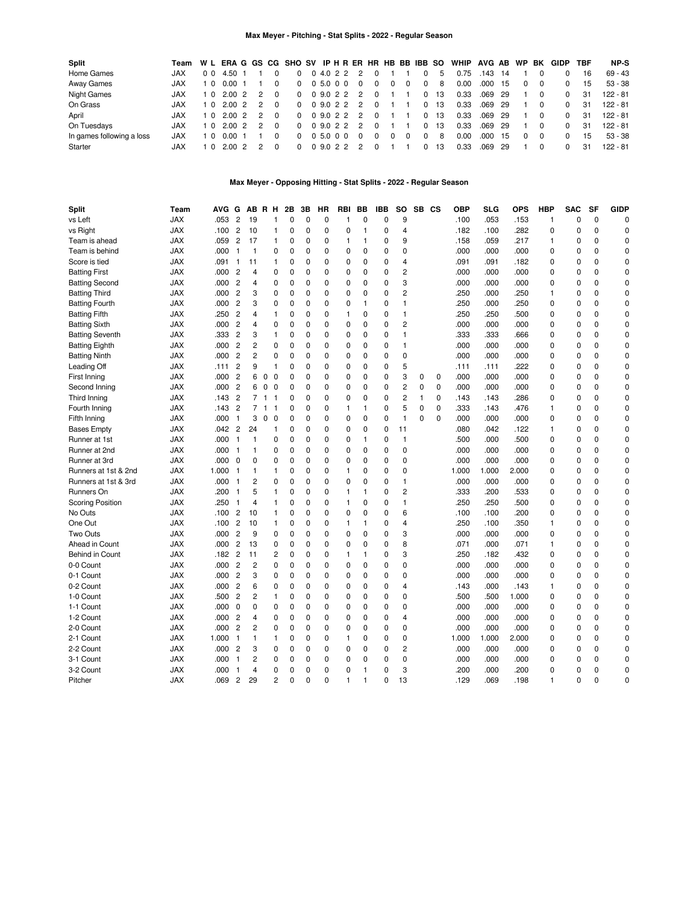# **Max Meyer - Pitching - Stat Splits - 2022 - Regular Season**

| Split                     | Team       |                |                   |                |                | W L ERAGGS CG SHO SV IP H R ER HR HB BB IBB SO |           |  |               |   |          |          |          |      | WHIP | AVG AB WP |     |          | BK       | GIDP         | TBF | NP-S       |
|---------------------------|------------|----------------|-------------------|----------------|----------------|------------------------------------------------|-----------|--|---------------|---|----------|----------|----------|------|------|-----------|-----|----------|----------|--------------|-----|------------|
| Home Games                | JAX        | 0 <sub>0</sub> | 4.50              |                |                |                                                | 04.022    |  |               |   |          |          |          | 5    | 0.75 | 143       | 14  |          |          |              | 16  | $69 - 43$  |
| Away Games                | <b>JAX</b> | 10             | 0.001             |                |                | $\Omega$                                       | 0 5.0 0 0 |  | $\Omega$      | 0 | $\Omega$ | $\Omega$ | $\Omega$ | 8    | 0.00 | .000.     | -15 | $\Omega$ |          |              | 15  | $53 - 38$  |
| <b>Night Games</b>        | <b>JAX</b> | 10             | 2.00 2            | 2              |                |                                                |           |  | 0 0 9.0 2 2 2 |   |          |          | 0        | - 13 | 0.33 | .069 29   |     |          |          | $\Omega$     | 31  | $122 - 81$ |
| On Grass                  | <b>JAX</b> | 10             | $2.00\text{ }2$   | $\mathcal{P}$  |                | $\Omega$                                       |           |  | 0 9.0 2 2 2   |   |          |          |          | -13  | 0.33 | .069 29   |     |          |          | <sup>0</sup> | 31  | $122 - 81$ |
| April                     | <b>JAX</b> |                | 1 0 2.00 2        | $\overline{2}$ | $\overline{0}$ |                                                |           |  | 0 0 9.0 2 2 2 |   |          |          | 0        | - 13 | 0.33 | .069 29   |     |          |          | <sup>0</sup> | 31  | $122 - 81$ |
| On Tuesdays               | <b>JAX</b> | 10             | 2.00 2            | $\mathcal{P}$  | $\Omega$       | $\Omega$                                       |           |  | 0 9 0 2 2 2   |   |          |          |          | -13  | 0.33 | $.069$ 29 |     |          |          | <sup>0</sup> | 31  | $122 - 81$ |
| In games following a loss | <b>JAX</b> | 10             | 0.00 <sub>1</sub> |                |                |                                                | 0,5.0,0.0 |  | $\Omega$      |   | 0        | $\Omega$ | $\Omega$ | 8    | 0.00 | .000.     | -15 | $\Omega$ | $\Omega$ | <sup>0</sup> | 15  | $53 - 38$  |
| Starter                   | JAX        | 10             | 2.00 2            | $\overline{2}$ | $\Omega$       |                                                |           |  | 0 0 9.0 2 2 2 |   |          |          |          | 13   | 0.33 | .069 29   |     |          |          | <sup>0</sup> | 31  | 122 - 81   |

# **Max Meyer - Opposing Hitting - Stat Splits - 2022 - Regular Season**

| Split                   | Team       | <b>AVG</b> | G              |                | AB R H                                  |                | 2Β          | 3B          | HR          | <b>RBI</b>     | BB           | <b>IBB</b> | <b>SO</b>               |             | SB CS       | <b>OBP</b> | SLG   | <b>OPS</b> | <b>HBP</b>   | <b>SAC</b> | <b>SF</b>   | <b>GIDP</b> |
|-------------------------|------------|------------|----------------|----------------|-----------------------------------------|----------------|-------------|-------------|-------------|----------------|--------------|------------|-------------------------|-------------|-------------|------------|-------|------------|--------------|------------|-------------|-------------|
| vs Left                 | <b>JAX</b> | .053       | $\overline{2}$ | 19             | $\mathbf{1}$                            |                | 0           | $\mathbf 0$ | $\mathbf 0$ | $\mathbf{1}$   | $\mathbf 0$  | 0          | 9                       |             |             | .100       | .053  | .153       | $\mathbf{1}$ | $\Omega$   | $\mathbf 0$ | $\mathbf 0$ |
| vs Right                | <b>JAX</b> | .100       | $\overline{c}$ | 10             | 1                                       |                | $\Omega$    | 0           | $\mathbf 0$ | 0              | $\mathbf{1}$ | 0          | 4                       |             |             | .182       | .100  | .282       | 0            | $\Omega$   | $\Omega$    | $\Omega$    |
| Team is ahead           | <b>JAX</b> | .059       | $\overline{c}$ | 17             | $\mathbf{1}$                            |                | $\mathbf 0$ | 0           | 0           | $\mathbf{1}$   | 1            | 0          | 9                       |             |             | .158       | .059  | .217       | 1            | 0          | $\mathbf 0$ | $\mathbf 0$ |
| Team is behind          | <b>JAX</b> | .000       | $\overline{1}$ | $\mathbf{1}$   | 0                                       |                | $\mathbf 0$ | 0           | 0           | $\Omega$       | $\mathbf 0$  | $\Omega$   | 0                       |             |             | .000       | .000  | .000       | 0            | 0          | $\mathbf 0$ | $\Omega$    |
| Score is tied           | <b>JAX</b> | .091       | $\overline{1}$ | 11             | 1                                       |                | $\mathbf 0$ | 0           | 0           | 0              | 0            | 0          | $\overline{\mathbf{4}}$ |             |             | .091       | .091  | .182       | 0            | 0          | $\mathbf 0$ | $\mathbf 0$ |
| <b>Batting First</b>    | <b>JAX</b> | .000       | $\overline{2}$ | 4              | 0                                       |                | $\Omega$    | $\Omega$    | 0           | 0              | $\Omega$     | 0          | 2                       |             |             | .000       | .000  | .000       | 0            | 0          | $\Omega$    | $\Omega$    |
| <b>Batting Second</b>   | <b>JAX</b> | .000       | $\overline{c}$ | $\overline{4}$ | 0                                       |                | $\mathbf 0$ | 0           | 0           | 0              | 0            | 0          | 3                       |             |             | .000       | .000  | .000       | 0            | 0          | $\mathbf 0$ | 0           |
| <b>Batting Third</b>    | <b>JAX</b> | .000       | $\overline{c}$ | 3              | 0                                       |                | $\Omega$    | $\mathbf 0$ | 0           | $\mathbf 0$    | $\mathbf 0$  | $\Omega$   | $\overline{c}$          |             |             | .250       | .000  | .250       | $\mathbf{1}$ | 0          | $\Omega$    | $\Omega$    |
| <b>Batting Fourth</b>   | <b>JAX</b> | .000       | $\overline{c}$ | 3              | 0                                       |                | $\mathbf 0$ | 0           | 0           | 0              | 1            | 0          | 1                       |             |             | .250       | .000  | .250       | 0            | 0          | $\mathbf 0$ | $\mathbf 0$ |
| <b>Batting Fifth</b>    | <b>JAX</b> | .250       | $\overline{2}$ | 4              | 1                                       |                | $\Omega$    | 0           | 0           | $\mathbf{1}$   | $\Omega$     | $\Omega$   | 1                       |             |             | .250       | .250  | .500       | 0            | $\Omega$   | $\Omega$    | $\Omega$    |
| <b>Batting Sixth</b>    | <b>JAX</b> | .000       | $\overline{c}$ | 4              | 0                                       |                | 0           | 0           | 0           | $\mathbf 0$    | 0            | 0          | 2                       |             |             | .000       | .000  | .000       | 0            | 0          | $\mathbf 0$ | $\mathbf 0$ |
| <b>Batting Seventh</b>  | <b>JAX</b> | .333       | $\overline{c}$ | 3              | $\mathbf{1}$                            |                | $\Omega$    | 0           | $\Omega$    | $\Omega$       | $\Omega$     | $\Omega$   | $\mathbf{1}$            |             |             | .333       | .333  | .666       | 0            | 0          | $\Omega$    | $\Omega$    |
| <b>Batting Eighth</b>   | <b>JAX</b> | .000       | $\overline{2}$ | $\overline{c}$ | 0                                       |                | $\mathbf 0$ | 0           | 0           | 0              | 0            | 0          | $\mathbf{1}$            |             |             | .000       | .000  | .000       | 0            | 0          | $\mathbf 0$ | $\mathbf 0$ |
| <b>Batting Ninth</b>    | <b>JAX</b> | .000       | $\overline{2}$ | $\overline{c}$ | 0                                       |                | $\Omega$    | $\Omega$    | 0           | $\Omega$       | $\Omega$     | $\Omega$   | $\mathbf 0$             |             |             | .000       | .000  | .000       | $\Omega$     | $\Omega$   | $\Omega$    | $\Omega$    |
| Leading Off             | <b>JAX</b> | .111       | $\overline{c}$ | 9              | 1                                       |                | $\Omega$    | 0           | 0           | 0              | $\Omega$     | 0          | 5                       |             |             | .111       | .111  | .222       | 0            | $\Omega$   | $\mathbf 0$ | $\Omega$    |
| First Inning            | <b>JAX</b> | .000       | $\overline{2}$ | 6              | $\mathbf 0$<br>$\Omega$                 |                | $\Omega$    | $\Omega$    | 0           | $\Omega$       | $\Omega$     | 0          | 3                       | $\mathbf 0$ | $\mathbf 0$ | .000       | .000  | .000       | 0            | 0          | $\Omega$    | $\Omega$    |
| Second Inning           | <b>JAX</b> | .000       | $\overline{c}$ | 6              | $\mathbf 0$<br>0                        |                | 0           | 0           | 0           | 0              | 0            | 0          | 2                       | 0           | $\mathbf 0$ | .000       | .000  | .000       | 0            | 0          | $\mathbf 0$ | $\mathbf 0$ |
| Third Inning            | <b>JAX</b> | .143       | $\overline{2}$ |                | 7 <sub>1</sub><br>$\overline{1}$        |                | 0           | 0           | $\mathbf 0$ | 0              | $\mathbf 0$  | 0          | $\overline{c}$          | 1           | $\mathbf 0$ | .143       | .143  | .286       | 0            | 0          | $\mathbf 0$ | $\mathbf 0$ |
| Fourth Inning           | <b>JAX</b> | .143       | $\overline{c}$ | $\overline{7}$ | $\overline{\mathbf{1}}$<br>$\mathbf{1}$ |                | $\Omega$    | $\Omega$    | 0           | $\mathbf{1}$   | 1            | 0          | 5                       | $\mathbf 0$ | $\Omega$    | .333       | .143  | .476       | 1            | 0          | $\Omega$    | $\Omega$    |
| Fifth Inning            | <b>JAX</b> | .000       | $\overline{1}$ | 3              | $\mathbf 0$<br>$\mathbf 0$              |                | $\mathbf 0$ | 0           | $\mathbf 0$ | 0              | $\mathbf 0$  | 0          | $\mathbf{1}$            | $\mathbf 0$ | $\mathbf 0$ | .000       | .000  | .000       | 0            | 0          | $\mathbf 0$ | $\mathbf 0$ |
| <b>Bases Empty</b>      | <b>JAX</b> | .042       | $\overline{c}$ | 24             | $\mathbf{1}$                            |                | $\mathbf 0$ | 0           | 0           | 0              | $\mathbf 0$  | 0          | 11                      |             |             | .080       | .042  | .122       | 1            | 0          | $\mathbf 0$ | $\Omega$    |
| Runner at 1st           | <b>JAX</b> | .000       | $\overline{1}$ | $\mathbf{1}$   | 0                                       |                | $\mathbf 0$ | 0           | 0           | 0              | $\mathbf{1}$ | 0          | $\mathbf{1}$            |             |             | .500       | .000  | .500       | 0            | 0          | $\mathbf 0$ | $\mathbf 0$ |
| Runner at 2nd           | <b>JAX</b> | .000       | - 1            | $\mathbf{1}$   | 0                                       |                | $\Omega$    | $\Omega$    | 0           | $\Omega$       | $\Omega$     | $\Omega$   | $\mathbf 0$             |             |             | .000       | .000  | .000       | $\Omega$     | $\Omega$   | $\Omega$    | $\Omega$    |
| Runner at 3rd           | <b>JAX</b> | .000       | $\mathbf 0$    | 0              | 0                                       |                | $\mathbf 0$ | 0           | 0           | 0              | $\mathbf 0$  | 0          | 0                       |             |             | .000       | .000  | .000       | 0            | 0          | $\mathbf 0$ | $\mathbf 0$ |
| Runners at 1st & 2nd    | <b>JAX</b> | 1.000      | $\overline{1}$ | $\mathbf{1}$   | $\mathbf{1}$                            |                | $\mathbf 0$ | 0           | 0           | $\overline{1}$ | 0            | 0          | 0                       |             |             | 1.000      | 1.000 | 2.000      | 0            | 0          | $\mathbf 0$ | $\Omega$    |
| Runners at 1st & 3rd    | <b>JAX</b> | .000       | $\overline{1}$ | 2              | 0                                       |                | $\mathbf 0$ | 0           | 0           | 0              | 0            | 0          | 1                       |             |             | .000       | .000  | .000       | 0            | 0          | $\mathbf 0$ | $\mathbf 0$ |
| Runners On              | <b>JAX</b> | .200       | $\overline{1}$ | 5              | $\mathbf{1}$                            |                | $\Omega$    | $\Omega$    | $\Omega$    | $\mathbf{1}$   | 1            | 0          | 2                       |             |             |            | .200  |            | $\Omega$     | $\Omega$   | $\Omega$    | $\Omega$    |
|                         |            |            |                | 4              | $\mathbf{1}$                            |                | $\mathbf 0$ | 0           |             | $\mathbf{1}$   | 0            | 0          |                         |             |             | .333       |       | .533       |              |            | $\mathbf 0$ | 0           |
| <b>Scoring Position</b> | <b>JAX</b> | .250       | $\overline{1}$ |                |                                         |                |             |             | 0           |                |              |            | 1                       |             |             | .250       | .250  | .500       | 0            | 0          |             | $\Omega$    |
| No Outs                 | <b>JAX</b> | .100       | $\overline{c}$ | 10             | $\mathbf{1}$                            |                | $\Omega$    | $\mathbf 0$ | 0           | $\mathbf 0$    | 0            | 0          | 6                       |             |             | .100       | .100  | .200       | 0            | 0          | $\mathbf 0$ |             |
| One Out                 | <b>JAX</b> | .100       | $\overline{c}$ | 10             | $\mathbf{1}$                            |                | 0           | 0           | 0           | $\mathbf{1}$   | 1            | 0          | 4                       |             |             | .250       | .100  | .350       | 1            | 0          | $\mathbf 0$ | 0           |
| Two Outs                | <b>JAX</b> | .000       | $\overline{2}$ | 9              | 0                                       |                | $\Omega$    | $\Omega$    | 0           | $\Omega$       | $\Omega$     | $\Omega$   | 3                       |             |             | .000       | .000  | .000       | $\Omega$     | $\Omega$   | $\Omega$    | $\Omega$    |
| Ahead in Count          | <b>JAX</b> | .000       | $\overline{c}$ | 13             | 0                                       |                | $\mathbf 0$ | 0           | 0           | $\mathbf 0$    | $\mathbf 0$  | 0          | 8                       |             |             | .071       | .000  | .071       | 1            | 0          | $\mathbf 0$ | $\mathbf 0$ |
| Behind in Count         | <b>JAX</b> | .182       | $\overline{c}$ | 11             |                                         | 2              | 0           | $\mathbf 0$ | 0           | $\mathbf{1}$   | 1            | 0          | 3                       |             |             | .250       | .182  | .432       | $\Omega$     | $\Omega$   | $\Omega$    | $\Omega$    |
| 0-0 Count               | <b>JAX</b> | .000       | $\overline{c}$ | 2              | 0                                       |                | $\mathbf 0$ | 0           | 0           | 0              | 0            | 0          | 0                       |             |             | .000       | .000  | .000       | 0            | 0          | $\mathbf 0$ | $\Omega$    |
| 0-1 Count               | <b>JAX</b> | .000       | $\overline{c}$ | 3              | 0                                       |                | 0           | 0           | 0           | 0              | $\mathbf 0$  | 0          | 0                       |             |             | .000       | .000  | .000       | 0            | 0          | $\mathbf 0$ | $\mathbf 0$ |
| 0-2 Count               | <b>JAX</b> | .000       | $\overline{c}$ | 6              | 0                                       |                | $\mathbf 0$ | 0           | 0           | 0              | $\Omega$     | 0          | 4                       |             |             | .143       | .000  | .143       | 1            | $\Omega$   | $\mathbf 0$ | $\Omega$    |
| 1-0 Count               | <b>JAX</b> | .500       | $\overline{c}$ | $\overline{c}$ | 1                                       |                | $\mathbf 0$ | 0           | 0           | 0              | 0            | 0          | 0                       |             |             | .500       | .500  | 1.000      | 0            | 0          | $\mathbf 0$ | $\mathbf 0$ |
| 1-1 Count               | <b>JAX</b> | .000       | $\mathbf 0$    | 0              | 0                                       |                | $\mathbf 0$ | 0           | 0           | 0              | 0            | 0          | 0                       |             |             | .000       | .000  | .000       | 0            | 0          | $\mathbf 0$ | 0           |
| 1-2 Count               | <b>JAX</b> | .000       | $\overline{c}$ | 4              | 0                                       |                | $\mathbf 0$ | 0           | 0           | 0              | 0            | 0          | 4                       |             |             | .000       | .000  | .000       | 0            | 0          | $\mathbf 0$ | $\mathbf 0$ |
| 2-0 Count               | <b>JAX</b> | .000       | $\overline{2}$ | 2              | 0                                       |                | $\Omega$    | 0           | 0           | $\mathbf 0$    | 0            | 0          | 0                       |             |             | .000       | .000  | .000       | 0            | $\Omega$   | $\mathbf 0$ | $\Omega$    |
| 2-1 Count               | <b>JAX</b> | 1.000      | $\mathbf{1}$   | 1              | $\mathbf{1}$                            |                | 0           | 0           | 0           | $\mathbf{1}$   | 0            | 0          | 0                       |             |             | 1.000      | 1.000 | 2.000      | 0            | 0          | $\mathbf 0$ | 0           |
| 2-2 Count               | <b>JAX</b> | .000       | $\overline{2}$ | 3              | 0                                       |                | $\mathbf 0$ | 0           | 0           | 0              | $\Omega$     | 0          | $\overline{c}$          |             |             | .000       | .000  | .000       | 0            | 0          | $\mathbf 0$ | $\Omega$    |
| 3-1 Count               | <b>JAX</b> | .000       | $\mathbf{1}$   | $\overline{c}$ | 0                                       |                | 0           | 0           | 0           | 0              | 0            | 0          | 0                       |             |             | .000       | .000  | .000       | 0            | 0          | $\mathbf 0$ | $\mathbf 0$ |
| 3-2 Count               | <b>JAX</b> | .000       | $\mathbf{1}$   | 4              |                                         | 0              | $\Omega$    | $\Omega$    | 0           | $\Omega$       | 1            | $\Omega$   | 3                       |             |             | .200       | .000  | .200       | $\Omega$     | $\Omega$   | $\Omega$    | $\Omega$    |
| Pitcher                 | <b>JAX</b> | .069       | $\overline{2}$ | 29             |                                         | $\overline{c}$ | $\Omega$    | 0           | 0           | $\mathbf{1}$   | $\mathbf{1}$ | $\Omega$   | 13                      |             |             | .129       | .069  | .198       | 1            | 0          | $\Omega$    | $\Omega$    |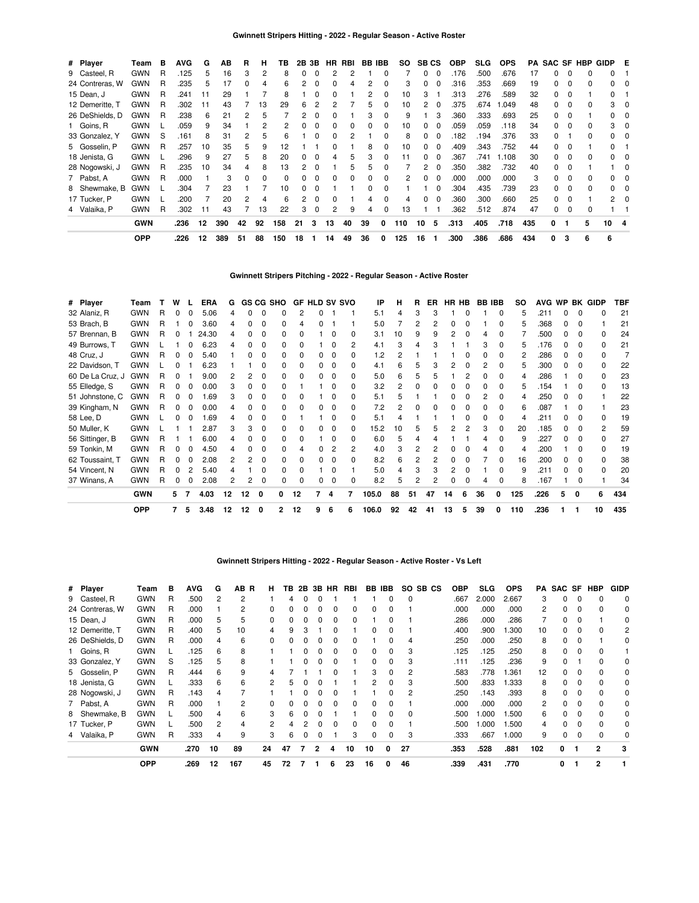| # Player        | Team       | в | <b>AVG</b> | G  | AВ  | R            | н              | ΤВ  | 2В | 3В       | HR.          | RBI | <b>BB IBB</b> |   | SO. | <b>SBCS</b> |              | <b>OBP</b> | <b>SLG</b> | <b>OPS</b> |     |    |             | <b>PA SAC SF HBP</b> | GIDP E       |          |
|-----------------|------------|---|------------|----|-----|--------------|----------------|-----|----|----------|--------------|-----|---------------|---|-----|-------------|--------------|------------|------------|------------|-----|----|-------------|----------------------|--------------|----------|
| 9 Casteel, R    | <b>GWN</b> | R | .125       | 5  | 16  | 3            | $\overline{2}$ | 8   | 0  | 0        | 2            |     |               |   |     | 0           | 0            | 176        | .500       | .676       | 17  |    | 0           |                      | 0            |          |
| 24 Contreras, W | <b>GWN</b> | R | .235       | 5  | 17  |              | 4              | 6   | 2  | $\Omega$ | 0            |     | 2             |   | 3   | 0           |              | .316       | .353       | .669       | 19  | O. | 0           | <sup>0</sup>         |              |          |
| 15 Dean, J      | <b>GWN</b> | R | .241       | 11 | 29  |              |                | 8   |    | 0        |              |     |               |   | 10  | 3           |              | .313       | 276        | .589       | 32  | O. | $\Omega$    |                      | 0            |          |
| 12 Demeritte. T | <b>GWN</b> | R | .302       | 11 | 43  |              | 13             | 29  | 6  |          | 2            |     | 5             |   | 10  | 2           |              | .375       | .674       | .049       | 48  |    | 0           | <sup>0</sup>         | з            | 0        |
| 26 DeShields, D | <b>GWN</b> | R | .238       | 6  | 21  |              | 5              |     |    | c        |              |     | З             |   | 9   |             |              | .360       | .333       | .693       | 25  |    | $\Omega$    |                      |              |          |
| 1 Goins, R      | <b>GWN</b> |   | .059       | 9  | 34  |              | 2              |     |    |          |              |     |               |   | 10  | 0           | <sup>0</sup> | .059       | .059       | .118       | 34  |    | $\Omega$    |                      | 3            | 0        |
| 33 Gonzalez, Y  | <b>GWN</b> | S | .161       | 8  | 31  |              | 5              | հ   |    | C        |              |     |               |   | 8   | 0           | 0            | .182       | .194       | .376       | 33  |    |             |                      |              |          |
| 5 Gosselin, P   | <b>GWN</b> | R | .257       | 10 | 35  | 5            | 9              | 12  |    |          | n            |     | 8             |   | 10  | 0           | 0            | .409       | .343       | .752       | 44  | 0  | 0           |                      |              |          |
| 18 Jenista, G   | <b>GWN</b> |   | .296       | 9  | 27  | 5            | 8              | 20  | 0  | $\Omega$ | 4            | 5   | 3             |   | 11  | 0           | $\Omega$     | .367       | .741       | 1.108      | 30  | 0  | $\Omega$    |                      |              |          |
| 28 Nogowski, J  | <b>GWN</b> | R | .235       | 10 | 34  | 4            | 8              | 13  | 2  | 0        |              | 5   | 5             |   |     | 2           | 0            | .350       | .382       | .732       | 40  | O. | 0           |                      |              | $\Omega$ |
| 7 Pabst, A      | <b>GWN</b> | R | .000       |    | 3   | <sup>0</sup> | 0              | 0   | 0  | $\Omega$ | 0            | 0   | $\Omega$      | 0 | 2   | 0           | $\Omega$     | .000       | .000       | .000       | 3   | 0  | $\mathbf 0$ | 0                    | 0            |          |
| 8 Shewmake, B   | <b>GWN</b> |   | .304       |    | 23  |              |                | 10  | 0  | 0        |              |     | 0             | 0 |     |             | 0            | .304       | .435       | .739       | 23  | 0  | 0           | 0                    | 0            |          |
| 17 Tucker, P    | <b>GWN</b> |   | .200       |    | 20  |              | 4              | 6   | 2  | $\Omega$ | <sup>0</sup> |     | 4             |   | 4   | 0           | $\Omega$     | .360       | .300       | .660       | 25  | 0  | $\Omega$    |                      | 2.           |          |
| 4 Valaika, P    | <b>GWN</b> | R | .302       | 11 | 43  |              | 13             | 22  | 3  | $\Omega$ | 2            | 9   | 4             |   | 13  |             |              | .362       | .512       | .874       | 47  | 0  | $\Omega$    |                      |              |          |
|                 | <b>GWN</b> |   | .236       | 12 | 390 | 42           | 92             | 158 | 21 | 3        | 13           | 40  | 39            | 0 | 110 | 10          | - 5          | .313       | .405       | .718       | 435 | 0  |             | 5                    | $10 \quad 4$ |          |
|                 | <b>OPP</b> |   | .226       | 12 | 389 | 51           | 88             | 150 | 18 |          | 14           | 49  | 36            | 0 | 125 | 16          |              | .300       | .386       | .686       | 434 | 0  | 3           | 6                    | 6            |          |

**Gwinnett Stripers Pitching - 2022 - Regular Season - Active Roster**

| # Player         | Team       |   | w |   | <b>ERA</b> | G  |              |              | <b>GS CG SHO</b> |              |   |   | <b>GF HLD SV SVO</b> | IP    | н  | R  | ER. |    | HR HB        |    | <b>BB IBB</b> | so  |      |   |              | AVG WP BK GIDP | TBF |
|------------------|------------|---|---|---|------------|----|--------------|--------------|------------------|--------------|---|---|----------------------|-------|----|----|-----|----|--------------|----|---------------|-----|------|---|--------------|----------------|-----|
| 32 Alaniz, R     | <b>GWN</b> | R |   |   | 5.06       |    |              |              |                  | 2            |   |   |                      | 5.1   |    | 3  |     |    |              |    | n             | 5   | .211 |   |              | n              | 21  |
| 53 Brach, B      | <b>GWN</b> | R |   |   | 3.60       |    | <sup>0</sup> | 0            | <sup>0</sup>     | 4            |   |   |                      | 5.0   |    | 2  |     | O  |              |    | <sup>0</sup>  | 5   | .368 | U | <sup>0</sup> |                | 21  |
| 57 Brennan, B    | <b>GWN</b> | R |   |   | 24.30      |    |              |              |                  |              |   |   | 0                    | 3.1   | 10 | 9  |     |    |              |    |               |     | .500 |   |              | <sup>0</sup>   | 24  |
| 49 Burrows, T    | <b>GWN</b> |   |   |   | 6.23       |    |              | 0            | <sup>0</sup>     | ŋ            |   |   | 2                    | 4.1   | 3  | Δ  |     |    |              | 3  | <sup>0</sup>  | 5   | .176 | 0 | <sup>0</sup> | 0              | 21  |
| 48 Cruz, J       | <b>GWN</b> | R |   |   | 5.40       |    |              | 0            |                  | <sup>0</sup> |   |   | o                    | 1.2   | 2  |    |     |    |              |    |               | 2   | .286 |   | O            |                |     |
| 22 Davidson, T   | <b>GWN</b> |   |   |   | 6.23       |    |              |              |                  |              |   |   | 0                    | 4.1   | 6  | 5  |     |    |              |    |               | 5   | .300 |   |              | <sup>0</sup>   | 22  |
| 60 De La Cruz, J | <b>GWN</b> | R |   |   | 9.00       |    |              | 0            |                  | <sup>0</sup> |   |   | 0                    | 5.0   | 6  | 5  |     |    |              | n  | $\Omega$      | 4   | .286 |   | n            | $\Omega$       | 23  |
| 55 Elledge, S    | <b>GWN</b> | R |   |   | 0.00       |    |              | 0            |                  |              |   |   |                      | 3.2   | 2  |    |     |    |              | n  | <sup>0</sup>  | 5   | .154 |   |              | <sup>0</sup>   | 13  |
| 51 Johnstone, C  | <b>GWN</b> | R |   |   | 1.69       | 3  | 0            | 0            | <sup>n</sup>     | <sup>0</sup> |   |   | 0                    | 5.1   | 5  |    |     | 0  | <sup>0</sup> | 2  | $\Omega$      | 4   | 250  | 0 | <sup>0</sup> |                | 22  |
| 39 Kingham, N    | <b>GWN</b> | R |   |   | 0.00       |    |              | 0            |                  |              |   |   | 0                    | 7.2   | 2  |    |     |    |              |    |               | 6   | .087 |   | 0            |                | 23  |
| 58 Lee, D        | <b>GWN</b> |   |   |   | 1.69       |    |              | O            |                  |              |   |   |                      | 5.1   |    |    |     |    |              | 0  |               | 4   | .211 |   |              | U              | 19  |
| 50 Muller, K     | <b>GWN</b> |   |   |   | 2.87       |    | 3            | 0            |                  |              |   |   | 0                    | 15.2  | 10 | 5  |     |    |              | 3  |               | 20  | .185 |   |              | $\overline{2}$ | 59  |
| 56 Sittinger, B  | <b>GWN</b> | R |   |   | 6.00       |    |              |              |                  |              |   |   | U                    | 6.0   | 5  |    |     |    |              |    | <sup>n</sup>  | 9   | .227 | n | ŋ            | <sup>0</sup>   | 27  |
| 59 Tonkin, M     | <b>GWN</b> | R |   |   | 4.50       |    | 0            | 0            | <sup>0</sup>     | 4            | 0 | 2 | 2                    | 4.0   | 3  | 2  |     | 0  | <sup>0</sup> | 4  | n             | 4   | .200 |   | 0            | $\Omega$       | 19  |
| 62 Toussaint, T  | <b>GWN</b> | R |   |   | 2.08       |    |              | 0            | <sup>0</sup>     | <sup>0</sup> |   |   | 0                    | 8.2   | 6  | 2  |     | 0  |              |    | <sup>0</sup>  | 16  | .200 | o | O            | <sup>0</sup>   | 38  |
| 54 Vincent, N    | <b>GWN</b> | R |   |   | 5.40       |    |              | <sup>0</sup> | <sup>0</sup>     | ŋ            |   |   |                      | 5.0   | 4  |    |     | 2  |              |    | <sup>n</sup>  | 9   | .211 |   | <sup>0</sup> | <sup>0</sup>   | 20  |
| 37 Winans, A     | <b>GWN</b> | R |   |   | 2.08       |    |              |              |                  |              |   |   |                      | 8.2   | 5  |    |     |    |              |    |               | 8   | .167 |   |              |                | 34  |
|                  | <b>GWN</b> |   | 5 | 7 | 4.03       | 12 | 12           | 0            | 0                | 12           | 7 | 4 | 7                    | 105.0 | 88 | 51 | 47  | 14 | 6            | 36 | 0             | 125 | .226 |   | 0            | 6              | 434 |
|                  | <b>OPP</b> |   | 7 | 5 | 3.48       | 12 | 12           | 0            | 2                | 12           | g | 6 | 6                    | 106.0 | 92 | 42 | 41  | 13 | 5            | 39 | 0             | 110 | .236 |   |              | 10             | 435 |

**Gwinnett Stripers Hitting - 2022 - Regular Season - Active Roster - Vs Left**

| # Player        | Team       | в | <b>AVG</b> | G  | AB R | н             | ΤВ |   | 2B 3B        | HR | RBI |              | BB IBB | SO.          | SB CS | <b>OBP</b> | SLG.  | <b>OPS</b> | PA  | SAC SF | HBP          | <b>GIDP</b> |
|-----------------|------------|---|------------|----|------|---------------|----|---|--------------|----|-----|--------------|--------|--------------|-------|------------|-------|------------|-----|--------|--------------|-------------|
| 9 Casteel, R    | <b>GWN</b> | R | .500       | 2  | 2    |               | 4  |   |              |    |     |              | 0      | 0            |       | .667       | 2.000 | 2.667      | 3   | 0      |              | 0           |
| 24 Contreras, W | <b>GWN</b> | R | .000       |    | 2    |               |    |   |              |    | 0   | $\Omega$     |        |              |       | .000       | .000  | .000       | 2   | o      |              | 0           |
| 15 Dean, J      | <b>GWN</b> | R | .000       | 5  | 5    |               |    |   |              |    |     |              |        |              |       | .286       | .000  | .286       |     |        |              | 0           |
| 12 Demeritte, T | <b>GWN</b> | R | .400       | 5  | 10   |               | 9  | З |              |    |     | <sup>0</sup> |        |              |       | .400       | .900  | .300       | 10  | 0      |              | 2           |
| 26 DeShields, D | <b>GWN</b> | R | .000       | 4  | 6    |               |    |   |              |    |     |              |        | 4            |       | .250       | .000  | .250       | 8   | 0      |              | 0           |
| 1 Goins, R      | <b>GWN</b> |   | .125       | 6  | 8    |               |    |   |              |    | 0   | 0            | 0      | 3            |       | .125       | .125  | .250       | 8   | 0      |              |             |
| 33 Gonzalez, Y  | <b>GWN</b> | S | .125       | 5  | 8    |               |    |   | O            | O  |     | $\Omega$     | 0      | 3            |       | .111       | .125  | .236       | 9   | 0      |              | 0           |
| 5 Gosselin, P   | <b>GWN</b> | R | .444       | 6  | 9    | 4             |    |   |              |    |     | 3            | 0      | 2            |       | .583       | .778  | 1.361      | 12  | 0      |              | 0           |
| 18 Jenista, G   | <b>GWN</b> |   | .333       | 6  | 6    | $\mathcal{P}$ | 5  | n | O            |    |     | 2            | 0      | 3            |       | .500       | .833  | 1.333      | 8   | 0      |              | 0           |
| 28 Nogowski, J  | <b>GWN</b> | R | .143       | 4  |      |               |    |   |              |    |     |              | 0      | 2            |       | .250       | .143  | .393       | 8   | U      |              | 0           |
| 7 Pabst, A      | <b>GWN</b> | R | .000       |    | 2    |               |    |   |              |    | 0   | $\Omega$     | 0      |              |       | .000       | .000  | .000       | 2   | 0      |              | 0           |
| 8 Shewmake, B   | <b>GWN</b> |   | .500       | 4  | 6    |               | 6  |   |              |    |     | 0            | 0      | <sup>0</sup> |       | .500       | .000  | 1.500      | 6   |        |              | 0           |
| 17 Tucker, P    | <b>GWN</b> |   | .500       | 2  | 4    |               |    |   | o            | 0  | 0   | 0            |        |              |       | .500       | .000  | 1.500      | 4   | 0      |              | 0           |
| 4 Valaika, P    | <b>GWN</b> | R | .333       | 4  | 9    | 3             | 6  |   | 0            |    | 3   | 0            | 0      | 3            |       | .333       | .667  | 1.000      | 9   | 0      |              | 0           |
|                 | <b>GWN</b> |   | .270       | 10 | 89   | 24            | 47 |   | $\mathbf{2}$ | 4  | 10  | 10           | 0      | 27           |       | .353       | .528  | .881       | 102 | 0      | $\mathbf{2}$ | 3           |
|                 | <b>OPP</b> |   | .269       | 12 | 167  | 45            | 72 |   |              | 6  | 23  | 16           | 0      | 46           |       | .339       | .431  | .770       |     | 0      | 2            |             |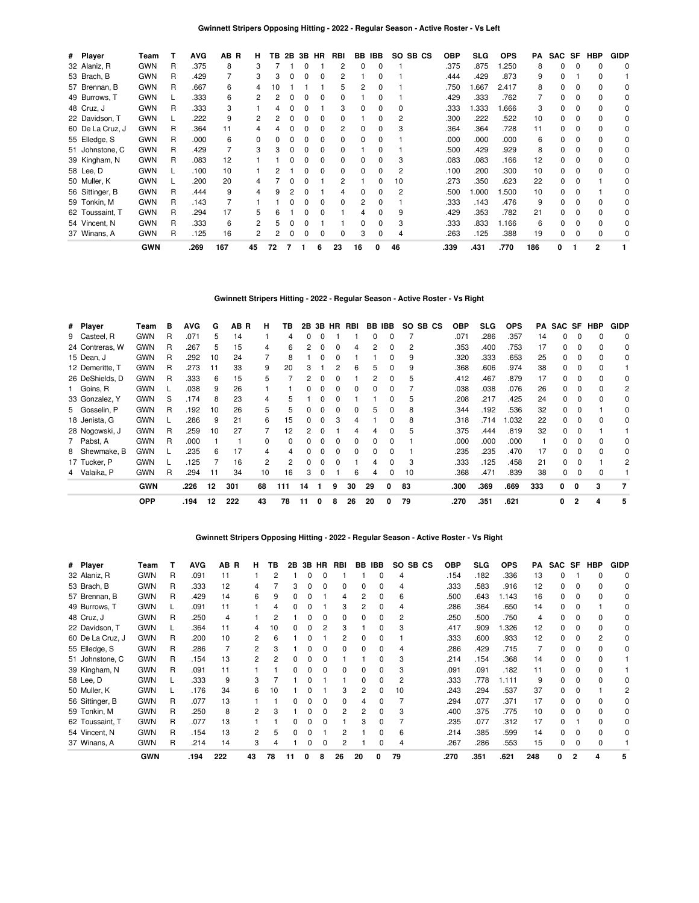| # Player         | Team       |    | <b>AVG</b> | AB R | н  | TB | 2B           |              | 3B HR | RBI          |    | BB IBB | SO SB CS | <b>OBP</b> | SLG   | <b>OPS</b> | PA  | SAC SF       |          | HBP      | <b>GIDP</b> |
|------------------|------------|----|------------|------|----|----|--------------|--------------|-------|--------------|----|--------|----------|------------|-------|------------|-----|--------------|----------|----------|-------------|
| 32 Alaniz, R     | <b>GWN</b> | R  | .375       | 8    | 3  |    |              | 0            |       | 2            | 0  | 0      |          | .375       | .875  | .250       | 8   | 0            | 0        | 0        | 0           |
| 53 Brach, B      | <b>GWN</b> | R  | .429       |      | 3  | 3  | 0            | 0            | 0     | 2            |    | 0      |          | .444       | .429  | .873       | 9   | 0            |          | $\Omega$ |             |
| 57 Brennan, B    | <b>GWN</b> | R. | .667       | 6    |    |    |              |              |       | 5            | 2  | 0      |          | .750       | 1.667 | 2.417      | 8   | 0            |          | 0        | 0           |
| 49 Burrows, T    | <b>GWN</b> |    | .333       | 6    |    |    |              |              |       |              |    |        |          | .429       | .333  | .762       |     | 0            |          | 0        | 0           |
| 48 Cruz, J       | <b>GWN</b> | R  | .333       | 3    |    |    |              |              |       | 3            |    |        | 0        | .333       | 1.333 | .666       | 3   | 0            |          | 0        | 0           |
| 22 Davidson, T   | <b>GWN</b> |    | .222       | 9    |    |    |              |              |       | 0            |    | 0      | 2        | .300       | .222  | .522       | 10  | 0            |          | $\Omega$ | 0           |
| 60 De La Cruz, J | <b>GWN</b> | R  | .364       | 11   |    |    |              |              |       | 2            | 0  | U      | З        | .364       | .364  | .728       | 11  | <sup>0</sup> |          | $\Omega$ | $\Omega$    |
| 55 Elledge, S    | <b>GWN</b> | R  | .000       | 6    | 0  |    |              |              |       | 0            | ŋ  | U      |          | .000       | .000  | .000       | 6   | <sup>0</sup> |          | $\Omega$ | 0           |
| 51 Johnstone, C  | <b>GWN</b> | R  | .429       |      |    |    |              |              |       | 0            |    | U      |          | .500       | .429  | .929       | 8   | 0            | 0        | $\Omega$ | 0           |
| 39 Kingham, N    | <b>GWN</b> | R  | .083       | 12   |    |    |              |              |       | 0            |    | U      | 3        | .083       | .083  | .166       | 12  | 0            |          | $\Omega$ | 0           |
| 58 Lee, D        | <b>GWN</b> |    | .100       | 10   |    |    |              |              |       | 0            | 0  | U      | 2        | .100       | .200  | .300       | 10  | 0            |          | $\Omega$ | 0           |
| 50 Muller, K     | <b>GWN</b> |    | .200       | 20   |    |    |              |              |       | 2            |    | 0      | 10       | .273       | .350  | .623       | 22  | 0            | 0        |          | 0           |
| 56 Sittinger, B  | <b>GWN</b> | R  | .444       | 9    | 4  | q  |              | n            |       | Δ            | ŋ  | 0      | 2        | .500       | 1.000 | .500       | 10  | 0            | 0        |          | 0           |
| 59 Tonkin, M     | <b>GWN</b> | R  | .143       |      |    |    |              | <sup>0</sup> |       | <sup>0</sup> | 2  | 0      |          | .333       | .143  | .476       | 9   | $\Omega$     | $\Omega$ | $\Omega$ | 0           |
| 62 Toussaint, T  | <b>GWN</b> | R  | .294       | 17   | 5  | 6  |              |              |       |              |    | U      | 9        | .429       | .353  | .782       | 21  | 0            | 0        | $\Omega$ | $\Omega$    |
| 54 Vincent, N    | <b>GWN</b> | R  | .333       | 6    |    | 5  | 0            | 0            |       |              | 0  | 0      | 3        | .333       | .833  | 1.166      | 6   | 0            | 0        | $\Omega$ | 0           |
| 37 Winans, A     | <b>GWN</b> | R  | .125       | 16   | 2  |    | <sup>0</sup> | <sup>0</sup> |       | 0            | 3  | 0      | 4        | .263       | .125  | .388       | 19  | 0            | $\Omega$ | $\Omega$ | 0           |
|                  | <b>GWN</b> |    | .269       | 167  | 45 | 72 |              |              | 6     | 23           | 16 | 0      | 46       | .339       | .431  | .770       | 186 | 0            |          | 2        |             |

# **Gwinnett Stripers Hitting - 2022 - Regular Season - Active Roster - Vs Right**

| # Player        | Team       | в | <b>AVG</b> | G  | AB R | н  | ΤВ       | 2B |              |              | 3B HR RBI    |          | BB IBB |    | SO SB CS | <b>OBP</b> | SLG  | <b>OPS</b> | PA  |    |                | SAC SF HBP | <b>GIDP</b> |
|-----------------|------------|---|------------|----|------|----|----------|----|--------------|--------------|--------------|----------|--------|----|----------|------------|------|------------|-----|----|----------------|------------|-------------|
| 9 Casteel, R    | <b>GWN</b> | R | .071       | 5. | 14   |    | 4        | 0  |              |              |              | $\Omega$ | 0      |    |          | .071       | .286 | .357       | 14  | 0  | 0              | 0          | 0           |
| 24 Contreras, W | <b>GWN</b> | R | .267       | 5  | 15   | 4  | 6        | 2  | <sup>0</sup> | 0            | 4            |          | 0      | 2  |          | .353       | .400 | .753       | 17  | 0  | 0              | 0          | 0           |
| 15 Dean, J      | GWN        | R | .292       | 10 | 24   | 7  | 8        |    |              |              |              |          | 0      | 9  |          | .320       | .333 | .653       | 25  | 0  |                |            | 0           |
| 12 Demeritte, T | <b>GWN</b> | R | .273       | 11 | 33   | 9  | 20       | 3  |              |              | 6            |          | 0      | 9  |          | .368       | .606 | .974       | 38  | 0  |                |            |             |
| 26 DeShields, D | <b>GWN</b> | R | .333       | 6  | 15   | 5  |          |    |              |              |              |          | 0      | 5  |          | .412       | .467 | .879       | 17  | 0  |                |            | 0           |
| 1 Goins, R      | <b>GWN</b> |   | .038       | 9  | 26   |    |          |    |              |              |              |          | ŋ      |    |          | .038       | .038 | .076       | 26  | 0  |                |            | 2           |
| 33 Gonzalez, Y  | <b>GWN</b> | S | .174       | 8  | 23   | 4  | 5        |    |              |              |              |          | 0      | 5  |          | .208       | .217 | .425       | 24  | 0  |                |            | 0           |
| 5 Gosselin, P   | <b>GWN</b> | R | .192       | 10 | 26   | 5  | 5        | 0  |              | 0            |              | 5        | 0      | 8  |          | .344       | .192 | .536       | 32  | 0  |                |            | 0           |
| 18 Jenista, G   | <b>GWN</b> |   | .286       | 9  | 21   | 6  | 15       | 0  | 0            | 3            | 4            |          | 0      | 8  |          | .318       | .714 | 1.032      | 22  | 0  | 0              | $\Omega$   | $\Omega$    |
| 28 Nogowski, J  | <b>GWN</b> | R | .259       | 10 | 27   |    | 12       | 2  |              |              | 4            | 4        | 0      | 5  |          | .375       | .444 | .819       | 32  | 0  |                |            |             |
| 7 Pabst, A      | <b>GWN</b> | R | .000       |    |      | 0  | $\Omega$ | 0  |              | <sup>0</sup> | <sup>n</sup> |          | 0      |    |          | .000       | .000 | .000       |     | 0  |                | $\Omega$   | 0           |
| 8 Shewmake, B   | <b>GWN</b> |   | .235       | 6  | 17   | 4  |          | 0  |              |              |              |          | 0      |    |          | .235       | .235 | .470       | 17  | O. |                |            | 0           |
| 17 Tucker, P    | <b>GWN</b> |   | 125        |    | 16   | 2  | 2        | 0  |              |              |              |          | O      | З  |          | .333       | .125 | .458       | 21  | O. |                |            | 2           |
| 4 Valaika, P    | <b>GWN</b> | R | .294       | 11 | 34   | 10 | 16       | 3  |              |              | 6            | 4        | 0      | 10 |          | .368       | .471 | .839       | 38  | 0  |                |            |             |
|                 | <b>GWN</b> |   | .226       | 12 | 301  | 68 | 111      | 14 |              | 9            | 30           | 29       | 0      | 83 |          | .300       | .369 | .669       | 333 | 0  | 0              | 3          |             |
|                 | <b>OPP</b> |   | .194       | 12 | 222  | 43 | 78       | 11 | 0            | 8            | 26           | 20       | 0      | 79 |          | .270       | .351 | .621       |     | 0  | $\overline{2}$ | 4          | 5           |

**Gwinnett Stripers Opposing Hitting - 2022 - Regular Season - Active Roster - Vs Right**

| # Player         | Team       |   | <b>AVG</b> | AB R | н  | ΤВ | 2B | 3В | <b>HR</b>    | <b>RBI</b>   | BB | <b>IBB</b>   | SO.<br>SB CS | <b>OBP</b> | <b>SLG</b> | <b>OPS</b> | PA  | <b>SAC</b>   | <b>SF</b>    | <b>HBP</b> | <b>GIDP</b> |
|------------------|------------|---|------------|------|----|----|----|----|--------------|--------------|----|--------------|--------------|------------|------------|------------|-----|--------------|--------------|------------|-------------|
| 32 Alaniz, R     | <b>GWN</b> | R | .091       | 11   |    | 2  |    | O  | 0            |              |    | 0            | 4            | .154       | .182       | .336       | 13  | $\Omega$     |              | $\Omega$   | $\Omega$    |
| 53 Brach, B      | <b>GWN</b> | R | .333       | 12   | 4  |    | 3  |    | 0            | $\Omega$     | 0  |              | 4            | .333       | .583       | .916       | 12  | 0            | 0            | $\Omega$   | 0           |
| 57 Brennan, B    | <b>GWN</b> | R | .429       | 14   | 6  | 9  | 0  |    |              | 4            |    | 0            | 6            | .500       | .643       | 1.143      | 16  | 0            | $\Omega$     | $\Omega$   | 0           |
| 49 Burrows, T    | <b>GWN</b> |   | .091       | 11   |    |    |    |    |              | 3            |    |              |              | .286       | .364       | .650       | 14  | 0            | 0            |            | 0           |
| 48 Cruz, J       | <b>GWN</b> | R | .250       |      |    |    |    |    |              |              |    |              |              | .250       | .500       | .750       | 4   | 0            |              |            | 0           |
| 22 Davidson, T   | <b>GWN</b> |   | .364       | 11   |    | 10 |    |    |              |              |    |              | 3            | .417       | .909       | .326       | 12  | $\Omega$     |              |            | 0           |
| 60 De La Cruz, J | <b>GWN</b> | R | .200       | 10   |    | 6  |    |    |              | 2            | 0  |              |              | .333       | .600       | .933       | 12  | $\Omega$     | 0            | 2          | 0           |
| 55 Elledge, S    | <b>GWN</b> | R | .286       |      | 2  |    |    |    |              | <sup>0</sup> | 0  |              | 4            | .286       | .429       | .715       |     | $\Omega$     | <sup>0</sup> | $\Omega$   | 0           |
| 51 Johnstone, C  | <b>GWN</b> | R | .154       | 13   | 2  |    |    |    |              |              |    |              | 3            | .214       | .154       | .368       | 14  | $\Omega$     | $\Omega$     | $\Omega$   |             |
| 39 Kingham, N    | <b>GWN</b> | R | .091       | 11   |    |    |    |    |              | n            |    |              | 3            | .091       | .091       | .182       | 11  | $\Omega$     | $\Omega$     | $\Omega$   |             |
| 58 Lee, D        | <b>GWN</b> |   | .333       | 9    | 3  |    |    |    |              |              |    |              | 2            | .333       | .778       | 1.111      | 9   | $\Omega$     | $\Omega$     | $\Omega$   |             |
| 50 Muller, K     | <b>GWN</b> |   | .176       | 34   | 6  | 10 |    |    |              | З            | 2  | O            | 10           | .243       | .294       | .537       | 37  | $\Omega$     | 0            |            |             |
| 56 Sittinger, B  | <b>GWN</b> | R | .077       | 13   |    |    | n  |    | 0            | $\Omega$     | 4  |              |              | .294       | .077       | .371       | 17  | 0            | $\Omega$     | $\Omega$   | 0           |
| 59 Tonkin, M     | <b>GWN</b> | R | .250       | 8    | 2  |    |    |    | <sup>0</sup> | 2            | 2  | <sup>0</sup> | 3            | .400       | .375       | .775       | 10  | 0            | $\Omega$     | $\Omega$   | 0           |
| 62 Toussaint, T  | <b>GWN</b> | R | .077       | 13   |    |    | 0  |    | 0            |              | 3  | 0            |              | .235       | .077       | .312       | 17  | $\Omega$     |              | $\Omega$   | 0           |
| 54 Vincent, N    | <b>GWN</b> | R | .154       | 13   |    | 5  |    |    |              |              |    | 0            | 6            | .214       | .385       | .599       | 14  | <sup>0</sup> | $\Omega$     | $\Omega$   |             |
| 37 Winans, A     | <b>GWN</b> | R | .214       | 14   | 3  |    |    |    |              | 2            |    |              | 4            | .267       | .286       | .553       | 15  | 0            | 0            |            |             |
|                  | <b>GWN</b> |   | .194       | 222  | 43 | 78 | 11 | O  | 8            | 26           | 20 | 0            | 79           | .270       | .351       | .621       | 248 | 0            | 2            | 4          | 5           |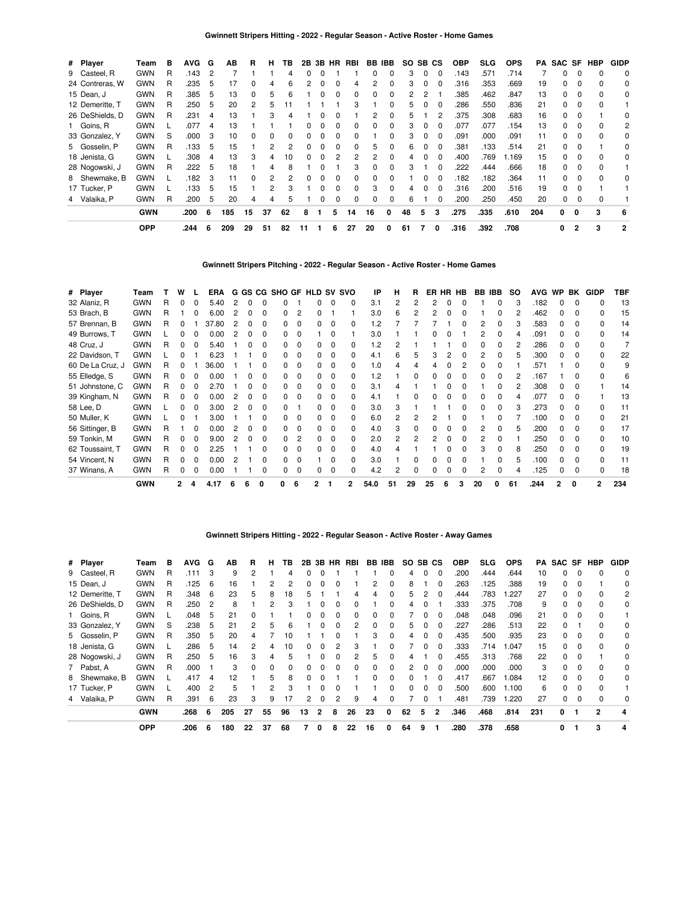| # Player   |                 | Team       | в | <b>AVG</b> | G              | AВ  | R            | н            | ΤВ | 2B |              | 3B HR    | RBI      | BB       | IBB      | SO. | SB. | CS           | <b>OBP</b> | SLG. | <b>OPS</b> | PA  | SAC SF |          | HBP      | <b>GIDP</b>    |
|------------|-----------------|------------|---|------------|----------------|-----|--------------|--------------|----|----|--------------|----------|----------|----------|----------|-----|-----|--------------|------------|------|------------|-----|--------|----------|----------|----------------|
|            | 9 Casteel, R    | <b>GWN</b> | R | .143       | $\overline{c}$ |     |              |              | 4  | 0  |              |          |          |          | 0        | 3   | 0   |              | .143       | .571 | .714       |     | 0      |          | 0        | $\mathbf 0$    |
|            | 24 Contreras, W | <b>GWN</b> | R | .235       | 5              | 17  |              | 4            | 6  | 2  |              |          |          |          | 0        | 3   | 0   |              | .316       | .353 | .669       | 19  | 0      |          | 0        | 0              |
| 15 Dean, J |                 | <b>GWN</b> | R | .385       | 5              | 13  |              | 5            | 6  |    |              | 0        | 0        | 0        | 0        |     | 2   |              | .385       | .462 | .847       | 13  | 0      | 0        | 0        | 0              |
|            | 12 Demeritte, T | <b>GWN</b> | R | .250       | 5              | 20  | 2            | 5            |    |    |              |          | 3        |          | 0        | 5   | 0   | $\Omega$     | .286       | .550 | .836       | 21  | 0      | $\Omega$ | $\Omega$ |                |
|            | 26 DeShields, D | <b>GWN</b> | R | .231       | 4              | 13  |              | 3            | 4  |    |              |          |          | 2        | 0        | 5   |     | 2            | .375       | .308 | .683       | 16  | 0      | 0        |          | 0              |
|            | 1 Goins, R      | <b>GWN</b> |   | .077       | 4              | 13  |              |              |    |    |              |          | 0        |          | 0        | 3   | 0   |              | .077       | .077 | .154       | 13  | 0      |          | $\Omega$ | 2              |
|            | 33 Gonzalez, Y  | <b>GWN</b> | S | .000       | 3              | 10  |              | <sup>0</sup> | ŋ  | n. |              |          | 0        |          | 0        | 3   | 0   |              | .091       | .000 | .091       | 11  | 0      |          | $\Omega$ | 0              |
|            | 5 Gosselin, P   | <b>GWN</b> | R | .133       | 5              | 15  |              |              | 2  |    |              |          | 0        | 5        | 0        | 6   |     |              | .381       | .133 | .514       | 21  | 0      |          |          | 0              |
|            | 18 Jenista, G   | <b>GWN</b> |   | .308       | 4              | 13  | 3            | 4            | 10 | 0  | $\Omega$     |          | 2        | 2        | 0        | 4   | 0   | $\Omega$     | .400       | .769 | 1.169      | 15  | 0      | 0        | 0        | 0              |
|            | 28 Nogowski, J  | <b>GWN</b> | R | .222       | 5              | 18  |              | 4            | 8  |    |              |          | 3        | 0        | $\Omega$ | 3   |     | 0            | .222       | .444 | .666       | 18  | 0      | $\Omega$ | 0        |                |
|            | 8 Shewmake, B   | <b>GWN</b> |   | .182       | 3              | 11  | <sup>0</sup> | 2            | 2  | O. |              | $\Omega$ | $\Omega$ | $\Omega$ | 0        |     | 0   | $\Omega$     | .182       | .182 | .364       | 11  | 0      | $\Omega$ | $\Omega$ | $\Omega$       |
|            | 17 Tucker, P    | <b>GWN</b> |   | .133       | 5              | 15  |              | 2            | 3  |    |              | $\Omega$ | $\Omega$ | 3        | 0        | 4   | 0   | <sup>0</sup> | .316       | .200 | .516       | 19  | 0      |          |          |                |
|            | 4 Valaika, P    | <b>GWN</b> | R | .200       | 5              | 20  | 4            | 4            | 5  |    | <sup>0</sup> | $\Omega$ | 0        | 0        | 0        | 6   |     |              | .200       | .250 | .450       | 20  | 0      |          | $\Omega$ |                |
|            |                 | <b>GWN</b> |   | .200       | 6              | 185 | 15           | 37           | 62 | 8  |              | 5        | 14       | 16       | O        | 48  | 5   | 3            | .275       | .335 | .610       | 204 | 0      | 0        | 3        | 6              |
|            |                 | <b>OPP</b> |   | .244       | 6              | 209 | 29           | 51           | 82 | 11 |              | 6        | 27       | 20       | 0        | 61  | 7   | 0            | .316       | .392 | .708       |     | 0      | 2        | 3        | $\overline{2}$ |

**Gwinnett Stripers Pitching - 2022 - Regular Season - Active Roster - Home Games**

| # Player         | Team       |    | w            |   | <b>ERA</b> |   |              |    |    |                |    |              | G GS CG SHO GF HLD SV SVO | IP   | н  | R  |    | ER HR HB |   | BB IBB |   | so  | <b>AVG</b> | WP BK |              | <b>GIDP</b>  | TBF |
|------------------|------------|----|--------------|---|------------|---|--------------|----|----|----------------|----|--------------|---------------------------|------|----|----|----|----------|---|--------|---|-----|------------|-------|--------------|--------------|-----|
| 32 Alaniz, R     | <b>GWN</b> | R  | 0            | 0 | 5.40       | 2 |              | 0  |    |                |    | 0            | 0                         | 3.1  |    | 2  |    |          |   |        |   |     | .182       |       | <sup>0</sup> |              | 13  |
| 53 Brach, B      | <b>GWN</b> |    |              |   | 6.00       |   |              | 0  |    | 2              |    |              |                           | 3.0  | 6  |    |    |          |   |        |   |     | .462       |       |              |              | 15  |
| 57 Brennan, B    | <b>GWN</b> |    | 0            |   | 37.80      |   |              | 0  |    | $\Omega$       | O. | 0            |                           | 1.2  |    |    |    |          |   |        |   |     | .583       |       |              | 0            | 14  |
| 49 Burrows, T    | <b>GWN</b> |    |              |   | 0.00       |   |              | o  |    | $\Omega$       |    | n            |                           | 3.0  |    |    |    |          |   |        |   |     | .091       |       |              | 0            | 14  |
| 48 Cruz, J       | <b>GWN</b> | R  | 0            |   | 5.40       |   |              | o  |    | 0              | 0  | 0            |                           | 1.2  |    |    |    |          |   |        |   |     | .286       |       |              |              |     |
| 22 Davidson, T   | <b>GWN</b> |    |              |   | 6.23       |   |              | o  |    | $\Omega$       | O. | 0            |                           | 4.1  | 6  | 5  |    |          |   |        |   |     | .300       |       |              |              | 22  |
| 60 De La Cruz, J | <b>GWN</b> |    |              |   | 36.00      |   |              |    |    | $\Omega$       | O. | 0            |                           | 1.0  |    |    |    |          |   |        |   |     | .571       |       |              |              | 9   |
| 55 Elledge, S    | <b>GWN</b> |    |              |   | 0.00       |   |              | o  |    | $\Omega$       |    | 0            |                           | 1.2  |    | O  |    |          |   |        |   |     | .167       |       |              |              | 6   |
| 51 Johnstone, C  | <b>GWN</b> |    |              |   | 2.70       |   |              |    |    | $\Omega$       |    | C            |                           | 3.1  |    |    |    |          |   |        |   |     | .308       |       | <sup>0</sup> |              | 14  |
| 39 Kingham, N    | <b>GWN</b> |    | O.           |   | 0.00       |   |              | U  |    | $\Omega$       | 0  | 0            |                           | 4.1  |    | ŋ  |    |          |   |        |   |     | .077       |       |              |              | 13  |
| 58 Lee, D        | <b>GWN</b> |    | O.           |   | 3.00       |   | O            | O. |    |                | O. | <sup>0</sup> | 0                         | 3.0  | 3  |    |    |          |   |        |   |     | .273       |       |              | 0            | 11  |
| 50 Muller, K     | <b>GWN</b> |    | o            |   | 3.00       |   |              | o  | 0  | $\Omega$       | 0  | <sup>0</sup> | 0                         | 6.0  | 2  | 2  |    |          |   |        |   |     | .100       | 0     | <sup>0</sup> | 0            | 21  |
| 56 Sittinger, B  | <b>GWN</b> | R. |              | 0 | 0.00       | 2 | <sup>0</sup> | 0  |    | $\Omega$       | 0  | $\Omega$     | 0                         | 4.0  | 3  | 0  |    | O        |   |        | 0 | 5   | .200       | 0     | <sup>0</sup> | <sup>0</sup> | 17  |
| 59 Tonkin, M     | <b>GWN</b> | R. | 0            | 0 | 9.00       | 2 | <sup>0</sup> | 0  | n. | $\overline{c}$ | 0  | $\Omega$     | 0                         | 2.0  | 2  | 2  |    | O        |   |        |   |     | .250       | 0     | <sup>0</sup> | 0            | 10  |
| 62 Toussaint, T  | <b>GWN</b> | R  | 0            |   | 2.25       |   |              | 0  |    | $\Omega$       | 0  | 0            | 0                         | 4.0  |    |    |    |          |   | 3      |   | 8   | .250       | 0     | <sup>0</sup> | 0            | 19  |
| 54 Vincent, N    | <b>GWN</b> | R  | 0            | 0 | 0.00       | 2 |              | 0  |    | $\Omega$       |    | 0            | 0                         | 3.0  |    | 0  |    |          |   |        |   | 'n. | .100       | 0     | $\Omega$     | 0            | 11  |
| 37 Winans, A     | <b>GWN</b> |    | 0            | 0 | 0.00       |   |              | ი  |    | 0              | 0  | 0            |                           | 4.2  |    |    |    |          |   |        |   |     | .125       |       | 0            |              | 18  |
|                  | <b>GWN</b> |    | $\mathbf{2}$ | 4 | 4.17       | 6 | 6            | o  | 0  | 6              |    |              | 2                         | 54.0 | 51 | 29 | 25 | 6        | 3 | 20     | 0 | 61  | .244       | 2     | $\Omega$     | 2            | 234 |

# **Gwinnett Stripers Hitting - 2022 - Regular Season - Active Roster - Away Games**

| # Player        | Team       | в | <b>AVG</b> | G              | AB  | R  | н            | ΤВ | 2B | 3B | <b>HR</b> | RBI          | BB.      | <b>IBB</b>   | SO.          | SB CS    |          | OBP  | SLG  | <b>OPS</b> | PA  | SAC SF |   | <b>HBP</b>   | <b>GIDP</b> |
|-----------------|------------|---|------------|----------------|-----|----|--------------|----|----|----|-----------|--------------|----------|--------------|--------------|----------|----------|------|------|------------|-----|--------|---|--------------|-------------|
| 9 Casteel, R    | <b>GWN</b> | R | .111       | 3              | 9   | 2  |              | 4  | 0  |    |           |              |          |              |              |          |          | .200 | .444 | .644       | 10  | 0      |   |              | $\Omega$    |
| 15 Dean, J      | <b>GWN</b> | R | .125       | 6              | 16  |    |              |    | 0  |    |           |              |          | 0            | 8            |          |          | 263  | .125 | .388       | 19  | 0      |   |              | 0           |
| 12 Demeritte. T | <b>GWN</b> | R | .348       | -6             | 23  | 5  | 8            | 18 | 5. |    |           | 4            | 4        | 0            | 5            | 2        | $\Omega$ | .444 | .783 | .227       | 27  | 0      |   |              | 2           |
| 26 DeShields, D | <b>GWN</b> | R | .250       | $\overline{c}$ | 8   |    | 2            | з  |    |    | $\Omega$  | <sup>0</sup> |          | 0            | 4            | 0        |          | .333 | .375 | .708       | 9   | 0      | 0 |              | 0           |
| 1 Goins, R      | <b>GWN</b> |   | .048       | 5              | 21  |    |              |    | O. |    |           |              |          | <sup>0</sup> |              |          |          | .048 | .048 | .096       | 21  | O.     |   |              |             |
| 33 Gonzalez, Y  | <b>GWN</b> | S | .238       | 5              | 21  |    | 5            | 6  |    |    |           | 2            |          | 0            | 5            | 0        |          | .227 | .286 | .513       | 22  | 0      |   |              | 0           |
| 5 Gosselin, P   | <b>GWN</b> | R | .350       | 5              | 20  | 4  |              | 10 |    |    |           |              | 3        | 0            | 4            | $\Omega$ | $\Omega$ | .435 | .500 | .935       | 23  | 0      | 0 |              | 0           |
| 18 Jenista, G   | <b>GWN</b> |   | .286       | 5              | 14  |    | 4            | 10 | O. |    | 2         | з            |          | <sup>0</sup> |              | $\Omega$ | $\Omega$ | .333 | .714 | .047       | 15  | 0      |   |              | 0           |
| 28 Nogowski, J  | <b>GWN</b> | R | .250       | 5              | 16  |    |              | 5  |    |    |           |              |          | O            |              |          |          | .455 | .313 | .768       | 22  | O.     |   |              | 0           |
| 7 Pabst, A      | <b>GWN</b> | R | .000       |                | 3   |    | <sup>0</sup> | 0  | 0  |    |           |              |          | 0            | 2            | 0        | $\Omega$ | .000 | .000 | .000       | 3   | 0      |   |              | 0           |
| 8 Shewmake, B   | <b>GWN</b> |   | .417       | 4              | 12  |    | 5            | 8  | 0  |    |           |              | $\Omega$ | 0            | 0            |          | $\Omega$ | .417 | .667 | 1.084      | 12  | 0      | 0 |              | 0           |
| 17 Tucker, P    | <b>GWN</b> |   | .400       | $\overline{c}$ | 5   |    | 2            | 3  |    |    |           |              |          | 0            | <sup>n</sup> | 0        | $\Omega$ | .500 | .600 | 1.100      | 6   | 0      |   |              |             |
| 4 Valaika, P    | <b>GWN</b> | R | .391       | 6              | 23  | 3  | 9            | 17 | 2  |    | 2         | 9            | 4        | 0            |              | 0        |          | .481 | .739 | 1.220      | 27  | 0      |   |              | 0           |
|                 | <b>GWN</b> |   | .268       | 6              | 205 | 27 | 55           | 96 | 13 | 2  | 8         | 26           | 23       | 0            | 62           | 5        | 2        | .346 | .468 | .814       | 231 | 0      |   | $\mathbf{c}$ | 4           |
|                 | <b>OPP</b> |   | .206       | 6              | 180 | 22 | 37           | 68 |    | 0  | 8         | 22           | 16       |              | 64           | 9        |          | .280 | .378 | .658       |     | 0      |   | 3            | 4           |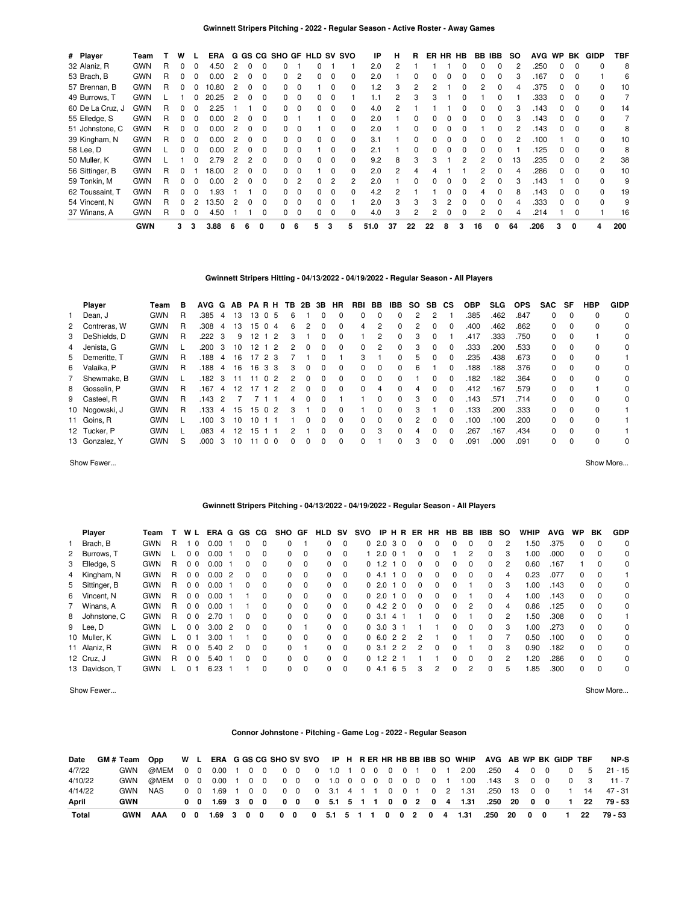| # Player         | Team       |   | w | н. | ERA   |   |   |              | G GS CG SHO GF HLD SV SVO |                |    |              |              | IP      | н  | R            |    | ER HR HB |              | BB IBB |   | SO. | <b>AVG</b> | <b>WP</b>    | BK       | GIDP         | TBF |
|------------------|------------|---|---|----|-------|---|---|--------------|---------------------------|----------------|----|--------------|--------------|---------|----|--------------|----|----------|--------------|--------|---|-----|------------|--------------|----------|--------------|-----|
| 32 Alaniz, R     | <b>GWN</b> | R | 0 | 0  | 4.50  | 2 |   |              |                           |                |    |              |              | 2.0     |    |              |    |          |              |        |   |     | .250       |              | $\Omega$ |              | 8   |
| 53 Brach, B      | <b>GWN</b> | R | 0 | 0  | 0.00  |   |   | O            | O.                        | $\overline{2}$ | O. | 0            | 0            | 2.0     |    | <sup>0</sup> |    |          | O            |        |   |     | .167       | <sup>n</sup> | $\Omega$ |              | 6   |
| 57 Brennan, B    | <b>GWN</b> | R | 0 | 0  | 10.80 |   |   |              |                           | $\Omega$       |    |              |              | $\cdot$ |    | 2            |    |          |              |        |   |     | .375       |              |          |              | 10  |
| 49 Burrows, T    | <b>GWN</b> |   |   | 0  | 20.25 |   |   |              |                           | $\Omega$       |    |              |              |         |    |              |    |          |              |        |   |     | .333       |              |          |              |     |
| 60 De La Cruz, J | <b>GWN</b> | R | 0 | 0  | 2.25  |   |   |              |                           | $\Omega$       |    |              |              | 4.0     |    |              |    |          |              |        |   |     | .143       |              |          |              | 14  |
| 55 Elledge, S    | <b>GWN</b> | R | 0 | 0  | 0.00  |   |   |              |                           |                |    |              | 0            | 2.0     |    |              |    |          |              |        |   |     | .143       |              |          |              |     |
| 51 Johnstone, C  | <b>GWN</b> | R | 0 | 0  | 0.00  |   |   |              |                           | - 0            |    |              | 0            | 2.0     |    | 0            |    |          |              |        |   |     | .143       |              |          |              | 8   |
| 39 Kingham, N    | <b>GWN</b> | R | 0 | 0  | 0.00  |   | 0 | <sup>0</sup> | O.                        | $\Omega$       | 0  | $\Omega$     | <sup>0</sup> | 3.1     |    | $\Omega$     |    |          | <sup>0</sup> | 0      | 0 |     | .100       |              | $\Omega$ | <sup>0</sup> | 10  |
| 58 Lee, D        | <b>GWN</b> |   | 0 | 0  | 0.00  |   |   | n            | O.                        | $\Omega$       |    | $\Omega$     | <sup>0</sup> | 2.1     |    | $\Omega$     |    |          |              |        |   |     | .125       | <sup>n</sup> | $\Omega$ |              | 8   |
| 50 Muller, K     | <b>GWN</b> |   |   | 0  | 2.79  |   | 2 | <sup>0</sup> | O.                        | $\Omega$       |    | <sup>0</sup> | <sup>0</sup> | 9.2     | 8  | 3            | з  |          | 2            | 2      |   | 13  | .235       | <sup>n</sup> | $\Omega$ | 2            | 38  |
| 56 Sittinger, B  | <b>GWN</b> | R | 0 |    | 18.00 |   |   |              |                           | $\Omega$       |    |              | 0            | 2.0     | 2  |              |    |          |              |        |   |     | .286       |              |          |              | 10  |
| 59 Tonkin, M     | <b>GWN</b> | R | 0 | 0  | 0.00  |   |   |              |                           |                |    |              |              | 2.0     |    | <sup>0</sup> |    |          |              |        |   |     | .143       |              |          |              | 9   |
| 62 Toussaint, T  | <b>GWN</b> | R | 0 | 0  | 1.93  |   |   |              |                           | $\Omega$       |    |              |              | 4.2     |    |              |    |          |              |        |   |     | .143       |              |          |              | 19  |
| 54 Vincent, N    | <b>GWN</b> | R | 0 | 2  | 13.50 |   |   |              | O.                        | 0              | 0  | 0            |              | 2.0     | 3  | 3            | 3  |          |              |        |   |     | .333       |              |          | <sup>0</sup> | 9   |
| 37 Winans, A     | <b>GWN</b> | R | 0 | 0  | 4.50  |   |   |              | O.                        | $\Omega$       | 0  | 0            | 0            | 4.0     | 3  | 2            |    |          |              | 2      |   | 4   | .214       |              | $\Omega$ |              | 16  |
|                  | <b>GWN</b> |   | 3 | 3  | 3.88  |   |   | 0            | O.                        | 6              | 5  | 3            | 5            | 51.0    | 37 | 22           | 22 | 8        | 3            | 16     | 0 | 64  | .206       | 3            | 0        | 4            | 200 |

### **Gwinnett Stripers Hitting - 04/13/2022 - 04/19/2022 - Regular Season - All Players**

| <b>Player</b>  | Team       | в | AVG G |    | AB |        | <b>PARH</b>    | TB. | 2B           | 3B       | <b>HR</b> | <b>RBI</b> | BB.      | IBB.         | SO. | SB.          | <b>CS</b>    | <b>OBP</b> | <b>SLG</b> | <b>OPS</b> | <b>SAC</b> | SF       | HBP      | <b>GIDP</b> |
|----------------|------------|---|-------|----|----|--------|----------------|-----|--------------|----------|-----------|------------|----------|--------------|-----|--------------|--------------|------------|------------|------------|------------|----------|----------|-------------|
| 1 Dean, J      | <b>GWN</b> | R | .385  | 4  | 13 | 13     | $\Omega$<br>5  | 6   |              |          | 0         | 0          |          | 0            | 2   | 2            |              | .385       | .462       | .847       | 0          | $\Omega$ | 0        | 0           |
| 2 Contreras, W | <b>GWN</b> | R | .308  | 4  | 13 | 15     | $\Omega$<br>4  | 6   | 2            | 0        | $\Omega$  | 4          | 2        | 0            | 2   | 0            | 0            | .400       | .462       | .862       | 0          | $\Omega$ | 0        | 0           |
| 3 DeShields, D | <b>GWN</b> | R | 222   | -3 | 9  | 12     | -2             |     |              |          | $\Omega$  |            |          | 0            | 3   | 0            |              | .417       | .333       | .750       | $\Omega$   | $\Omega$ |          | 0           |
| 4 Jenista, G   | <b>GWN</b> |   | .200  | 3  | 10 | 12     | -2             |     |              |          | $\Omega$  | 0          | 2        | 0            | 3   | 0            |              | .333       | .200       | .533       | 0          | 0        | 0        | 0           |
| 5 Demeritte. T | <b>GWN</b> | R | .188  | 4  | 16 | 17     | 2 3            |     |              |          |           | 3          |          | 0            | 5   | 0            | <sup>0</sup> | .235       | .438       | .673       | 0          | $\Omega$ | 0        |             |
| 6 Valaika, P   | <b>GWN</b> | R | .188  | 4  | 16 | $16$ . | 33             | 3   | 0            |          | $\Omega$  | 0          | $\Omega$ | 0            | 6   |              |              | 188        | .188       | .376       | 0          | $\Omega$ | $\Omega$ | 0           |
| 7 Shewmake, B  | <b>GWN</b> |   | .182  | 3  | 11 | 11     | 0 <sub>2</sub> |     |              |          | $\Omega$  | 0          | $\Omega$ | 0            |     | 0            |              | 182        | .182       | .364       | 0          | $\Omega$ | $\Omega$ | 0           |
| 8 Gosselin, P  | <b>GWN</b> | R | .167  | 4  | 12 |        | -2             |     | <sup>o</sup> | $\Omega$ | $\Omega$  | 0          | 4        | <sup>0</sup> | 4   | 0            | <sup>0</sup> | .412       | .167       | .579       | $\Omega$   | $\Omega$ |          | 0           |
| 9 Casteel, R   | <b>GWN</b> | R | .143  | 2  |    |        |                | 4   |              |          |           |            | 0        | 0            | 3   | 0            | 0            | 143        | .571       | .714       | $\Omega$   | $\Omega$ | $\Omega$ | 0           |
| 10 Nogowski, J | <b>GWN</b> | R | .133  | 4  | 15 | 15     | $\Omega$<br>-2 | з   |              |          | $\Omega$  |            | $\Omega$ | 0            | 3   |              |              | 133        | .200       | .333       | $\Omega$   | $\Omega$ | $\Omega$ |             |
| 11 Goins, R    | <b>GWN</b> |   | 100   | 3  | 10 | 10     |                |     |              |          | $\Omega$  | 0          | $\Omega$ | <sup>0</sup> | 2   | <sup>0</sup> | <sup>0</sup> | 100        | .100       | .200       | $\Omega$   | $\Omega$ | $\Omega$ |             |
| 12 Tucker, P   | <b>GWN</b> |   | .083  | 4  | 12 | 15     |                |     |              |          | $\Omega$  | 0          | 3        | 0            | 4   | 0            |              | 267        | .167       | .434       | $\Omega$   | $\Omega$ | $\Omega$ |             |
| 13 Gonzalez, Y | <b>GWN</b> | S | .000  | 3  | 10 |        | 0 <sub>0</sub> |     |              |          | $\Omega$  | 0          |          | 0            | 3   | $\Omega$     |              | .091       | .000       | .091       | 0          | $\Omega$ | $\Omega$ | 0           |

Show Fewer... Show More...

# **Gwinnett Stripers Pitching - 04/13/2022 - 04/19/2022 - Regular Season - All Players**

| Player         | Team       |    | W L            | ERA G  | GS CG    |          | SHO GF       |          |              |          | HLD SV SVO |              | IPHR          |          |               | ER HR        | HB BB        |          | IBB          | so | WHIP | <b>AVG</b> | <b>WP</b> | BK       | <b>GDP</b> |
|----------------|------------|----|----------------|--------|----------|----------|--------------|----------|--------------|----------|------------|--------------|---------------|----------|---------------|--------------|--------------|----------|--------------|----|------|------------|-----------|----------|------------|
| Brach, B       | <b>GWN</b> | R  | - 0            | 0.00   |          | 0        | $\Omega$     |          | $\Omega$     | $\Omega$ |            | 02.030       |               |          | $\Omega$      | 0            | 0            | 0        | 0            | 2  | .50  | .375       | $\Omega$  | $\Omega$ | $\Omega$   |
| 2 Burrows, T   | <b>GWN</b> |    | 0 <sub>0</sub> | 0.00   | 0        | $\Omega$ | $\Omega$     | $\Omega$ | $\Omega$     | $\Omega$ |            | 2.0          | $\Omega$      |          | $\Omega$      | 0            |              | 2        | 0            | 3  | 1.00 | .000       | $\Omega$  | $\Omega$ | $\Omega$   |
| 3 Elledge, S   | <b>GWN</b> | R  | 0 <sub>0</sub> | 0.00   | 0        | $\Omega$ | 0            | $\Omega$ | $\Omega$     | $\Omega$ |            | $0 \t1.2$    |               | $\Omega$ | 0             | 0            | 0            | 0        | 0            | 2  | 0.60 | .167       |           | $\Omega$ | 0          |
| 4 Kingham, N   | <b>GWN</b> | R  | 0 <sub>0</sub> | 0.002  | $\Omega$ | $\Omega$ | $\Omega$     | $\Omega$ | $\Omega$     | $\Omega$ |            | 04.1         |               | $\Omega$ | $\Omega$      | 0            | 0            | $\Omega$ | 0            | 4  | 0.23 | .077       | $\Omega$  | $\Omega$ |            |
| 5 Sittinger, B | <b>GWN</b> | R. | 0 <sub>0</sub> | 0.00   | 0        | $\Omega$ | 0            | $\Omega$ | $\Omega$     | $\Omega$ |            | 02.0         |               | - 0      | $\Omega$      | 0            | 0            |          | 0            | 3  | 1.00 | .143       | $\Omega$  | $\Omega$ | $\Omega$   |
| 6 Vincent, N   | <b>GWN</b> | R  | 0 <sub>0</sub> | 0.00   |          | 0        | <sup>0</sup> | $\Omega$ | $\Omega$     | $\Omega$ |            | 02.0         |               | $\Omega$ | $\Omega$      | 0            | 0            |          |              | 4  | 1.00 | .143       | $\Omega$  | $\Omega$ | 0          |
| 7 Winans, A    | <b>GWN</b> | R. | 0 <sub>0</sub> | 0.00   |          | $\Omega$ | $\Omega$     | $\Omega$ | $\Omega$     | $\Omega$ |            | 0, 4.2, 2, 0 |               |          | $\Omega$      | 0            | <sup>0</sup> | 2        | 0            | 4  | 0.86 | .125       | $\Omega$  | $\Omega$ | $\Omega$   |
| 8 Johnstone, C | GWN        | R  | 0 <sub>0</sub> | 2.70   | 0        | $\Omega$ | <sup>0</sup> | $\Omega$ | $\Omega$     | - 0      |            | 0, 3.1       | 41            |          |               | 0            | <sup>0</sup> |          | <sup>0</sup> | 2  | .50  | .308       | $\Omega$  | $\Omega$ | 1.         |
| 9 Lee, D       | <b>GWN</b> |    | 0 <sub>0</sub> | 3.002  | $\Omega$ | $\Omega$ | $\Omega$     |          | $\Omega$     | $\Omega$ |            | 0, 3.0       | 3 1           |          |               |              | 0            | $\Omega$ | 0            | 3  | 1.00 | .273       | $\Omega$  | $\Omega$ | $\Omega$   |
| 10 Muller, K   | <b>GWN</b> |    | 0 <sub>1</sub> | 3.00   |          | $\Omega$ | $\Omega$     | $\Omega$ | $\Omega$     | $\Omega$ |            | 0, 6.0, 2, 2 |               |          | 2             |              | O.           |          | <sup>0</sup> |    | 0.50 | .100.      | $\Omega$  | $\Omega$ | $\Omega$   |
| 11 Alaniz, R   | <b>GWN</b> | R. | 0 <sub>0</sub> | 5.40 2 | $\Omega$ | $\Omega$ | <sup>0</sup> |          | $\Omega$     | $\Omega$ |            | 0, 3.1       | 22            |          | $\mathcal{P}$ | <sup>0</sup> | 0            |          | 0            | 3  | 0.90 | .182       | $\Omega$  | $\Omega$ | $\Omega$   |
| 12 Cruz, J     | <b>GWN</b> | R  | 0 <sub>0</sub> | 5.40   | 0        | $\Omega$ | <sup>0</sup> | $\Omega$ | $\Omega$     | $\Omega$ |            | $0 \t1.2$    | $\mathcal{P}$ |          |               |              | $\Omega$     | 0        | 0            | 2  | 1.20 | .286       | $\Omega$  | $\Omega$ | $\Omega$   |
| 13 Davidson. T | <b>GWN</b> |    | <sup>o</sup>   | 6.23   |          | $\Omega$ | $\Omega$     | $\Omega$ | <sup>0</sup> | $\Omega$ |            | 04.1         | 6             | -5       | з             | 2            | 0            | 2        | $\Omega$     | 5  | .85  | .300       | $\Omega$  | $\Omega$ | $\Omega$   |

Show Fewer... Show More...

# **Connor Johnstone - Pitching - Game Log - 2022 - Regular Season**

| Date    | GM#Team Opp |     |    |                |  |  |  |  |  |  |  | W L ERA G GS CG SHO SV SVO IP H R ER HR HB BB IBB SO WHIP AVG AB WP BK GIDP TBF |             |  |  |      | NP-S                                                                 |
|---------|-------------|-----|----|----------------|--|--|--|--|--|--|--|---------------------------------------------------------------------------------|-------------|--|--|------|----------------------------------------------------------------------|
| 4/7/22  | GWN         |     |    |                |  |  |  |  |  |  |  |                                                                                 |             |  |  |      |                                                                      |
| 4/10/22 | GWN         |     |    |                |  |  |  |  |  |  |  |                                                                                 |             |  |  |      |                                                                      |
| 4/14/22 | GWN         | NAS |    | 0 0 1.69 1 0 0 |  |  |  |  |  |  |  |                                                                                 |             |  |  |      | 0 0 0 3.1 4 1 1 0 0 1 0 2 1.31 .250 13 0 0 1 14 47 - 31              |
| April   | <b>GWN</b>  |     |    |                |  |  |  |  |  |  |  |                                                                                 |             |  |  |      | 0 0 1.69 3 0 0 0 0 0 5.1 5 1 1 0 0 2 0 4 1.31 .250 20 0 0 1 22 79-53 |
| Total   |             | AAA | 00 |                |  |  |  |  |  |  |  | 1.69 3 0 0 0 0 0 5.1 5 1 1 0 0 2 0 4 1.31                                       | .250 20 0 0 |  |  | - 22 | 79 - 53                                                              |